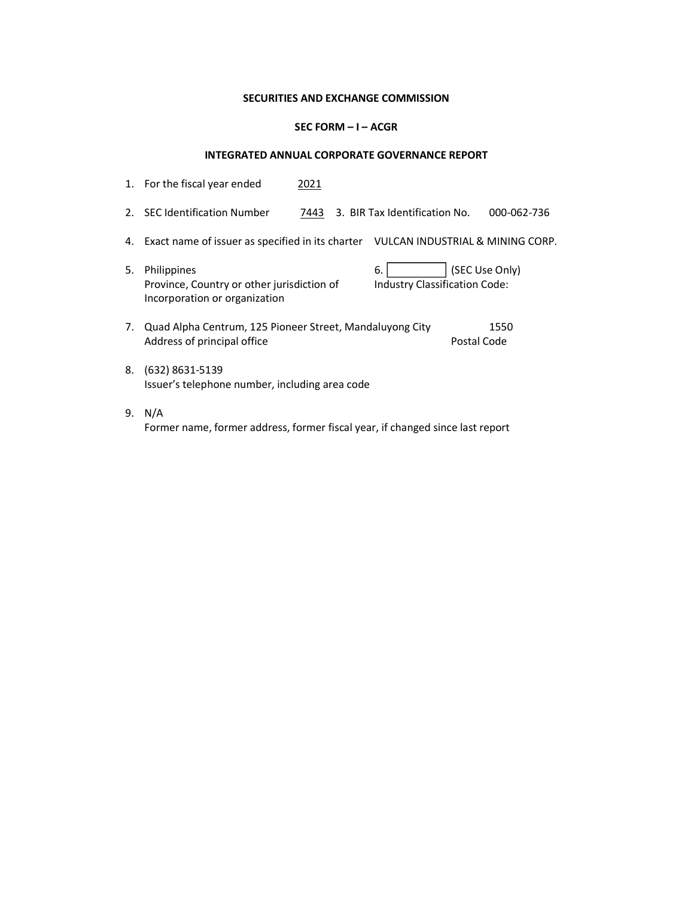## SECURITIES AND EXCHANGE COMMISSION

## SEC FORM – I – ACGR

## INTEGRATED ANNUAL CORPORATE GOVERNANCE REPORT

|    | 1. For the fiscal year ended                                                                      | 2021 |                                     |                     |
|----|---------------------------------------------------------------------------------------------------|------|-------------------------------------|---------------------|
| 2. | <b>SEC Identification Number</b>                                                                  | 7443 | 3. BIR Tax Identification No.       | 000-062-736         |
| 4. | Exact name of issuer as specified in its charter VULCAN INDUSTRIAL & MINING CORP.                 |      |                                     |                     |
| 5. | <b>Philippines</b><br>Province, Country or other jurisdiction of<br>Incorporation or organization |      | 6.<br>Industry Classification Code: | (SEC Use Only)      |
| 7. | Quad Alpha Centrum, 125 Pioneer Street, Mandaluyong City<br>Address of principal office           |      |                                     | 1550<br>Postal Code |
| 8. | (632) 8631-5139<br>Issuer's telephone number, including area code                                 |      |                                     |                     |
| 9. | N/A<br>Former name, former address, former fiscal year, if changed since last report              |      |                                     |                     |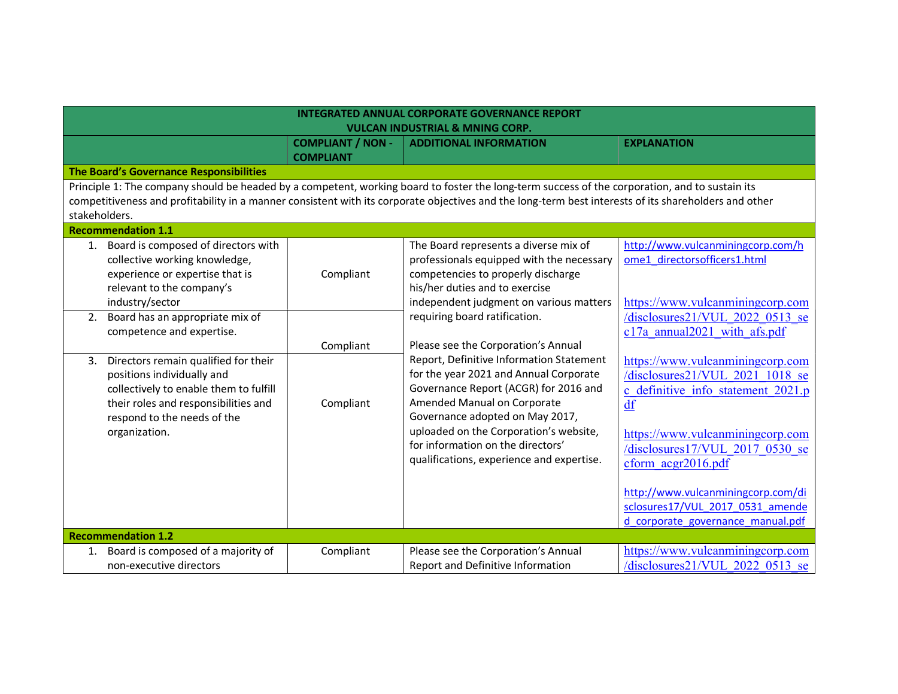| <b>INTEGRATED ANNUAL CORPORATE GOVERNANCE REPORT</b><br><b>VULCAN INDUSTRIAL &amp; MNING CORP.</b>                                                                                                                               |                                              |                                                                                                                                                                                                                                                                                                                                                                  |                                                                                                                                                                                                                                                                                                                                    |
|----------------------------------------------------------------------------------------------------------------------------------------------------------------------------------------------------------------------------------|----------------------------------------------|------------------------------------------------------------------------------------------------------------------------------------------------------------------------------------------------------------------------------------------------------------------------------------------------------------------------------------------------------------------|------------------------------------------------------------------------------------------------------------------------------------------------------------------------------------------------------------------------------------------------------------------------------------------------------------------------------------|
|                                                                                                                                                                                                                                  | <b>COMPLIANT / NON -</b><br><b>COMPLIANT</b> | <b>ADDITIONAL INFORMATION</b>                                                                                                                                                                                                                                                                                                                                    | <b>EXPLANATION</b>                                                                                                                                                                                                                                                                                                                 |
| <b>The Board's Governance Responsibilities</b>                                                                                                                                                                                   |                                              |                                                                                                                                                                                                                                                                                                                                                                  |                                                                                                                                                                                                                                                                                                                                    |
| stakeholders.                                                                                                                                                                                                                    |                                              | Principle 1: The company should be headed by a competent, working board to foster the long-term success of the corporation, and to sustain its<br>competitiveness and profitability in a manner consistent with its corporate objectives and the long-term best interests of its shareholders and other                                                          |                                                                                                                                                                                                                                                                                                                                    |
| <b>Recommendation 1.1</b>                                                                                                                                                                                                        |                                              |                                                                                                                                                                                                                                                                                                                                                                  |                                                                                                                                                                                                                                                                                                                                    |
| 1. Board is composed of directors with<br>collective working knowledge,<br>experience or expertise that is<br>relevant to the company's<br>industry/sector<br>Board has an appropriate mix of<br>2.<br>competence and expertise. | Compliant                                    | The Board represents a diverse mix of<br>professionals equipped with the necessary<br>competencies to properly discharge<br>his/her duties and to exercise<br>independent judgment on various matters<br>requiring board ratification.                                                                                                                           | http://www.vulcanminingcorp.com/h<br>ome1 directorsofficers1.html<br>https://www.vulcanminingcorp.com<br>/disclosures21/VUL 2022 0513 se<br>c17a annual2021 with afs.pdf                                                                                                                                                           |
| Directors remain qualified for their<br>3.<br>positions individually and<br>collectively to enable them to fulfill<br>their roles and responsibilities and<br>respond to the needs of the<br>organization.                       | Compliant<br>Compliant                       | Please see the Corporation's Annual<br>Report, Definitive Information Statement<br>for the year 2021 and Annual Corporate<br>Governance Report (ACGR) for 2016 and<br>Amended Manual on Corporate<br>Governance adopted on May 2017,<br>uploaded on the Corporation's website,<br>for information on the directors'<br>qualifications, experience and expertise. | https://www.vulcanminingcorp.com<br>/disclosures21/VUL 2021 1018 se<br>c definitive info statement 2021.p<br>df<br>https://www.vulcanminingcorp.com<br>/disclosures17/VUL 2017 0530 se<br>cform $a$ cgr $2016$ .pdf<br>http://www.vulcanminingcorp.com/di<br>sclosures17/VUL 2017 0531 amende<br>d corporate governance manual.pdf |
| <b>Recommendation 1.2</b>                                                                                                                                                                                                        |                                              |                                                                                                                                                                                                                                                                                                                                                                  |                                                                                                                                                                                                                                                                                                                                    |
| Board is composed of a majority of<br>1.<br>non-executive directors                                                                                                                                                              | Compliant                                    | Please see the Corporation's Annual<br>Report and Definitive Information                                                                                                                                                                                                                                                                                         | https://www.vulcanminingcorp.com<br>/disclosures21/VUL 2022 0513 se                                                                                                                                                                                                                                                                |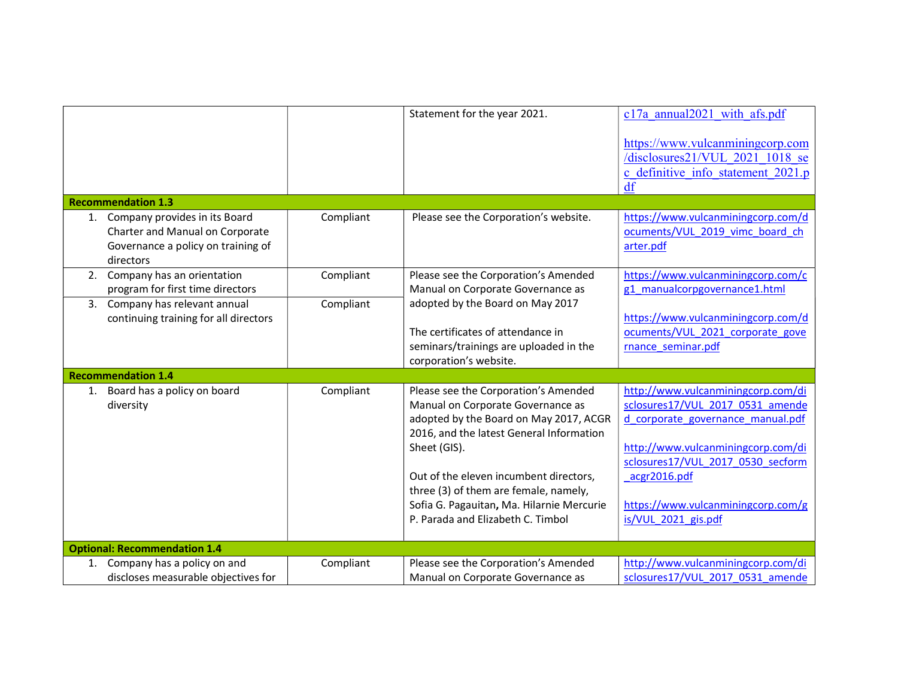|                                                                                                                        |           | Statement for the year 2021.                                                                                                                                                                                                                                                                                                                         | c17a annual2021 with afs.pdf<br>https://www.vulcanminingcorp.com<br>/disclosures21/VUL 2021 1018 se<br>c definitive info statement 2021.p<br>df                                                                                                                     |
|------------------------------------------------------------------------------------------------------------------------|-----------|------------------------------------------------------------------------------------------------------------------------------------------------------------------------------------------------------------------------------------------------------------------------------------------------------------------------------------------------------|---------------------------------------------------------------------------------------------------------------------------------------------------------------------------------------------------------------------------------------------------------------------|
| <b>Recommendation 1.3</b>                                                                                              |           |                                                                                                                                                                                                                                                                                                                                                      |                                                                                                                                                                                                                                                                     |
| 1. Company provides in its Board<br>Charter and Manual on Corporate<br>Governance a policy on training of<br>directors | Compliant | Please see the Corporation's website.                                                                                                                                                                                                                                                                                                                | https://www.vulcanminingcorp.com/d<br>ocuments/VUL 2019 vimc board ch<br>arter.pdf                                                                                                                                                                                  |
| Company has an orientation<br>2.<br>program for first time directors                                                   | Compliant | Please see the Corporation's Amended<br>Manual on Corporate Governance as                                                                                                                                                                                                                                                                            | https://www.vulcanminingcorp.com/c<br>g1 manualcorpgovernance1.html                                                                                                                                                                                                 |
| Company has relevant annual<br>3.<br>continuing training for all directors                                             | Compliant | adopted by the Board on May 2017<br>The certificates of attendance in<br>seminars/trainings are uploaded in the<br>corporation's website.                                                                                                                                                                                                            | https://www.vulcanminingcorp.com/d<br>ocuments/VUL 2021 corporate gove<br>rnance seminar.pdf                                                                                                                                                                        |
| <b>Recommendation 1.4</b>                                                                                              |           |                                                                                                                                                                                                                                                                                                                                                      |                                                                                                                                                                                                                                                                     |
| Board has a policy on board<br>1.<br>diversity                                                                         | Compliant | Please see the Corporation's Amended<br>Manual on Corporate Governance as<br>adopted by the Board on May 2017, ACGR<br>2016, and the latest General Information<br>Sheet (GIS).<br>Out of the eleven incumbent directors,<br>three (3) of them are female, namely,<br>Sofia G. Pagauitan, Ma. Hilarnie Mercurie<br>P. Parada and Elizabeth C. Timbol | http://www.vulcanminingcorp.com/di<br>sclosures17/VUL 2017 0531 amende<br>d corporate governance manual.pdf<br>http://www.vulcanminingcorp.com/di<br>sclosures17/VUL 2017 0530 secform<br>acgr2016.pdf<br>https://www.vulcanminingcorp.com/g<br>is/VUL 2021 gis.pdf |
| <b>Optional: Recommendation 1.4</b>                                                                                    |           |                                                                                                                                                                                                                                                                                                                                                      |                                                                                                                                                                                                                                                                     |
| 1. Company has a policy on and<br>discloses measurable objectives for                                                  | Compliant | Please see the Corporation's Amended<br>Manual on Corporate Governance as                                                                                                                                                                                                                                                                            | http://www.vulcanminingcorp.com/di<br>sclosures17/VUL 2017 0531 amende                                                                                                                                                                                              |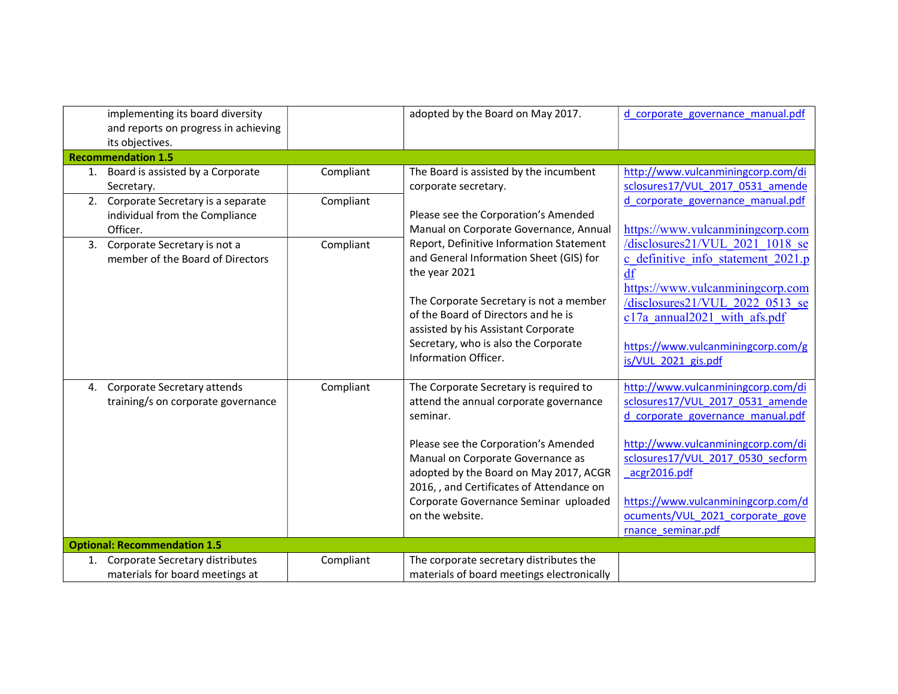|    | implementing its board diversity<br>and reports on progress in achieving<br>its objectives. |           | adopted by the Board on May 2017.                                                                                                                                                                                                                                                                                            | d corporate governance manual.pdf                                                                                                                                                                                                                                                |
|----|---------------------------------------------------------------------------------------------|-----------|------------------------------------------------------------------------------------------------------------------------------------------------------------------------------------------------------------------------------------------------------------------------------------------------------------------------------|----------------------------------------------------------------------------------------------------------------------------------------------------------------------------------------------------------------------------------------------------------------------------------|
|    | <b>Recommendation 1.5</b>                                                                   |           |                                                                                                                                                                                                                                                                                                                              |                                                                                                                                                                                                                                                                                  |
|    | 1. Board is assisted by a Corporate<br>Secretary.                                           | Compliant | The Board is assisted by the incumbent<br>corporate secretary.                                                                                                                                                                                                                                                               | http://www.vulcanminingcorp.com/di<br>sclosures17/VUL 2017 0531 amende                                                                                                                                                                                                           |
| 2. | Corporate Secretary is a separate<br>individual from the Compliance<br>Officer.             | Compliant | Please see the Corporation's Amended<br>Manual on Corporate Governance, Annual                                                                                                                                                                                                                                               | d corporate governance manual.pdf<br>https://www.vulcanminingcorp.com                                                                                                                                                                                                            |
| 3. | Corporate Secretary is not a<br>member of the Board of Directors                            | Compliant | Report, Definitive Information Statement<br>and General Information Sheet (GIS) for<br>the year 2021                                                                                                                                                                                                                         | /disclosures21/VUL 2021 1018 se<br>c definitive info statement 2021.p<br>df<br>https://www.vulcanminingcorp.com                                                                                                                                                                  |
|    |                                                                                             |           | The Corporate Secretary is not a member<br>of the Board of Directors and he is<br>assisted by his Assistant Corporate<br>Secretary, who is also the Corporate<br>Information Officer.                                                                                                                                        | /disclosures21/VUL 2022 0513 se<br>c17a annual2021 with afs.pdf<br>https://www.vulcanminingcorp.com/g<br>is/VUL 2021 gis.pdf                                                                                                                                                     |
| 4. | Corporate Secretary attends<br>training/s on corporate governance                           | Compliant | The Corporate Secretary is required to<br>attend the annual corporate governance<br>seminar.<br>Please see the Corporation's Amended<br>Manual on Corporate Governance as<br>adopted by the Board on May 2017, ACGR<br>2016, , and Certificates of Attendance on<br>Corporate Governance Seminar uploaded<br>on the website. | http://www.vulcanminingcorp.com/di<br>sclosures17/VUL 2017 0531 amende<br>d corporate governance manual.pdf<br>http://www.vulcanminingcorp.com/di<br>sclosures17/VUL 2017 0530 secform<br>acgr2016.pdf<br>https://www.vulcanminingcorp.com/d<br>ocuments/VUL 2021 corporate gove |
|    | <b>Optional: Recommendation 1.5</b>                                                         |           |                                                                                                                                                                                                                                                                                                                              | rnance seminar.pdf                                                                                                                                                                                                                                                               |
|    | 1. Corporate Secretary distributes                                                          | Compliant | The corporate secretary distributes the                                                                                                                                                                                                                                                                                      |                                                                                                                                                                                                                                                                                  |
|    | materials for board meetings at                                                             |           | materials of board meetings electronically                                                                                                                                                                                                                                                                                   |                                                                                                                                                                                                                                                                                  |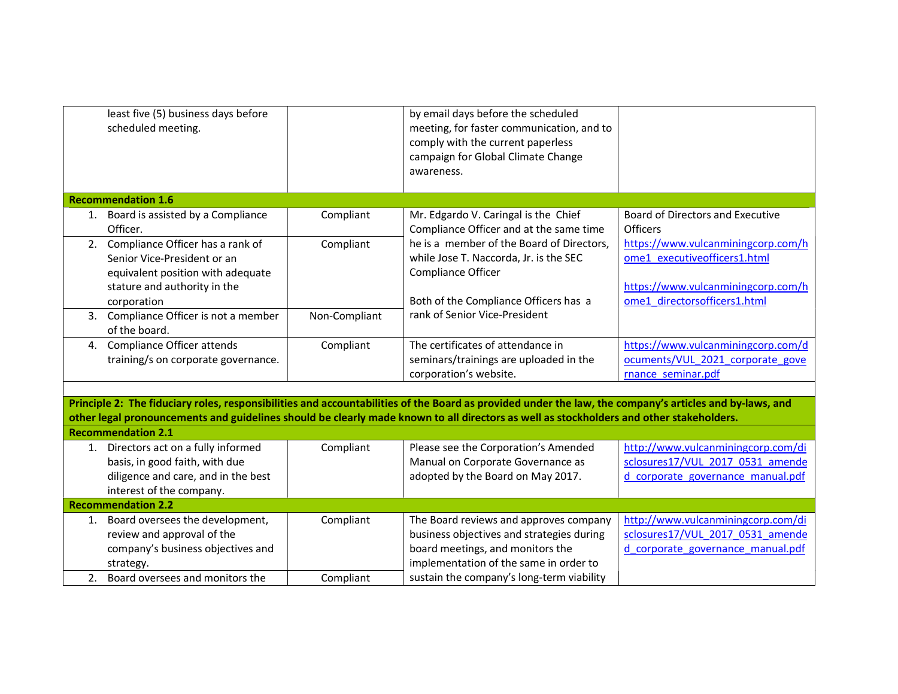|    | least five (5) business days before<br>scheduled meeting.                                                                                 |               | by email days before the scheduled<br>meeting, for faster communication, and to<br>comply with the current paperless<br>campaign for Global Climate Change<br>awareness.                                                                                                                           |                                                                                                             |
|----|-------------------------------------------------------------------------------------------------------------------------------------------|---------------|----------------------------------------------------------------------------------------------------------------------------------------------------------------------------------------------------------------------------------------------------------------------------------------------------|-------------------------------------------------------------------------------------------------------------|
|    | <b>Recommendation 1.6</b>                                                                                                                 |               |                                                                                                                                                                                                                                                                                                    |                                                                                                             |
| 1. | Board is assisted by a Compliance<br>Officer.                                                                                             | Compliant     | Mr. Edgardo V. Caringal is the Chief<br>Compliance Officer and at the same time                                                                                                                                                                                                                    | Board of Directors and Executive<br><b>Officers</b>                                                         |
|    | 2. Compliance Officer has a rank of<br>Senior Vice-President or an<br>equivalent position with adequate<br>stature and authority in the   | Compliant     | he is a member of the Board of Directors,<br>while Jose T. Naccorda, Jr. is the SEC<br>Compliance Officer                                                                                                                                                                                          | https://www.vulcanminingcorp.com/h<br>ome1 executiveofficers1.html<br>https://www.vulcanminingcorp.com/h    |
|    | corporation                                                                                                                               |               | Both of the Compliance Officers has a                                                                                                                                                                                                                                                              | ome1 directorsofficers1.html                                                                                |
| 3. | Compliance Officer is not a member<br>of the board.                                                                                       | Non-Compliant | rank of Senior Vice-President                                                                                                                                                                                                                                                                      |                                                                                                             |
| 4. | Compliance Officer attends<br>training/s on corporate governance.                                                                         | Compliant     | The certificates of attendance in<br>seminars/trainings are uploaded in the<br>corporation's website.                                                                                                                                                                                              | https://www.vulcanminingcorp.com/d<br>ocuments/VUL 2021 corporate gove<br>rnance seminar.pdf                |
|    |                                                                                                                                           |               |                                                                                                                                                                                                                                                                                                    |                                                                                                             |
|    |                                                                                                                                           |               | Principle 2: The fiduciary roles, responsibilities and accountabilities of the Board as provided under the law, the company's articles and by-laws, and<br>other legal pronouncements and guidelines should be clearly made known to all directors as well as stockholders and other stakeholders. |                                                                                                             |
|    | <b>Recommendation 2.1</b>                                                                                                                 |               |                                                                                                                                                                                                                                                                                                    |                                                                                                             |
|    | 1. Directors act on a fully informed<br>basis, in good faith, with due<br>diligence and care, and in the best<br>interest of the company. | Compliant     | Please see the Corporation's Amended<br>Manual on Corporate Governance as<br>adopted by the Board on May 2017.                                                                                                                                                                                     | http://www.vulcanminingcorp.com/di<br>sclosures17/VUL 2017 0531 amende<br>d corporate governance manual.pdf |
|    | <b>Recommendation 2.2</b>                                                                                                                 |               |                                                                                                                                                                                                                                                                                                    |                                                                                                             |
|    | 1. Board oversees the development,<br>review and approval of the<br>company's business objectives and<br>strategy.                        | Compliant     | The Board reviews and approves company<br>business objectives and strategies during<br>board meetings, and monitors the<br>implementation of the same in order to                                                                                                                                  | http://www.vulcanminingcorp.com/di<br>sclosures17/VUL 2017 0531 amende<br>d corporate governance manual.pdf |
|    | 2. Board oversees and monitors the                                                                                                        | Compliant     | sustain the company's long-term viability                                                                                                                                                                                                                                                          |                                                                                                             |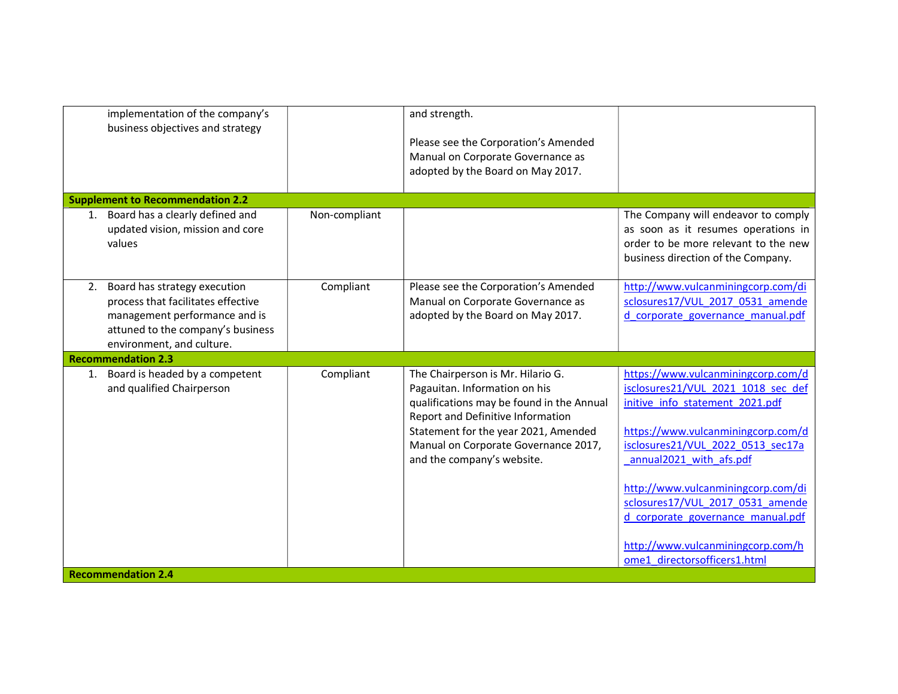| implementation of the company's<br>business objectives and strategy                                                                                                         |               | and strength.<br>Please see the Corporation's Amended<br>Manual on Corporate Governance as<br>adopted by the Board on May 2017.                                                                                                                                    |                                                                                                                                                                                                                                                                                                                                                                                                       |
|-----------------------------------------------------------------------------------------------------------------------------------------------------------------------------|---------------|--------------------------------------------------------------------------------------------------------------------------------------------------------------------------------------------------------------------------------------------------------------------|-------------------------------------------------------------------------------------------------------------------------------------------------------------------------------------------------------------------------------------------------------------------------------------------------------------------------------------------------------------------------------------------------------|
| <b>Supplement to Recommendation 2.2</b>                                                                                                                                     |               |                                                                                                                                                                                                                                                                    |                                                                                                                                                                                                                                                                                                                                                                                                       |
| 1. Board has a clearly defined and<br>updated vision, mission and core<br>values                                                                                            | Non-compliant |                                                                                                                                                                                                                                                                    | The Company will endeavor to comply<br>as soon as it resumes operations in<br>order to be more relevant to the new<br>business direction of the Company.                                                                                                                                                                                                                                              |
| Board has strategy execution<br>2.<br>process that facilitates effective<br>management performance and is<br>attuned to the company's business<br>environment, and culture. | Compliant     | Please see the Corporation's Amended<br>Manual on Corporate Governance as<br>adopted by the Board on May 2017.                                                                                                                                                     | http://www.vulcanminingcorp.com/di<br>sclosures17/VUL 2017 0531 amende<br>d corporate governance manual.pdf                                                                                                                                                                                                                                                                                           |
| <b>Recommendation 2.3</b>                                                                                                                                                   |               |                                                                                                                                                                                                                                                                    |                                                                                                                                                                                                                                                                                                                                                                                                       |
| Board is headed by a competent<br>1.<br>and qualified Chairperson<br><b>Recommendation 2.4</b>                                                                              | Compliant     | The Chairperson is Mr. Hilario G.<br>Pagauitan. Information on his<br>qualifications may be found in the Annual<br>Report and Definitive Information<br>Statement for the year 2021, Amended<br>Manual on Corporate Governance 2017,<br>and the company's website. | https://www.vulcanminingcorp.com/d<br>isclosures21/VUL 2021 1018 sec def<br>initive info statement 2021.pdf<br>https://www.vulcanminingcorp.com/d<br>isclosures21/VUL 2022 0513 sec17a<br>annual2021 with afs.pdf<br>http://www.vulcanminingcorp.com/di<br>sclosures17/VUL 2017 0531 amende<br>d corporate governance manual.pdf<br>http://www.vulcanminingcorp.com/h<br>ome1 directorsofficers1.html |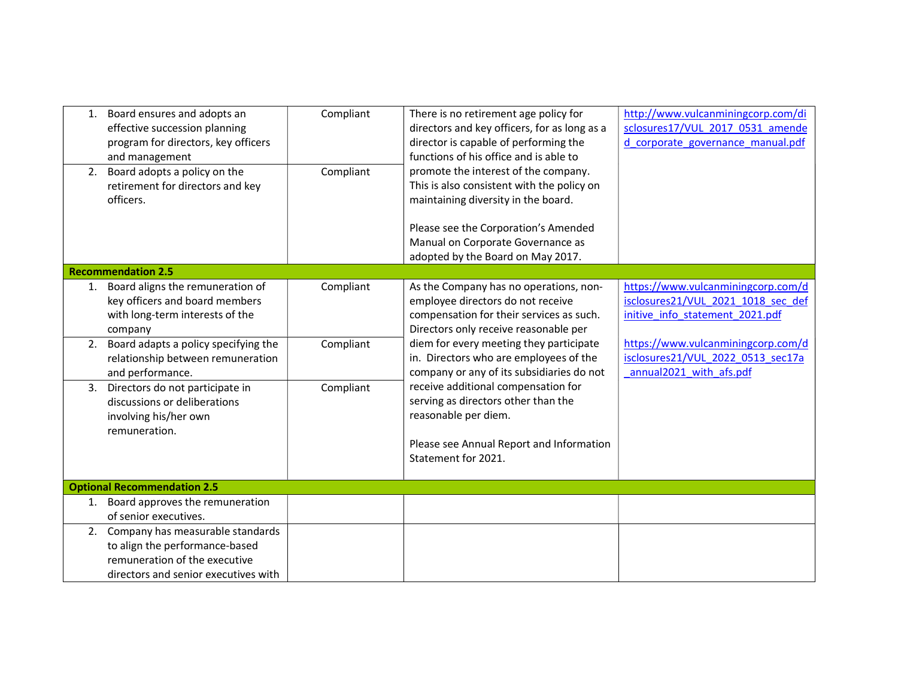| 1.             | Board ensures and adopts an<br>effective succession planning<br>program for directors, key officers<br>and management                                                                                                                                                                                                          | Compliant                           | There is no retirement age policy for<br>directors and key officers, for as long as a<br>director is capable of performing the<br>functions of his office and is able to                                                                                                                                                                                                                                 | http://www.vulcanminingcorp.com/di<br>sclosures17/VUL 2017 0531 amende<br>d corporate governance manual.pdf                                                                                                       |
|----------------|--------------------------------------------------------------------------------------------------------------------------------------------------------------------------------------------------------------------------------------------------------------------------------------------------------------------------------|-------------------------------------|----------------------------------------------------------------------------------------------------------------------------------------------------------------------------------------------------------------------------------------------------------------------------------------------------------------------------------------------------------------------------------------------------------|-------------------------------------------------------------------------------------------------------------------------------------------------------------------------------------------------------------------|
| 2.             | Board adopts a policy on the<br>retirement for directors and key<br>officers.                                                                                                                                                                                                                                                  | Compliant                           | promote the interest of the company.<br>This is also consistent with the policy on<br>maintaining diversity in the board.                                                                                                                                                                                                                                                                                |                                                                                                                                                                                                                   |
|                |                                                                                                                                                                                                                                                                                                                                |                                     | Please see the Corporation's Amended<br>Manual on Corporate Governance as<br>adopted by the Board on May 2017.                                                                                                                                                                                                                                                                                           |                                                                                                                                                                                                                   |
|                | <b>Recommendation 2.5</b>                                                                                                                                                                                                                                                                                                      |                                     |                                                                                                                                                                                                                                                                                                                                                                                                          |                                                                                                                                                                                                                   |
| 1.<br>2.<br>3. | Board aligns the remuneration of<br>key officers and board members<br>with long-term interests of the<br>company<br>Board adapts a policy specifying the<br>relationship between remuneration<br>and performance.<br>Directors do not participate in<br>discussions or deliberations<br>involving his/her own<br>remuneration. | Compliant<br>Compliant<br>Compliant | As the Company has no operations, non-<br>employee directors do not receive<br>compensation for their services as such.<br>Directors only receive reasonable per<br>diem for every meeting they participate<br>in. Directors who are employees of the<br>company or any of its subsidiaries do not<br>receive additional compensation for<br>serving as directors other than the<br>reasonable per diem. | https://www.vulcanminingcorp.com/d<br>isclosures21/VUL 2021 1018 sec def<br>initive info statement 2021.pdf<br>https://www.vulcanminingcorp.com/d<br>isclosures21/VUL 2022 0513 sec17a<br>annual2021 with afs.pdf |
|                |                                                                                                                                                                                                                                                                                                                                |                                     | Please see Annual Report and Information<br>Statement for 2021.                                                                                                                                                                                                                                                                                                                                          |                                                                                                                                                                                                                   |
|                | <b>Optional Recommendation 2.5</b>                                                                                                                                                                                                                                                                                             |                                     |                                                                                                                                                                                                                                                                                                                                                                                                          |                                                                                                                                                                                                                   |
| 1.             | Board approves the remuneration<br>of senior executives.                                                                                                                                                                                                                                                                       |                                     |                                                                                                                                                                                                                                                                                                                                                                                                          |                                                                                                                                                                                                                   |
| 2.             | Company has measurable standards<br>to align the performance-based<br>remuneration of the executive<br>directors and senior executives with                                                                                                                                                                                    |                                     |                                                                                                                                                                                                                                                                                                                                                                                                          |                                                                                                                                                                                                                   |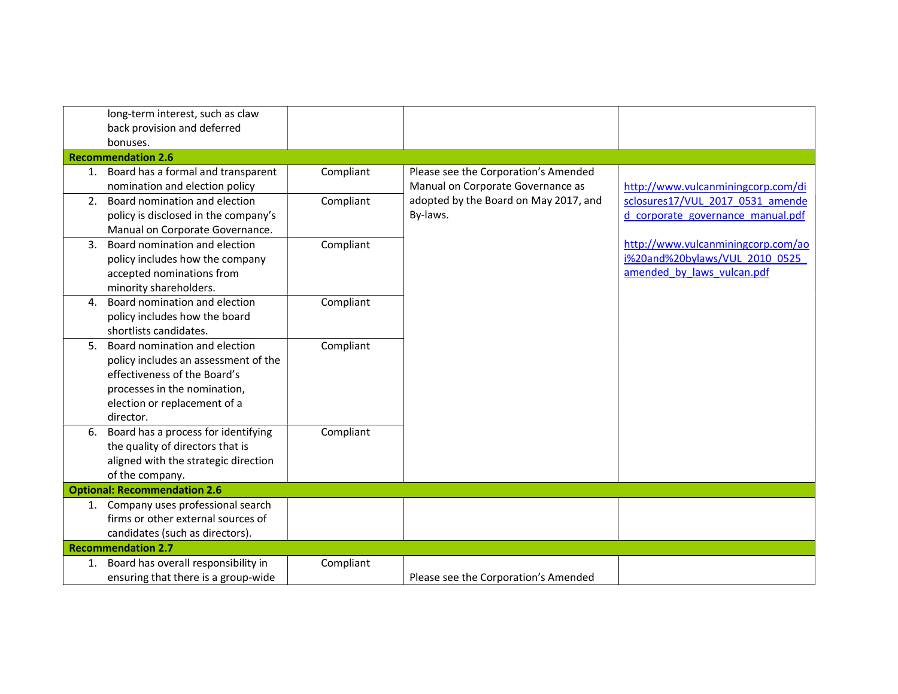|    | long-term interest, such as claw     |           |                                       |                                    |
|----|--------------------------------------|-----------|---------------------------------------|------------------------------------|
|    | back provision and deferred          |           |                                       |                                    |
|    | bonuses.                             |           |                                       |                                    |
|    | <b>Recommendation 2.6</b>            |           |                                       |                                    |
| 1. | Board has a formal and transparent   | Compliant | Please see the Corporation's Amended  |                                    |
|    | nomination and election policy       |           | Manual on Corporate Governance as     | http://www.vulcanminingcorp.com/di |
| 2. | Board nomination and election        | Compliant | adopted by the Board on May 2017, and | sclosures17/VUL 2017 0531 amende   |
|    | policy is disclosed in the company's |           | By-laws.                              | d corporate governance manual.pdf  |
|    | Manual on Corporate Governance.      |           |                                       |                                    |
| 3. | Board nomination and election        | Compliant |                                       | http://www.vulcanminingcorp.com/ao |
|    | policy includes how the company      |           |                                       | i%20and%20bylaws/VUL 2010 0525     |
|    | accepted nominations from            |           |                                       | amended by laws vulcan.pdf         |
|    | minority shareholders.               |           |                                       |                                    |
| 4. | Board nomination and election        | Compliant |                                       |                                    |
|    | policy includes how the board        |           |                                       |                                    |
|    | shortlists candidates.               |           |                                       |                                    |
| 5. | Board nomination and election        | Compliant |                                       |                                    |
|    | policy includes an assessment of the |           |                                       |                                    |
|    | effectiveness of the Board's         |           |                                       |                                    |
|    | processes in the nomination,         |           |                                       |                                    |
|    | election or replacement of a         |           |                                       |                                    |
|    | director.                            |           |                                       |                                    |
| 6. | Board has a process for identifying  | Compliant |                                       |                                    |
|    | the quality of directors that is     |           |                                       |                                    |
|    | aligned with the strategic direction |           |                                       |                                    |
|    | of the company.                      |           |                                       |                                    |
|    | <b>Optional: Recommendation 2.6</b>  |           |                                       |                                    |
| 1. | Company uses professional search     |           |                                       |                                    |
|    | firms or other external sources of   |           |                                       |                                    |
|    | candidates (such as directors).      |           |                                       |                                    |
|    | <b>Recommendation 2.7</b>            |           |                                       |                                    |
| 1. | Board has overall responsibility in  | Compliant |                                       |                                    |
|    | ensuring that there is a group-wide  |           | Please see the Corporation's Amended  |                                    |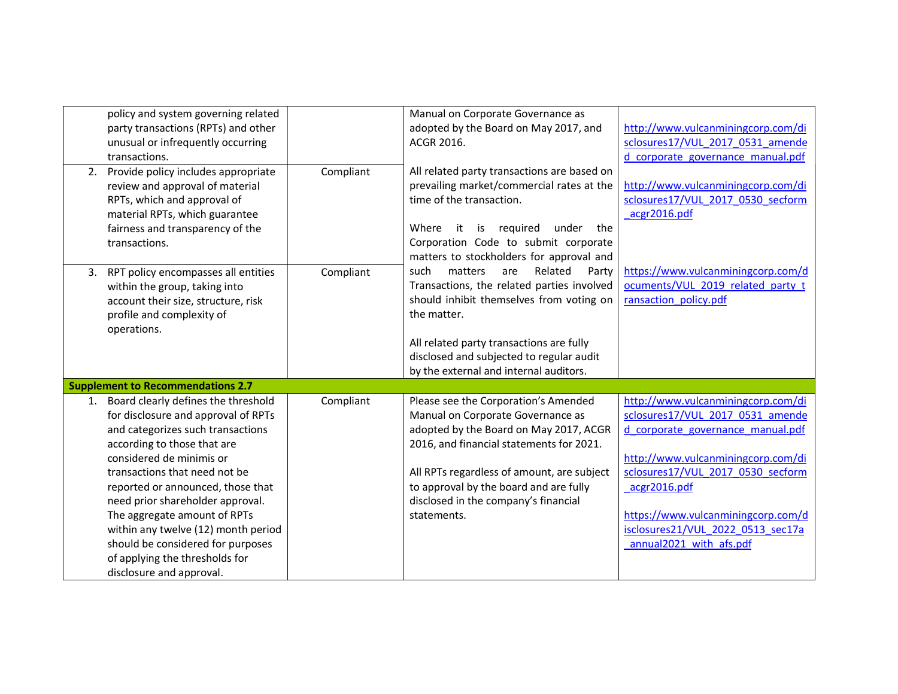|    | policy and system governing related<br>party transactions (RPTs) and other                                                                                                                                                                                                                                                                                                                                                                                        |           | Manual on Corporate Governance as<br>adopted by the Board on May 2017, and                                                                                                                                                                                                                                     | http://www.vulcanminingcorp.com/di                                                                                                                                                                                                                                                                           |
|----|-------------------------------------------------------------------------------------------------------------------------------------------------------------------------------------------------------------------------------------------------------------------------------------------------------------------------------------------------------------------------------------------------------------------------------------------------------------------|-----------|----------------------------------------------------------------------------------------------------------------------------------------------------------------------------------------------------------------------------------------------------------------------------------------------------------------|--------------------------------------------------------------------------------------------------------------------------------------------------------------------------------------------------------------------------------------------------------------------------------------------------------------|
|    | unusual or infrequently occurring<br>transactions.                                                                                                                                                                                                                                                                                                                                                                                                                |           | ACGR 2016.                                                                                                                                                                                                                                                                                                     | sclosures17/VUL 2017 0531 amende<br>d corporate governance manual.pdf                                                                                                                                                                                                                                        |
| 2. | Provide policy includes appropriate<br>review and approval of material<br>RPTs, which and approval of<br>material RPTs, which guarantee<br>fairness and transparency of the<br>transactions.                                                                                                                                                                                                                                                                      | Compliant | All related party transactions are based on<br>prevailing market/commercial rates at the<br>time of the transaction.<br>Where it is required<br>under the<br>Corporation Code to submit corporate<br>matters to stockholders for approval and                                                                  | http://www.vulcanminingcorp.com/di<br>sclosures17/VUL 2017 0530 secform<br>acgr2016.pdf                                                                                                                                                                                                                      |
| 3. | RPT policy encompasses all entities<br>within the group, taking into<br>account their size, structure, risk<br>profile and complexity of<br>operations.                                                                                                                                                                                                                                                                                                           | Compliant | Related<br>such<br>matters<br>Party<br>are<br>Transactions, the related parties involved<br>should inhibit themselves from voting on<br>the matter.<br>All related party transactions are fully<br>disclosed and subjected to regular audit<br>by the external and internal auditors.                          | https://www.vulcanminingcorp.com/d<br>ocuments/VUL 2019 related party t<br>ransaction policy.pdf                                                                                                                                                                                                             |
|    | <b>Supplement to Recommendations 2.7</b>                                                                                                                                                                                                                                                                                                                                                                                                                          |           |                                                                                                                                                                                                                                                                                                                |                                                                                                                                                                                                                                                                                                              |
|    | 1. Board clearly defines the threshold<br>for disclosure and approval of RPTs<br>and categorizes such transactions<br>according to those that are<br>considered de minimis or<br>transactions that need not be<br>reported or announced, those that<br>need prior shareholder approval.<br>The aggregate amount of RPTs<br>within any twelve (12) month period<br>should be considered for purposes<br>of applying the thresholds for<br>disclosure and approval. | Compliant | Please see the Corporation's Amended<br>Manual on Corporate Governance as<br>adopted by the Board on May 2017, ACGR<br>2016, and financial statements for 2021.<br>All RPTs regardless of amount, are subject<br>to approval by the board and are fully<br>disclosed in the company's financial<br>statements. | http://www.vulcanminingcorp.com/di<br>sclosures17/VUL 2017 0531 amende<br>d corporate governance manual.pdf<br>http://www.vulcanminingcorp.com/di<br>sclosures17/VUL 2017 0530 secform<br>acgr2016.pdf<br>https://www.vulcanminingcorp.com/d<br>isclosures21/VUL 2022 0513 sec17a<br>annual2021 with afs.pdf |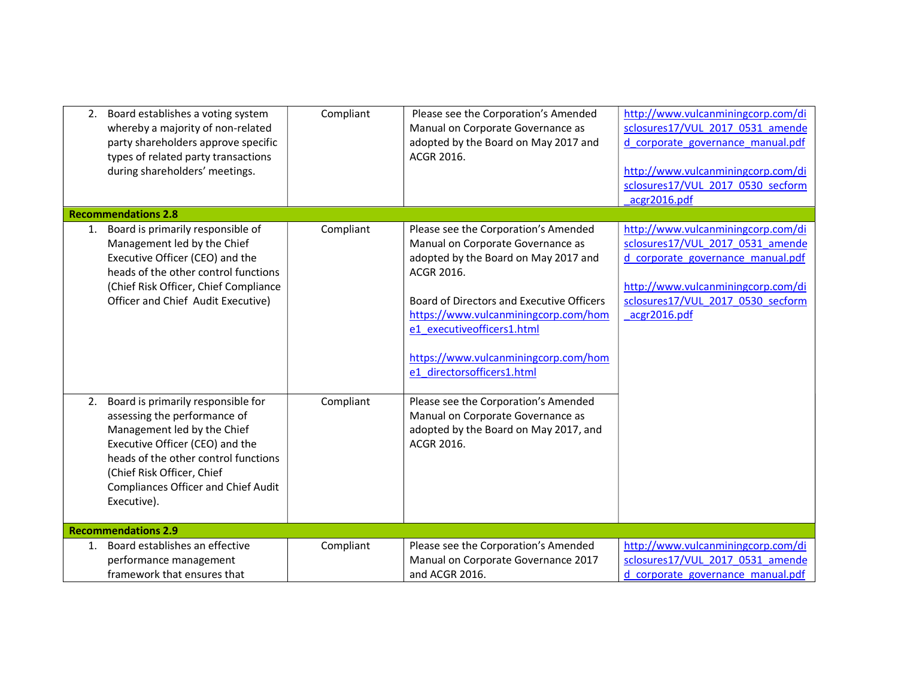|    | 2. Board establishes a voting system<br>whereby a majority of non-related<br>party shareholders approve specific<br>types of related party transactions<br>during shareholders' meetings.                                                                               | Compliant | Please see the Corporation's Amended<br>Manual on Corporate Governance as<br>adopted by the Board on May 2017 and<br>ACGR 2016.                                                                                                                                                                                          | http://www.vulcanminingcorp.com/di<br>sclosures17/VUL 2017 0531 amende<br>d corporate governance manual.pdf<br>http://www.vulcanminingcorp.com/di<br>sclosures17/VUL 2017 0530 secform<br>acgr2016.pdf |
|----|-------------------------------------------------------------------------------------------------------------------------------------------------------------------------------------------------------------------------------------------------------------------------|-----------|--------------------------------------------------------------------------------------------------------------------------------------------------------------------------------------------------------------------------------------------------------------------------------------------------------------------------|--------------------------------------------------------------------------------------------------------------------------------------------------------------------------------------------------------|
|    | <b>Recommendations 2.8</b>                                                                                                                                                                                                                                              |           |                                                                                                                                                                                                                                                                                                                          |                                                                                                                                                                                                        |
| 1. | Board is primarily responsible of<br>Management led by the Chief<br>Executive Officer (CEO) and the<br>heads of the other control functions<br>(Chief Risk Officer, Chief Compliance<br>Officer and Chief Audit Executive)                                              | Compliant | Please see the Corporation's Amended<br>Manual on Corporate Governance as<br>adopted by the Board on May 2017 and<br>ACGR 2016.<br>Board of Directors and Executive Officers<br>https://www.vulcanminingcorp.com/hom<br>e1 executiveofficers1.html<br>https://www.vulcanminingcorp.com/hom<br>e1 directorsofficers1.html | http://www.vulcanminingcorp.com/di<br>sclosures17/VUL 2017 0531 amende<br>d corporate governance manual.pdf<br>http://www.vulcanminingcorp.com/di<br>sclosures17/VUL 2017 0530 secform<br>acgr2016.pdf |
| 2. | Board is primarily responsible for<br>assessing the performance of<br>Management led by the Chief<br>Executive Officer (CEO) and the<br>heads of the other control functions<br>(Chief Risk Officer, Chief<br><b>Compliances Officer and Chief Audit</b><br>Executive). | Compliant | Please see the Corporation's Amended<br>Manual on Corporate Governance as<br>adopted by the Board on May 2017, and<br>ACGR 2016.                                                                                                                                                                                         |                                                                                                                                                                                                        |
|    | <b>Recommendations 2.9</b>                                                                                                                                                                                                                                              |           |                                                                                                                                                                                                                                                                                                                          |                                                                                                                                                                                                        |
|    | 1. Board establishes an effective<br>performance management<br>framework that ensures that                                                                                                                                                                              | Compliant | Please see the Corporation's Amended<br>Manual on Corporate Governance 2017<br>and ACGR 2016.                                                                                                                                                                                                                            | http://www.vulcanminingcorp.com/di<br>sclosures17/VUL 2017 0531 amende<br>d corporate governance manual.pdf                                                                                            |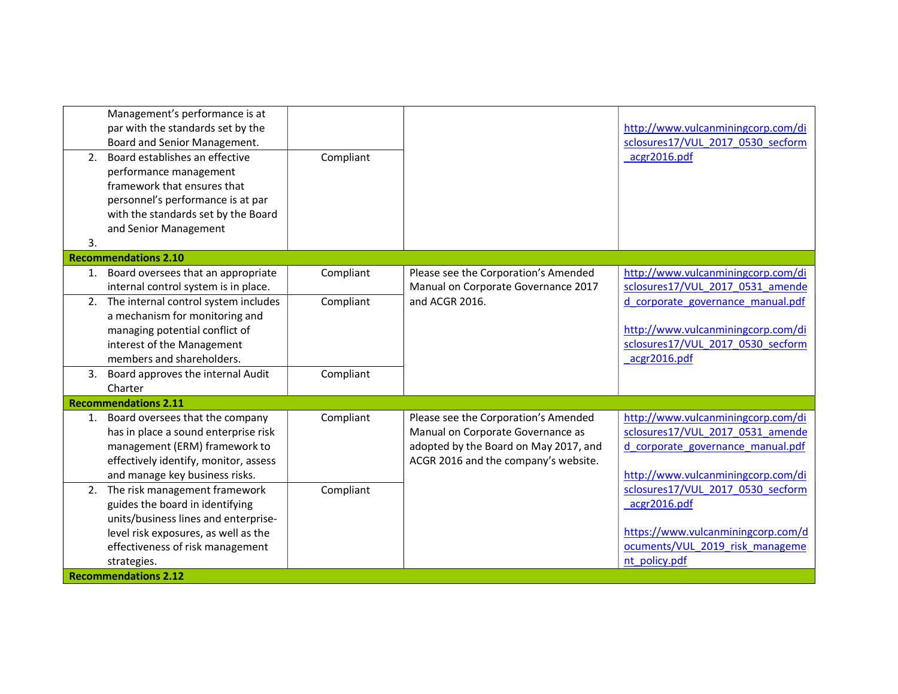| 2.<br>3. | Management's performance is at<br>par with the standards set by the<br>Board and Senior Management.<br>Board establishes an effective<br>performance management<br>framework that ensures that<br>personnel's performance is at par<br>with the standards set by the Board<br>and Senior Management | Compliant |                                                                                                                                                            | http://www.vulcanminingcorp.com/di<br>sclosures17/VUL 2017 0530 secform<br>acgr2016.pdf                                                           |
|----------|-----------------------------------------------------------------------------------------------------------------------------------------------------------------------------------------------------------------------------------------------------------------------------------------------------|-----------|------------------------------------------------------------------------------------------------------------------------------------------------------------|---------------------------------------------------------------------------------------------------------------------------------------------------|
|          | <b>Recommendations 2.10</b>                                                                                                                                                                                                                                                                         |           |                                                                                                                                                            |                                                                                                                                                   |
| 1.       | Board oversees that an appropriate<br>internal control system is in place.                                                                                                                                                                                                                          | Compliant | Please see the Corporation's Amended<br>Manual on Corporate Governance 2017                                                                                | http://www.vulcanminingcorp.com/di<br>sclosures17/VUL 2017 0531 amende                                                                            |
| 2.       | The internal control system includes<br>a mechanism for monitoring and<br>managing potential conflict of<br>interest of the Management<br>members and shareholders.                                                                                                                                 | Compliant | and ACGR 2016.                                                                                                                                             | d corporate governance manual.pdf<br>http://www.vulcanminingcorp.com/di<br>sclosures17/VUL 2017 0530 secform<br>acgr2016.pdf                      |
| 3.       | Board approves the internal Audit<br>Charter                                                                                                                                                                                                                                                        | Compliant |                                                                                                                                                            |                                                                                                                                                   |
|          | <b>Recommendations 2.11</b>                                                                                                                                                                                                                                                                         |           |                                                                                                                                                            |                                                                                                                                                   |
| 1.       | Board oversees that the company<br>has in place a sound enterprise risk<br>management (ERM) framework to<br>effectively identify, monitor, assess<br>and manage key business risks.                                                                                                                 | Compliant | Please see the Corporation's Amended<br>Manual on Corporate Governance as<br>adopted by the Board on May 2017, and<br>ACGR 2016 and the company's website. | http://www.vulcanminingcorp.com/di<br>sclosures17/VUL 2017 0531 amende<br>d corporate governance manual.pdf<br>http://www.vulcanminingcorp.com/di |
| 2.       | The risk management framework<br>guides the board in identifying<br>units/business lines and enterprise-<br>level risk exposures, as well as the<br>effectiveness of risk management<br>strategies.<br><b>Recommendations 2.12</b>                                                                  | Compliant |                                                                                                                                                            | sclosures17/VUL 2017 0530 secform<br>acgr2016.pdf<br>https://www.vulcanminingcorp.com/d<br>ocuments/VUL 2019 risk manageme<br>nt policy.pdf       |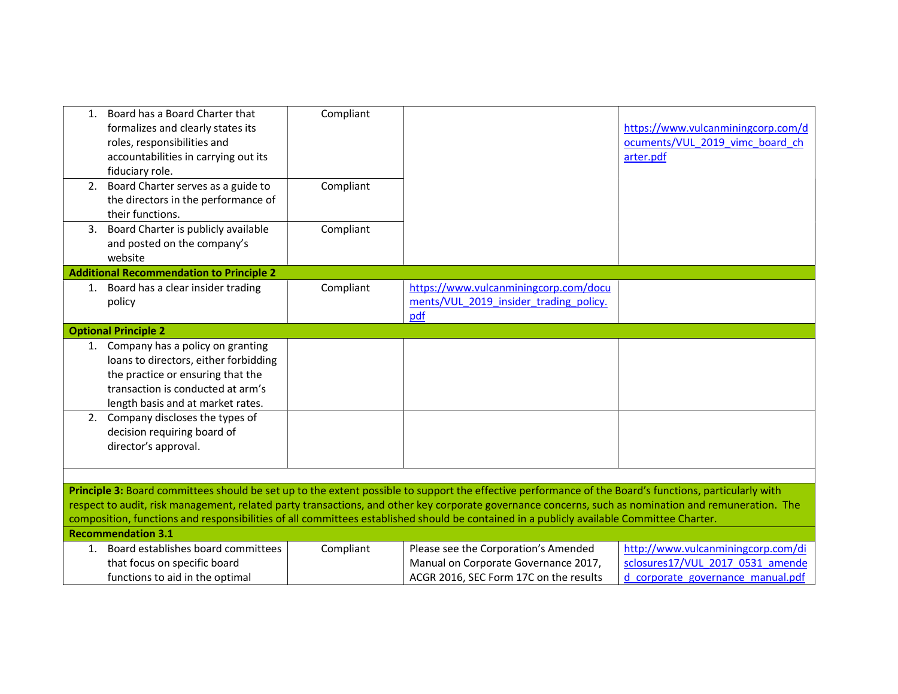| 1.<br>roles, responsibilities and<br>fiduciary role.                                     | Board has a Board Charter that<br>formalizes and clearly states its<br>accountabilities in carrying out its                                          | Compliant |                                                                                                                                                                                                                                                                                                                                                                                                                                                            | https://www.vulcanminingcorp.com/d<br>ocuments/VUL 2019 vimc board ch<br>arter.pdf                          |
|------------------------------------------------------------------------------------------|------------------------------------------------------------------------------------------------------------------------------------------------------|-----------|------------------------------------------------------------------------------------------------------------------------------------------------------------------------------------------------------------------------------------------------------------------------------------------------------------------------------------------------------------------------------------------------------------------------------------------------------------|-------------------------------------------------------------------------------------------------------------|
| 2.<br>their functions.                                                                   | Board Charter serves as a guide to<br>the directors in the performance of                                                                            | Compliant |                                                                                                                                                                                                                                                                                                                                                                                                                                                            |                                                                                                             |
| 3.<br>and posted on the company's<br>website                                             | Board Charter is publicly available                                                                                                                  | Compliant |                                                                                                                                                                                                                                                                                                                                                                                                                                                            |                                                                                                             |
| <b>Additional Recommendation to Principle 2</b>                                          |                                                                                                                                                      |           |                                                                                                                                                                                                                                                                                                                                                                                                                                                            |                                                                                                             |
| 1.<br>policy                                                                             | Board has a clear insider trading                                                                                                                    | Compliant | https://www.vulcanminingcorp.com/docu<br>ments/VUL 2019 insider trading policy.<br>pdf                                                                                                                                                                                                                                                                                                                                                                     |                                                                                                             |
| <b>Optional Principle 2</b>                                                              |                                                                                                                                                      |           |                                                                                                                                                                                                                                                                                                                                                                                                                                                            |                                                                                                             |
| 1. Company has a policy on granting                                                      | loans to directors, either forbidding<br>the practice or ensuring that the<br>transaction is conducted at arm's<br>length basis and at market rates. |           |                                                                                                                                                                                                                                                                                                                                                                                                                                                            |                                                                                                             |
| 2. Company discloses the types of<br>decision requiring board of<br>director's approval. |                                                                                                                                                      |           |                                                                                                                                                                                                                                                                                                                                                                                                                                                            |                                                                                                             |
|                                                                                          |                                                                                                                                                      |           |                                                                                                                                                                                                                                                                                                                                                                                                                                                            |                                                                                                             |
|                                                                                          |                                                                                                                                                      |           | Principle 3: Board committees should be set up to the extent possible to support the effective performance of the Board's functions, particularly with<br>respect to audit, risk management, related party transactions, and other key corporate governance concerns, such as nomination and remuneration. The<br>composition, functions and responsibilities of all committees established should be contained in a publicly available Committee Charter. |                                                                                                             |
| <b>Recommendation 3.1</b>                                                                |                                                                                                                                                      |           |                                                                                                                                                                                                                                                                                                                                                                                                                                                            |                                                                                                             |
| 1.<br>that focus on specific board<br>functions to aid in the optimal                    | Board establishes board committees                                                                                                                   | Compliant | Please see the Corporation's Amended<br>Manual on Corporate Governance 2017,<br>ACGR 2016, SEC Form 17C on the results                                                                                                                                                                                                                                                                                                                                     | http://www.vulcanminingcorp.com/di<br>sclosures17/VUL 2017 0531 amende<br>d corporate governance manual.pdf |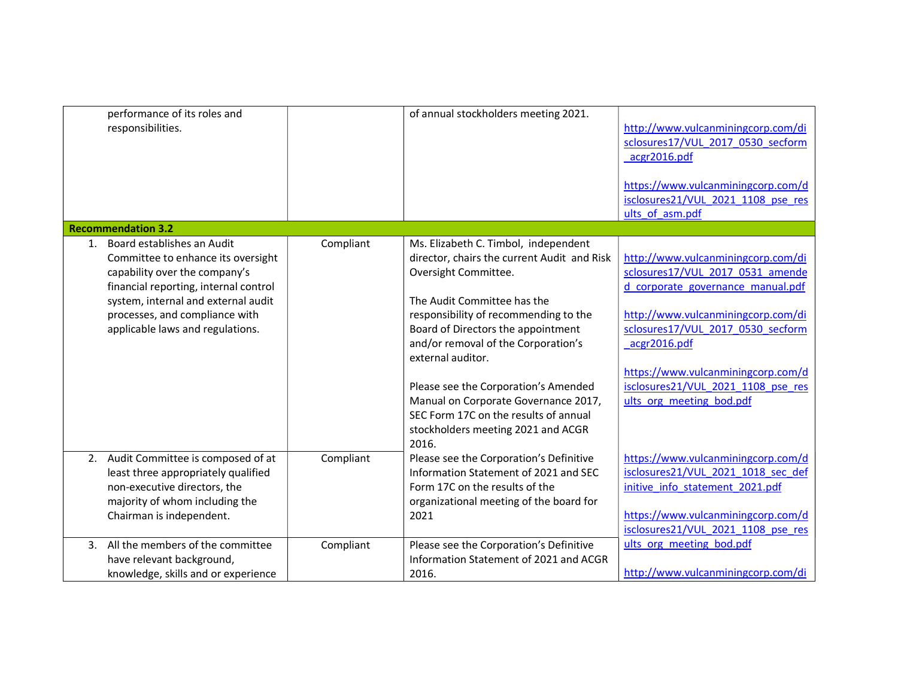| performance of its roles and<br>responsibilities.                                                                                                                                                                                                          |           | of annual stockholders meeting 2021.                                                                                                                                                                                                                                                                                                                                                                                                                          | http://www.vulcanminingcorp.com/di<br>sclosures17/VUL 2017 0530 secform<br>acgr2016.pdf<br>https://www.vulcanminingcorp.com/d<br>isclosures21/VUL 2021 1108 pse res<br>ults of asm.pdf                                                                                                                         |
|------------------------------------------------------------------------------------------------------------------------------------------------------------------------------------------------------------------------------------------------------------|-----------|---------------------------------------------------------------------------------------------------------------------------------------------------------------------------------------------------------------------------------------------------------------------------------------------------------------------------------------------------------------------------------------------------------------------------------------------------------------|----------------------------------------------------------------------------------------------------------------------------------------------------------------------------------------------------------------------------------------------------------------------------------------------------------------|
| <b>Recommendation 3.2</b>                                                                                                                                                                                                                                  |           |                                                                                                                                                                                                                                                                                                                                                                                                                                                               |                                                                                                                                                                                                                                                                                                                |
| 1. Board establishes an Audit<br>Committee to enhance its oversight<br>capability over the company's<br>financial reporting, internal control<br>system, internal and external audit<br>processes, and compliance with<br>applicable laws and regulations. | Compliant | Ms. Elizabeth C. Timbol, independent<br>director, chairs the current Audit and Risk<br>Oversight Committee.<br>The Audit Committee has the<br>responsibility of recommending to the<br>Board of Directors the appointment<br>and/or removal of the Corporation's<br>external auditor.<br>Please see the Corporation's Amended<br>Manual on Corporate Governance 2017,<br>SEC Form 17C on the results of annual<br>stockholders meeting 2021 and ACGR<br>2016. | http://www.vulcanminingcorp.com/di<br>sclosures17/VUL 2017 0531 amende<br>d corporate governance manual.pdf<br>http://www.vulcanminingcorp.com/di<br>sclosures17/VUL 2017 0530 secform<br>acgr2016.pdf<br>https://www.vulcanminingcorp.com/d<br>isclosures21/VUL 2021 1108 pse res<br>ults org meeting bod.pdf |
| 2. Audit Committee is composed of at<br>least three appropriately qualified<br>non-executive directors, the<br>majority of whom including the<br>Chairman is independent.                                                                                  | Compliant | Please see the Corporation's Definitive<br>Information Statement of 2021 and SEC<br>Form 17C on the results of the<br>organizational meeting of the board for<br>2021                                                                                                                                                                                                                                                                                         | https://www.vulcanminingcorp.com/d<br>isclosures21/VUL 2021 1018 sec def<br>initive info statement 2021.pdf<br>https://www.vulcanminingcorp.com/d<br>isclosures21/VUL 2021 1108 pse res                                                                                                                        |
| 3. All the members of the committee<br>have relevant background,<br>knowledge, skills and or experience                                                                                                                                                    | Compliant | Please see the Corporation's Definitive<br>Information Statement of 2021 and ACGR<br>2016.                                                                                                                                                                                                                                                                                                                                                                    | ults org meeting bod.pdf<br>http://www.vulcanminingcorp.com/di                                                                                                                                                                                                                                                 |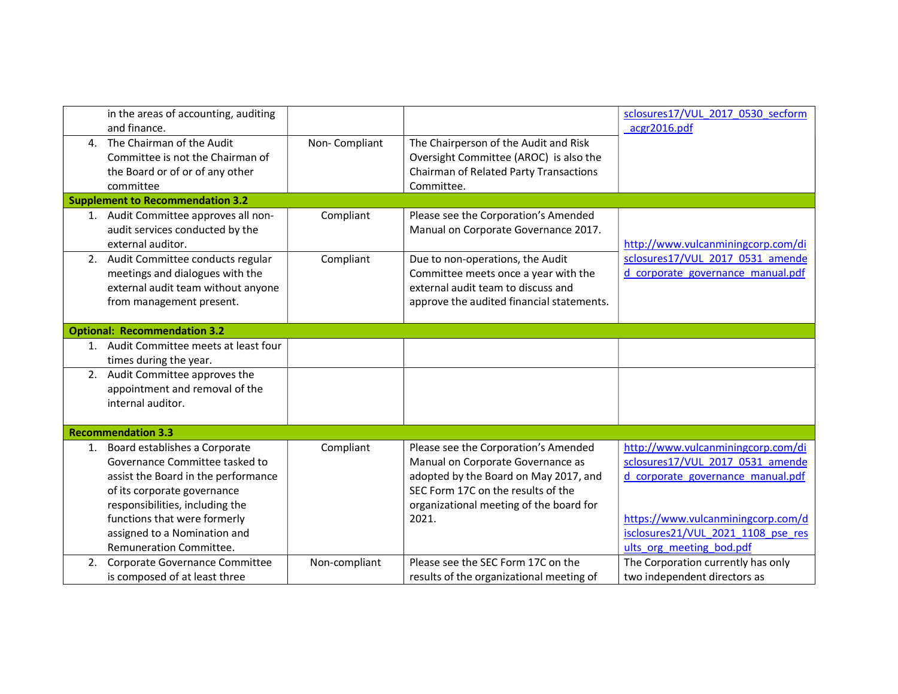|              | in the areas of accounting, auditing<br>and finance.                                                                                                                                                                                                                          |               |                                                                                                                                                                                                              | sclosures17/VUL 2017 0530 secform<br>acgr2016.pdf                                                                                                                                                                   |
|--------------|-------------------------------------------------------------------------------------------------------------------------------------------------------------------------------------------------------------------------------------------------------------------------------|---------------|--------------------------------------------------------------------------------------------------------------------------------------------------------------------------------------------------------------|---------------------------------------------------------------------------------------------------------------------------------------------------------------------------------------------------------------------|
| $\mathbf{4}$ | The Chairman of the Audit<br>Committee is not the Chairman of<br>the Board or of or of any other<br>committee                                                                                                                                                                 | Non-Compliant | The Chairperson of the Audit and Risk<br>Oversight Committee (AROC) is also the<br>Chairman of Related Party Transactions<br>Committee.                                                                      |                                                                                                                                                                                                                     |
|              | <b>Supplement to Recommendation 3.2</b>                                                                                                                                                                                                                                       |               |                                                                                                                                                                                                              |                                                                                                                                                                                                                     |
|              | 1. Audit Committee approves all non-<br>audit services conducted by the<br>external auditor.                                                                                                                                                                                  | Compliant     | Please see the Corporation's Amended<br>Manual on Corporate Governance 2017.                                                                                                                                 | http://www.vulcanminingcorp.com/di                                                                                                                                                                                  |
| 2.           | Audit Committee conducts regular<br>meetings and dialogues with the<br>external audit team without anyone<br>from management present.                                                                                                                                         | Compliant     | Due to non-operations, the Audit<br>Committee meets once a year with the<br>external audit team to discuss and<br>approve the audited financial statements.                                                  | sclosures17/VUL 2017 0531 amende<br>d corporate governance manual.pdf                                                                                                                                               |
|              | <b>Optional: Recommendation 3.2</b>                                                                                                                                                                                                                                           |               |                                                                                                                                                                                                              |                                                                                                                                                                                                                     |
|              | 1. Audit Committee meets at least four<br>times during the year.                                                                                                                                                                                                              |               |                                                                                                                                                                                                              |                                                                                                                                                                                                                     |
| 2.           | Audit Committee approves the<br>appointment and removal of the<br>internal auditor.                                                                                                                                                                                           |               |                                                                                                                                                                                                              |                                                                                                                                                                                                                     |
|              | <b>Recommendation 3.3</b>                                                                                                                                                                                                                                                     |               |                                                                                                                                                                                                              |                                                                                                                                                                                                                     |
|              | 1. Board establishes a Corporate<br>Governance Committee tasked to<br>assist the Board in the performance<br>of its corporate governance<br>responsibilities, including the<br>functions that were formerly<br>assigned to a Nomination and<br><b>Remuneration Committee.</b> | Compliant     | Please see the Corporation's Amended<br>Manual on Corporate Governance as<br>adopted by the Board on May 2017, and<br>SEC Form 17C on the results of the<br>organizational meeting of the board for<br>2021. | http://www.vulcanminingcorp.com/di<br>sclosures17/VUL 2017 0531 amende<br>d corporate governance manual.pdf<br>https://www.vulcanminingcorp.com/d<br>isclosures21/VUL 2021 1108 pse res<br>ults org meeting bod.pdf |
| 2.           | Corporate Governance Committee<br>is composed of at least three                                                                                                                                                                                                               | Non-compliant | Please see the SEC Form 17C on the<br>results of the organizational meeting of                                                                                                                               | The Corporation currently has only<br>two independent directors as                                                                                                                                                  |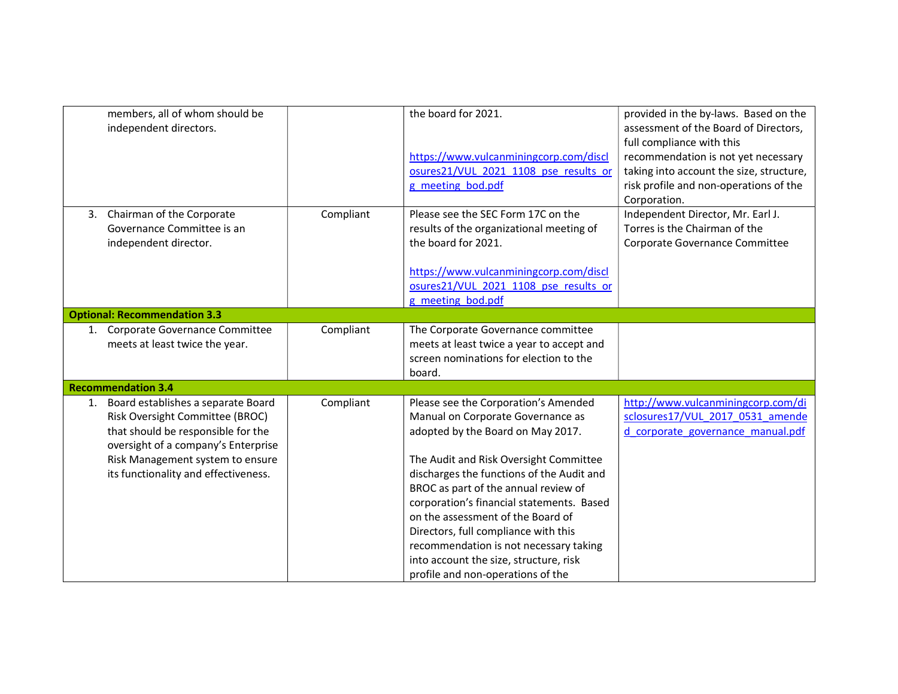| members, all of whom should be<br>independent directors.                                                                                                                                                                          |           | the board for 2021.<br>https://www.vulcanminingcorp.com/discl<br>osures21/VUL 2021 1108 pse results or<br>g meeting bod.pdf                                                                                                                                                                                                                                                                                                                                                                      | provided in the by-laws. Based on the<br>assessment of the Board of Directors,<br>full compliance with this<br>recommendation is not yet necessary<br>taking into account the size, structure,<br>risk profile and non-operations of the<br>Corporation. |
|-----------------------------------------------------------------------------------------------------------------------------------------------------------------------------------------------------------------------------------|-----------|--------------------------------------------------------------------------------------------------------------------------------------------------------------------------------------------------------------------------------------------------------------------------------------------------------------------------------------------------------------------------------------------------------------------------------------------------------------------------------------------------|----------------------------------------------------------------------------------------------------------------------------------------------------------------------------------------------------------------------------------------------------------|
| 3. Chairman of the Corporate<br>Governance Committee is an<br>independent director.                                                                                                                                               | Compliant | Please see the SEC Form 17C on the<br>results of the organizational meeting of<br>the board for 2021.<br>https://www.vulcanminingcorp.com/discl<br>osures21/VUL 2021 1108 pse results or<br>g meeting bod.pdf                                                                                                                                                                                                                                                                                    | Independent Director, Mr. Earl J.<br>Torres is the Chairman of the<br>Corporate Governance Committee                                                                                                                                                     |
| <b>Optional: Recommendation 3.3</b>                                                                                                                                                                                               |           |                                                                                                                                                                                                                                                                                                                                                                                                                                                                                                  |                                                                                                                                                                                                                                                          |
| 1. Corporate Governance Committee<br>meets at least twice the year.                                                                                                                                                               | Compliant | The Corporate Governance committee<br>meets at least twice a year to accept and<br>screen nominations for election to the<br>board.                                                                                                                                                                                                                                                                                                                                                              |                                                                                                                                                                                                                                                          |
| <b>Recommendation 3.4</b>                                                                                                                                                                                                         |           |                                                                                                                                                                                                                                                                                                                                                                                                                                                                                                  |                                                                                                                                                                                                                                                          |
| 1. Board establishes a separate Board<br>Risk Oversight Committee (BROC)<br>that should be responsible for the<br>oversight of a company's Enterprise<br>Risk Management system to ensure<br>its functionality and effectiveness. | Compliant | Please see the Corporation's Amended<br>Manual on Corporate Governance as<br>adopted by the Board on May 2017.<br>The Audit and Risk Oversight Committee<br>discharges the functions of the Audit and<br>BROC as part of the annual review of<br>corporation's financial statements. Based<br>on the assessment of the Board of<br>Directors, full compliance with this<br>recommendation is not necessary taking<br>into account the size, structure, risk<br>profile and non-operations of the | http://www.vulcanminingcorp.com/di<br>sclosures17/VUL 2017 0531 amende<br>d corporate governance manual.pdf                                                                                                                                              |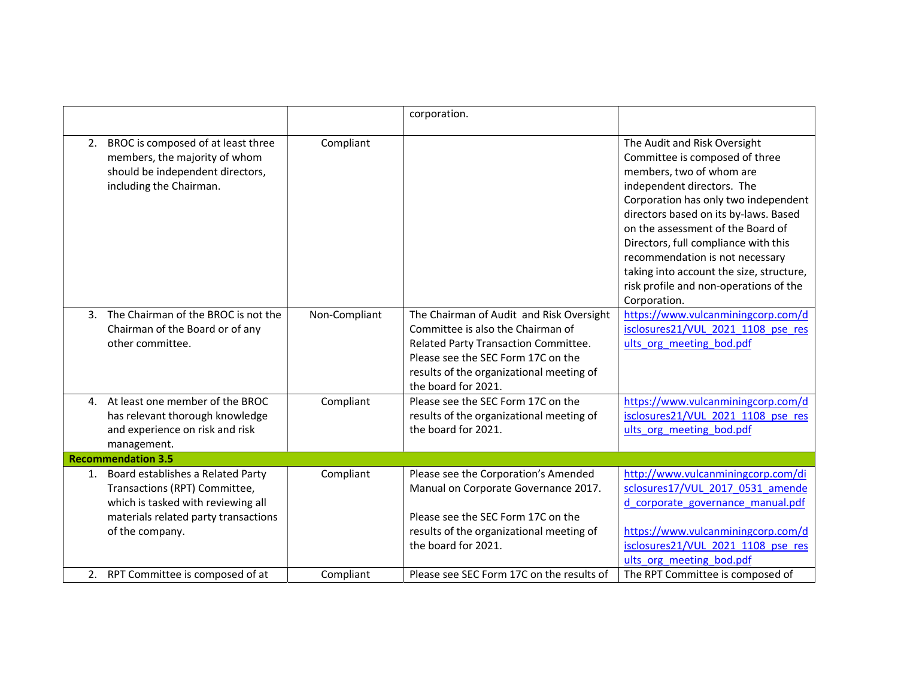|                |                                                                                                                                                                     |               | corporation.                                                                                                                                                                                                                   |                                                                                                                                                                                                                                                                                                                                                                                                                                 |
|----------------|---------------------------------------------------------------------------------------------------------------------------------------------------------------------|---------------|--------------------------------------------------------------------------------------------------------------------------------------------------------------------------------------------------------------------------------|---------------------------------------------------------------------------------------------------------------------------------------------------------------------------------------------------------------------------------------------------------------------------------------------------------------------------------------------------------------------------------------------------------------------------------|
| 2.             | BROC is composed of at least three<br>members, the majority of whom<br>should be independent directors,<br>including the Chairman.                                  | Compliant     |                                                                                                                                                                                                                                | The Audit and Risk Oversight<br>Committee is composed of three<br>members, two of whom are<br>independent directors. The<br>Corporation has only two independent<br>directors based on its by-laws. Based<br>on the assessment of the Board of<br>Directors, full compliance with this<br>recommendation is not necessary<br>taking into account the size, structure,<br>risk profile and non-operations of the<br>Corporation. |
| 3 <sup>1</sup> | The Chairman of the BROC is not the<br>Chairman of the Board or of any<br>other committee.                                                                          | Non-Compliant | The Chairman of Audit and Risk Oversight<br>Committee is also the Chairman of<br>Related Party Transaction Committee.<br>Please see the SEC Form 17C on the<br>results of the organizational meeting of<br>the board for 2021. | https://www.vulcanminingcorp.com/d<br>isclosures21/VUL 2021 1108 pse res<br>ults org meeting bod.pdf                                                                                                                                                                                                                                                                                                                            |
|                | 4. At least one member of the BROC<br>has relevant thorough knowledge<br>and experience on risk and risk<br>management.                                             | Compliant     | Please see the SEC Form 17C on the<br>results of the organizational meeting of<br>the board for 2021.                                                                                                                          | https://www.vulcanminingcorp.com/d<br>isclosures21/VUL 2021 1108 pse res<br>ults org meeting bod.pdf                                                                                                                                                                                                                                                                                                                            |
|                | <b>Recommendation 3.5</b>                                                                                                                                           |               |                                                                                                                                                                                                                                |                                                                                                                                                                                                                                                                                                                                                                                                                                 |
| 1.             | Board establishes a Related Party<br>Transactions (RPT) Committee,<br>which is tasked with reviewing all<br>materials related party transactions<br>of the company. | Compliant     | Please see the Corporation's Amended<br>Manual on Corporate Governance 2017.<br>Please see the SEC Form 17C on the<br>results of the organizational meeting of<br>the board for 2021.                                          | http://www.vulcanminingcorp.com/di<br>sclosures17/VUL 2017 0531 amende<br>d corporate governance manual.pdf<br>https://www.vulcanminingcorp.com/d<br>isclosures21/VUL 2021 1108 pse res<br>ults org meeting bod.pdf                                                                                                                                                                                                             |
|                | 2. RPT Committee is composed of at                                                                                                                                  | Compliant     | Please see SEC Form 17C on the results of                                                                                                                                                                                      | The RPT Committee is composed of                                                                                                                                                                                                                                                                                                                                                                                                |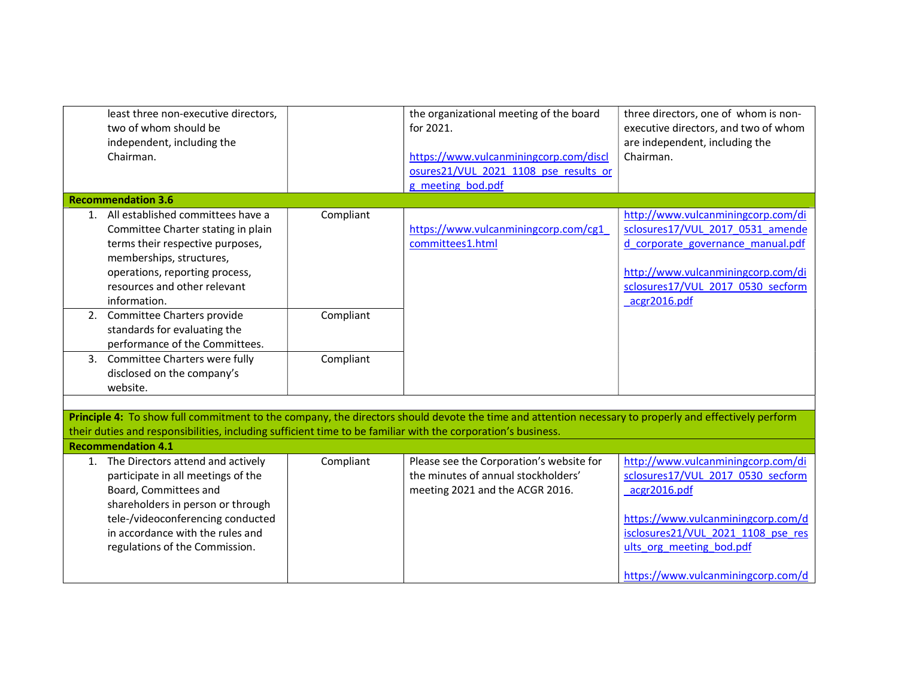| least three non-executive directors,<br>two of whom should be<br>independent, including the<br>Chairman.                                                                                                                                            |           | the organizational meeting of the board<br>for 2021.<br>https://www.vulcanminingcorp.com/discl<br>osures21/VUL 2021 1108 pse results or<br>g meeting bod.pdf | three directors, one of whom is non-<br>executive directors, and two of whom<br>are independent, including the<br>Chairman.                                                                            |
|-----------------------------------------------------------------------------------------------------------------------------------------------------------------------------------------------------------------------------------------------------|-----------|--------------------------------------------------------------------------------------------------------------------------------------------------------------|--------------------------------------------------------------------------------------------------------------------------------------------------------------------------------------------------------|
| <b>Recommendation 3.6</b>                                                                                                                                                                                                                           |           |                                                                                                                                                              |                                                                                                                                                                                                        |
| 1. All established committees have a<br>Committee Charter stating in plain<br>terms their respective purposes,<br>memberships, structures,<br>operations, reporting process,<br>resources and other relevant<br>information.                        | Compliant | https://www.vulcanminingcorp.com/cg1<br>committees1.html                                                                                                     | http://www.vulcanminingcorp.com/di<br>sclosures17/VUL 2017 0531 amende<br>d corporate governance manual.pdf<br>http://www.vulcanminingcorp.com/di<br>sclosures17/VUL 2017 0530 secform<br>acgr2016.pdf |
| 2. Committee Charters provide<br>standards for evaluating the<br>performance of the Committees.                                                                                                                                                     | Compliant |                                                                                                                                                              |                                                                                                                                                                                                        |
| 3. Committee Charters were fully<br>disclosed on the company's<br>website.                                                                                                                                                                          | Compliant |                                                                                                                                                              |                                                                                                                                                                                                        |
|                                                                                                                                                                                                                                                     |           |                                                                                                                                                              |                                                                                                                                                                                                        |
|                                                                                                                                                                                                                                                     |           | Principle 4: To show full commitment to the company, the directors should devote the time and attention necessary to properly and effectively perform        |                                                                                                                                                                                                        |
| their duties and responsibilities, including sufficient time to be familiar with the corporation's business.                                                                                                                                        |           |                                                                                                                                                              |                                                                                                                                                                                                        |
| <b>Recommendation 4.1</b>                                                                                                                                                                                                                           |           |                                                                                                                                                              |                                                                                                                                                                                                        |
| 1. The Directors attend and actively<br>participate in all meetings of the<br>Board, Committees and<br>shareholders in person or through<br>tele-/videoconferencing conducted<br>in accordance with the rules and<br>regulations of the Commission. | Compliant | Please see the Corporation's website for<br>the minutes of annual stockholders'<br>meeting 2021 and the ACGR 2016.                                           | http://www.vulcanminingcorp.com/di<br>sclosures17/VUL 2017 0530 secform<br>acgr2016.pdf<br>https://www.vulcanminingcorp.com/d<br>isclosures21/VUL 2021 1108 pse res<br>ults org meeting bod.pdf        |
|                                                                                                                                                                                                                                                     |           |                                                                                                                                                              | https://www.vulcanminingcorp.com/d                                                                                                                                                                     |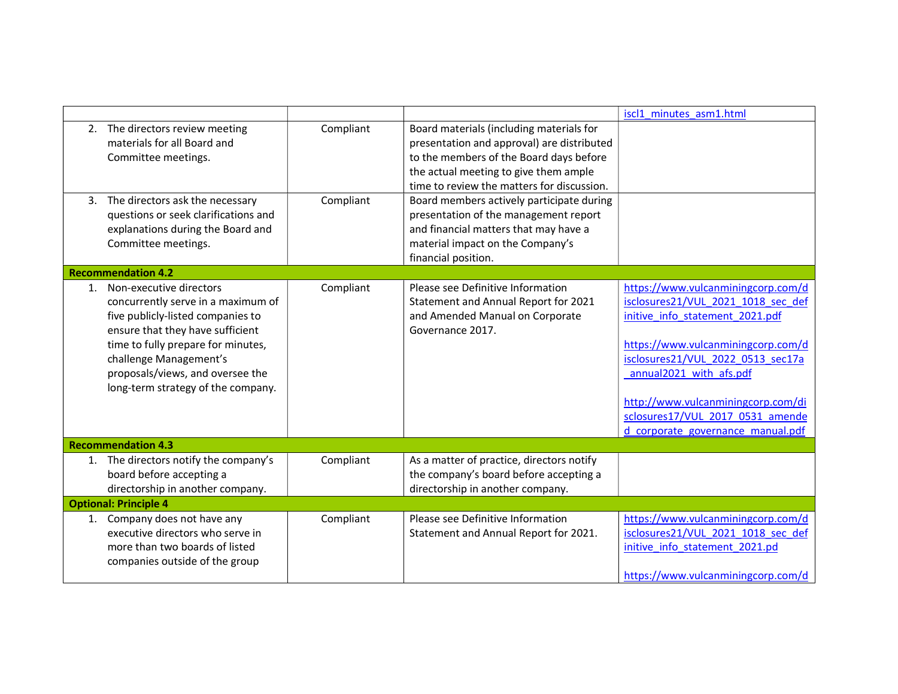|         |                                                                                                                                                                                                                                                                                  |           |                                                                                                                                                                                                                          | iscl1 minutes asm1.html                                                                                                                                                                                                                                                                                                          |
|---------|----------------------------------------------------------------------------------------------------------------------------------------------------------------------------------------------------------------------------------------------------------------------------------|-----------|--------------------------------------------------------------------------------------------------------------------------------------------------------------------------------------------------------------------------|----------------------------------------------------------------------------------------------------------------------------------------------------------------------------------------------------------------------------------------------------------------------------------------------------------------------------------|
|         | 2. The directors review meeting<br>materials for all Board and<br>Committee meetings.                                                                                                                                                                                            | Compliant | Board materials (including materials for<br>presentation and approval) are distributed<br>to the members of the Board days before<br>the actual meeting to give them ample<br>time to review the matters for discussion. |                                                                                                                                                                                                                                                                                                                                  |
|         | 3. The directors ask the necessary<br>questions or seek clarifications and<br>explanations during the Board and<br>Committee meetings.                                                                                                                                           | Compliant | Board members actively participate during<br>presentation of the management report<br>and financial matters that may have a<br>material impact on the Company's<br>financial position.                                   |                                                                                                                                                                                                                                                                                                                                  |
|         | <b>Recommendation 4.2</b>                                                                                                                                                                                                                                                        |           |                                                                                                                                                                                                                          |                                                                                                                                                                                                                                                                                                                                  |
| $1_{-}$ | Non-executive directors<br>concurrently serve in a maximum of<br>five publicly-listed companies to<br>ensure that they have sufficient<br>time to fully prepare for minutes,<br>challenge Management's<br>proposals/views, and oversee the<br>long-term strategy of the company. | Compliant | Please see Definitive Information<br>Statement and Annual Report for 2021<br>and Amended Manual on Corporate<br>Governance 2017.                                                                                         | https://www.vulcanminingcorp.com/d<br>isclosures21/VUL 2021 1018 sec def<br>initive info statement 2021.pdf<br>https://www.vulcanminingcorp.com/d<br>isclosures21/VUL 2022 0513 sec17a<br>annual2021 with afs.pdf<br>http://www.vulcanminingcorp.com/di<br>sclosures17/VUL 2017 0531 amende<br>d corporate governance manual.pdf |
|         | <b>Recommendation 4.3</b>                                                                                                                                                                                                                                                        |           |                                                                                                                                                                                                                          |                                                                                                                                                                                                                                                                                                                                  |
|         | 1. The directors notify the company's<br>board before accepting a<br>directorship in another company.                                                                                                                                                                            | Compliant | As a matter of practice, directors notify<br>the company's board before accepting a<br>directorship in another company.                                                                                                  |                                                                                                                                                                                                                                                                                                                                  |
|         | <b>Optional: Principle 4</b>                                                                                                                                                                                                                                                     |           |                                                                                                                                                                                                                          |                                                                                                                                                                                                                                                                                                                                  |
|         | 1. Company does not have any<br>executive directors who serve in<br>more than two boards of listed<br>companies outside of the group                                                                                                                                             | Compliant | Please see Definitive Information<br>Statement and Annual Report for 2021.                                                                                                                                               | https://www.vulcanminingcorp.com/d<br>isclosures21/VUL 2021 1018 sec def<br>initive info statement 2021.pd<br>https://www.vulcanminingcorp.com/d                                                                                                                                                                                 |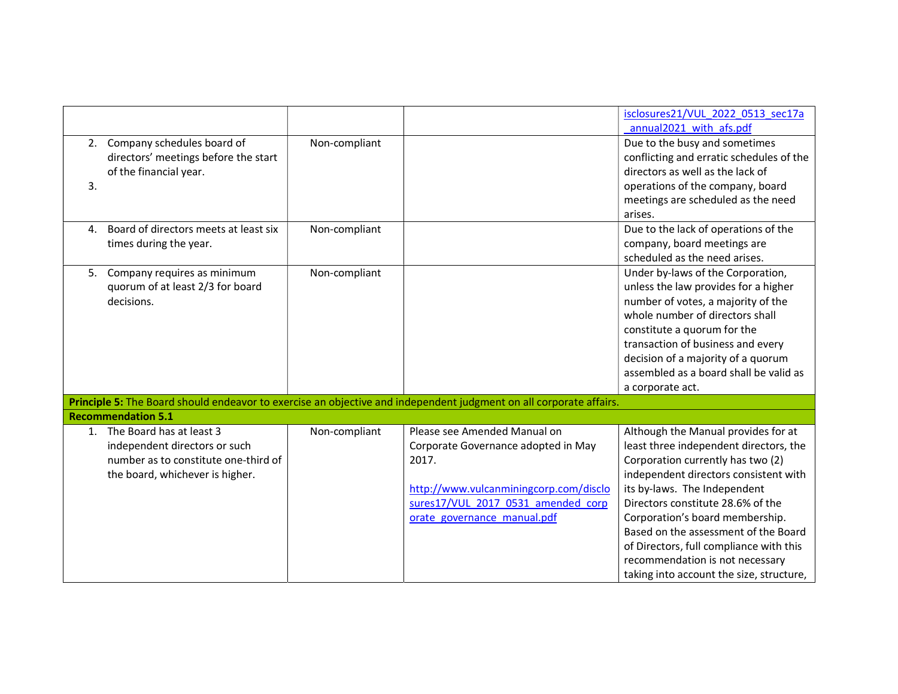|                                                                                                                    |               |                                        | isclosures21/VUL 2022 0513 sec17a<br>annual2021 with afs.pdf |
|--------------------------------------------------------------------------------------------------------------------|---------------|----------------------------------------|--------------------------------------------------------------|
| Company schedules board of<br>2.                                                                                   | Non-compliant |                                        | Due to the busy and sometimes                                |
| directors' meetings before the start                                                                               |               |                                        | conflicting and erratic schedules of the                     |
| of the financial year.                                                                                             |               |                                        | directors as well as the lack of                             |
| 3.                                                                                                                 |               |                                        | operations of the company, board                             |
|                                                                                                                    |               |                                        | meetings are scheduled as the need                           |
|                                                                                                                    |               |                                        | arises.                                                      |
| Board of directors meets at least six<br>$\mathbf{4}$                                                              | Non-compliant |                                        | Due to the lack of operations of the                         |
| times during the year.                                                                                             |               |                                        | company, board meetings are                                  |
|                                                                                                                    |               |                                        | scheduled as the need arises.                                |
|                                                                                                                    |               |                                        | Under by-laws of the Corporation,                            |
| Company requires as minimum<br>5.<br>quorum of at least 2/3 for board                                              | Non-compliant |                                        | unless the law provides for a higher                         |
| decisions.                                                                                                         |               |                                        | number of votes, a majority of the                           |
|                                                                                                                    |               |                                        | whole number of directors shall                              |
|                                                                                                                    |               |                                        |                                                              |
|                                                                                                                    |               |                                        | constitute a quorum for the                                  |
|                                                                                                                    |               |                                        | transaction of business and every                            |
|                                                                                                                    |               |                                        | decision of a majority of a quorum                           |
|                                                                                                                    |               |                                        | assembled as a board shall be valid as                       |
|                                                                                                                    |               |                                        | a corporate act.                                             |
| Principle 5: The Board should endeavor to exercise an objective and independent judgment on all corporate affairs. |               |                                        |                                                              |
| <b>Recommendation 5.1</b>                                                                                          |               |                                        |                                                              |
| 1. The Board has at least 3                                                                                        | Non-compliant | Please see Amended Manual on           | Although the Manual provides for at                          |
| independent directors or such                                                                                      |               | Corporate Governance adopted in May    | least three independent directors, the                       |
| number as to constitute one-third of                                                                               |               | 2017.                                  | Corporation currently has two (2)                            |
| the board, whichever is higher.                                                                                    |               |                                        | independent directors consistent with                        |
|                                                                                                                    |               | http://www.vulcanminingcorp.com/disclo | its by-laws. The Independent                                 |
|                                                                                                                    |               | sures17/VUL 2017 0531 amended corp     | Directors constitute 28.6% of the                            |
|                                                                                                                    |               | orate governance manual.pdf            | Corporation's board membership.                              |
|                                                                                                                    |               |                                        | Based on the assessment of the Board                         |
|                                                                                                                    |               |                                        | of Directors, full compliance with this                      |
|                                                                                                                    |               |                                        | recommendation is not necessary                              |
|                                                                                                                    |               |                                        | taking into account the size, structure,                     |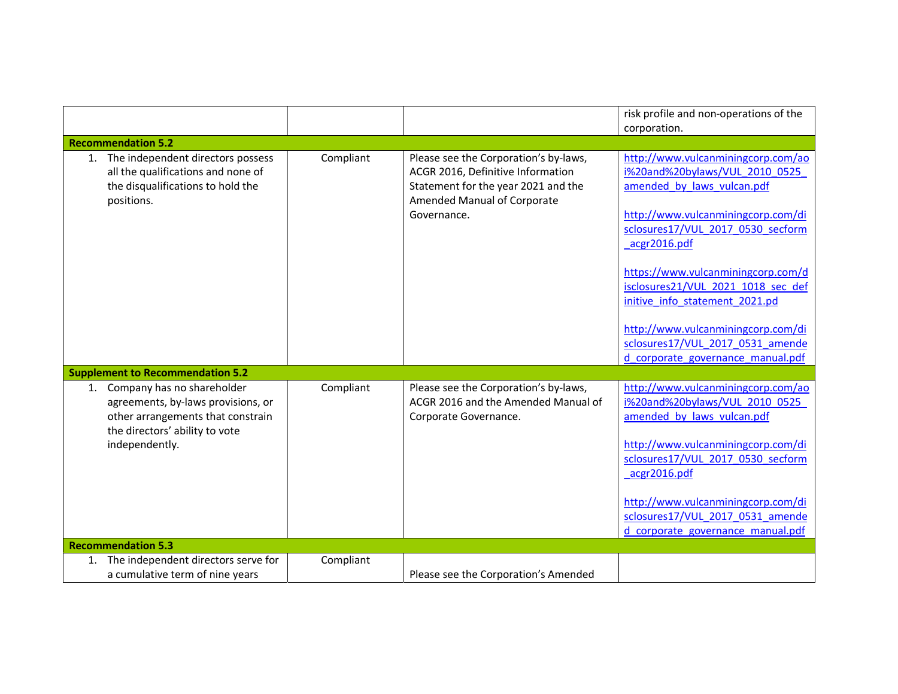|                                                                                                                                                                 |           |                                                                                                                                                                 | risk profile and non-operations of the                                                                                                                                                                                                                                                                                                                                                |
|-----------------------------------------------------------------------------------------------------------------------------------------------------------------|-----------|-----------------------------------------------------------------------------------------------------------------------------------------------------------------|---------------------------------------------------------------------------------------------------------------------------------------------------------------------------------------------------------------------------------------------------------------------------------------------------------------------------------------------------------------------------------------|
|                                                                                                                                                                 |           |                                                                                                                                                                 | corporation.                                                                                                                                                                                                                                                                                                                                                                          |
| <b>Recommendation 5.2</b>                                                                                                                                       |           |                                                                                                                                                                 |                                                                                                                                                                                                                                                                                                                                                                                       |
| The independent directors possess<br>1.<br>all the qualifications and none of<br>the disqualifications to hold the<br>positions.                                | Compliant | Please see the Corporation's by-laws,<br>ACGR 2016, Definitive Information<br>Statement for the year 2021 and the<br>Amended Manual of Corporate<br>Governance. | http://www.vulcanminingcorp.com/ao<br>i%20and%20bylaws/VUL 2010 0525<br>amended by laws vulcan.pdf<br>http://www.vulcanminingcorp.com/di<br>sclosures17/VUL 2017 0530 secform<br>acgr2016.pdf<br>https://www.vulcanminingcorp.com/d<br>isclosures21/VUL 2021 1018 sec def<br>initive info statement 2021.pd<br>http://www.vulcanminingcorp.com/di<br>sclosures17/VUL 2017 0531 amende |
|                                                                                                                                                                 |           |                                                                                                                                                                 | d corporate governance manual.pdf                                                                                                                                                                                                                                                                                                                                                     |
| <b>Supplement to Recommendation 5.2</b>                                                                                                                         |           |                                                                                                                                                                 |                                                                                                                                                                                                                                                                                                                                                                                       |
| Company has no shareholder<br>1.<br>agreements, by-laws provisions, or<br>other arrangements that constrain<br>the directors' ability to vote<br>independently. | Compliant | Please see the Corporation's by-laws,<br>ACGR 2016 and the Amended Manual of<br>Corporate Governance.                                                           | http://www.vulcanminingcorp.com/ao<br>i%20and%20bylaws/VUL 2010 0525<br>amended by laws vulcan.pdf<br>http://www.vulcanminingcorp.com/di<br>sclosures17/VUL 2017 0530 secform<br>acgr2016.pdf<br>http://www.vulcanminingcorp.com/di<br>sclosures17/VUL 2017 0531 amende<br>d corporate governance manual.pdf                                                                          |
| <b>Recommendation 5.3</b>                                                                                                                                       |           |                                                                                                                                                                 |                                                                                                                                                                                                                                                                                                                                                                                       |
| 1. The independent directors serve for                                                                                                                          | Compliant |                                                                                                                                                                 |                                                                                                                                                                                                                                                                                                                                                                                       |
| a cumulative term of nine years                                                                                                                                 |           | Please see the Corporation's Amended                                                                                                                            |                                                                                                                                                                                                                                                                                                                                                                                       |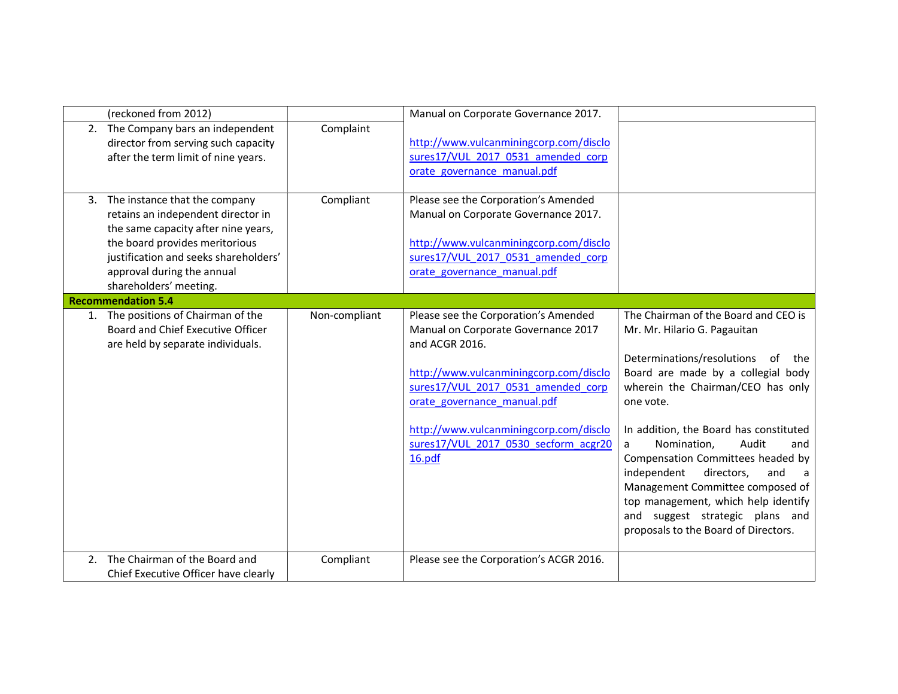|    | (reckoned from 2012)                                                                                                                                                                                                                             |               | Manual on Corporate Governance 2017.                                                                                                                                                                                                                                                                     |                                                                                                                                                                                                                                                                                                                                                                                                                                                                                                                           |
|----|--------------------------------------------------------------------------------------------------------------------------------------------------------------------------------------------------------------------------------------------------|---------------|----------------------------------------------------------------------------------------------------------------------------------------------------------------------------------------------------------------------------------------------------------------------------------------------------------|---------------------------------------------------------------------------------------------------------------------------------------------------------------------------------------------------------------------------------------------------------------------------------------------------------------------------------------------------------------------------------------------------------------------------------------------------------------------------------------------------------------------------|
|    |                                                                                                                                                                                                                                                  |               |                                                                                                                                                                                                                                                                                                          |                                                                                                                                                                                                                                                                                                                                                                                                                                                                                                                           |
|    | 2. The Company bars an independent<br>director from serving such capacity<br>after the term limit of nine years.                                                                                                                                 | Complaint     | http://www.vulcanminingcorp.com/disclo<br>sures17/VUL 2017 0531 amended corp<br>orate governance manual.pdf                                                                                                                                                                                              |                                                                                                                                                                                                                                                                                                                                                                                                                                                                                                                           |
|    | 3. The instance that the company<br>retains an independent director in<br>the same capacity after nine years,<br>the board provides meritorious<br>justification and seeks shareholders'<br>approval during the annual<br>shareholders' meeting. | Compliant     | Please see the Corporation's Amended<br>Manual on Corporate Governance 2017.<br>http://www.vulcanminingcorp.com/disclo<br>sures17/VUL 2017 0531 amended corp<br>orate governance manual.pdf                                                                                                              |                                                                                                                                                                                                                                                                                                                                                                                                                                                                                                                           |
|    | <b>Recommendation 5.4</b>                                                                                                                                                                                                                        |               |                                                                                                                                                                                                                                                                                                          |                                                                                                                                                                                                                                                                                                                                                                                                                                                                                                                           |
|    | 1. The positions of Chairman of the<br>Board and Chief Executive Officer<br>are held by separate individuals.                                                                                                                                    | Non-compliant | Please see the Corporation's Amended<br>Manual on Corporate Governance 2017<br>and ACGR 2016.<br>http://www.vulcanminingcorp.com/disclo<br>sures17/VUL 2017 0531 amended corp<br>orate governance manual.pdf<br>http://www.vulcanminingcorp.com/disclo<br>sures17/VUL_2017_0530_secform_acgr20<br>16.pdf | The Chairman of the Board and CEO is<br>Mr. Mr. Hilario G. Pagauitan<br>Determinations/resolutions<br>of<br>the<br>Board are made by a collegial body<br>wherein the Chairman/CEO has only<br>one vote.<br>In addition, the Board has constituted<br>Nomination,<br>Audit<br>a<br>and<br>Compensation Committees headed by<br>independent<br>directors,<br>and<br>a<br>Management Committee composed of<br>top management, which help identify<br>and suggest strategic plans and<br>proposals to the Board of Directors. |
| 2. | The Chairman of the Board and<br>Chief Executive Officer have clearly                                                                                                                                                                            | Compliant     | Please see the Corporation's ACGR 2016.                                                                                                                                                                                                                                                                  |                                                                                                                                                                                                                                                                                                                                                                                                                                                                                                                           |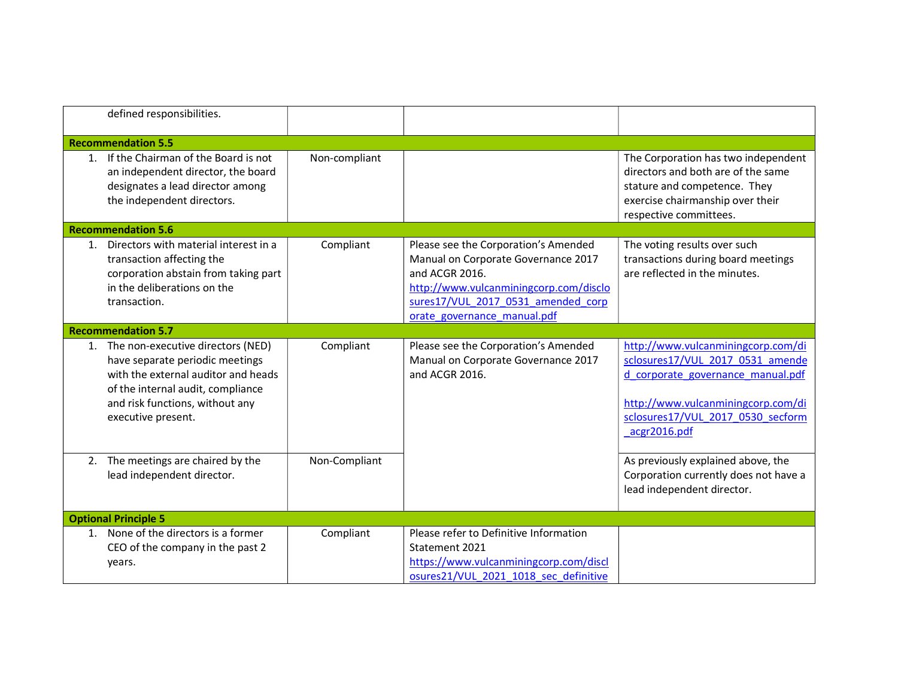|    | defined responsibilities.                                                                                                                                                                                    |               |                                                                                                                                                                                                              |                                                                                                                                                                                                        |
|----|--------------------------------------------------------------------------------------------------------------------------------------------------------------------------------------------------------------|---------------|--------------------------------------------------------------------------------------------------------------------------------------------------------------------------------------------------------------|--------------------------------------------------------------------------------------------------------------------------------------------------------------------------------------------------------|
|    | <b>Recommendation 5.5</b>                                                                                                                                                                                    |               |                                                                                                                                                                                                              |                                                                                                                                                                                                        |
| 1. | If the Chairman of the Board is not<br>an independent director, the board<br>designates a lead director among<br>the independent directors.                                                                  | Non-compliant |                                                                                                                                                                                                              | The Corporation has two independent<br>directors and both are of the same<br>stature and competence. They<br>exercise chairmanship over their<br>respective committees.                                |
|    | <b>Recommendation 5.6</b>                                                                                                                                                                                    |               |                                                                                                                                                                                                              |                                                                                                                                                                                                        |
| 1. | Directors with material interest in a<br>transaction affecting the<br>corporation abstain from taking part<br>in the deliberations on the<br>transaction.                                                    | Compliant     | Please see the Corporation's Amended<br>Manual on Corporate Governance 2017<br>and ACGR 2016.<br>http://www.vulcanminingcorp.com/disclo<br>sures17/VUL 2017 0531 amended corp<br>orate governance manual.pdf | The voting results over such<br>transactions during board meetings<br>are reflected in the minutes.                                                                                                    |
|    | <b>Recommendation 5.7</b>                                                                                                                                                                                    |               |                                                                                                                                                                                                              |                                                                                                                                                                                                        |
|    | 1. The non-executive directors (NED)<br>have separate periodic meetings<br>with the external auditor and heads<br>of the internal audit, compliance<br>and risk functions, without any<br>executive present. | Compliant     | Please see the Corporation's Amended<br>Manual on Corporate Governance 2017<br>and ACGR 2016.                                                                                                                | http://www.vulcanminingcorp.com/di<br>sclosures17/VUL 2017 0531 amende<br>d corporate governance manual.pdf<br>http://www.vulcanminingcorp.com/di<br>sclosures17/VUL 2017 0530 secform<br>acgr2016.pdf |
|    | 2. The meetings are chaired by the<br>lead independent director.                                                                                                                                             | Non-Compliant |                                                                                                                                                                                                              | As previously explained above, the<br>Corporation currently does not have a<br>lead independent director.                                                                                              |
|    | <b>Optional Principle 5</b>                                                                                                                                                                                  |               |                                                                                                                                                                                                              |                                                                                                                                                                                                        |
|    | 1. None of the directors is a former<br>CEO of the company in the past 2<br>years.                                                                                                                           | Compliant     | Please refer to Definitive Information<br>Statement 2021<br>https://www.vulcanminingcorp.com/discl<br>osures21/VUL 2021 1018 sec definitive                                                                  |                                                                                                                                                                                                        |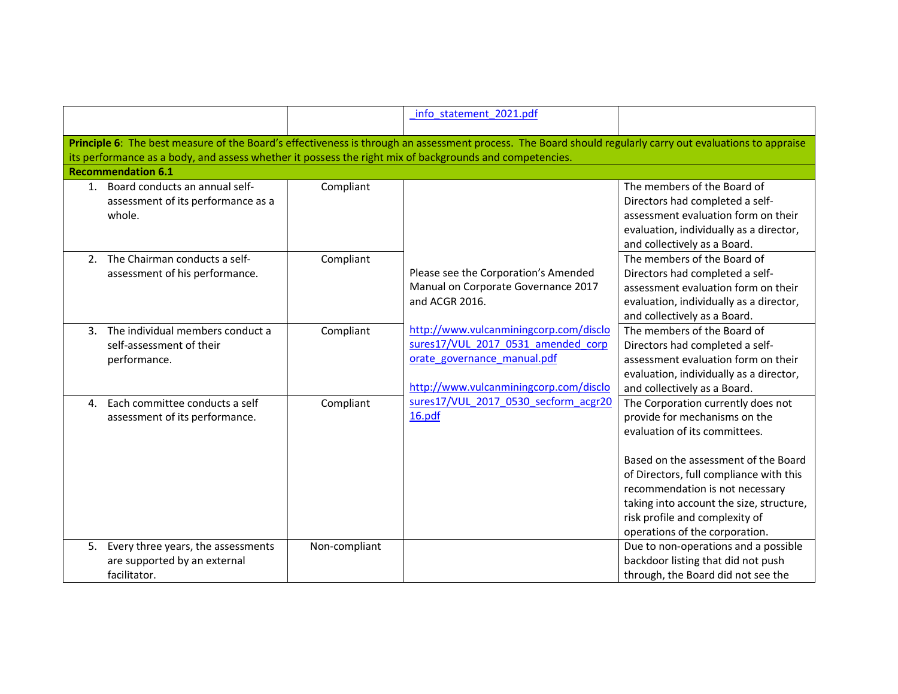|                                                                                                                                      |               | info statement 2021.pdf                                                                                                                                   |                                                                                                                                                                                                                                                                                                                                            |
|--------------------------------------------------------------------------------------------------------------------------------------|---------------|-----------------------------------------------------------------------------------------------------------------------------------------------------------|--------------------------------------------------------------------------------------------------------------------------------------------------------------------------------------------------------------------------------------------------------------------------------------------------------------------------------------------|
| its performance as a body, and assess whether it possess the right mix of backgrounds and competencies.<br><b>Recommendation 6.1</b> |               | Principle 6: The best measure of the Board's effectiveness is through an assessment process. The Board should regularly carry out evaluations to appraise |                                                                                                                                                                                                                                                                                                                                            |
| 1. Board conducts an annual self-<br>assessment of its performance as a<br>whole.                                                    | Compliant     |                                                                                                                                                           | The members of the Board of<br>Directors had completed a self-<br>assessment evaluation form on their<br>evaluation, individually as a director,<br>and collectively as a Board.                                                                                                                                                           |
| The Chairman conducts a self-<br>2 <sub>1</sub><br>assessment of his performance.                                                    | Compliant     | Please see the Corporation's Amended<br>Manual on Corporate Governance 2017<br>and ACGR 2016.                                                             | The members of the Board of<br>Directors had completed a self-<br>assessment evaluation form on their<br>evaluation, individually as a director,<br>and collectively as a Board.                                                                                                                                                           |
| The individual members conduct a<br>3 <sub>1</sub><br>self-assessment of their<br>performance.                                       | Compliant     | http://www.vulcanminingcorp.com/disclo<br>sures17/VUL 2017 0531 amended corp<br>orate governance manual.pdf<br>http://www.vulcanminingcorp.com/disclo     | The members of the Board of<br>Directors had completed a self-<br>assessment evaluation form on their<br>evaluation, individually as a director,<br>and collectively as a Board.                                                                                                                                                           |
| Each committee conducts a self<br>4.<br>assessment of its performance.                                                               | Compliant     | sures17/VUL 2017 0530 secform acgr20<br>16.pdf                                                                                                            | The Corporation currently does not<br>provide for mechanisms on the<br>evaluation of its committees.<br>Based on the assessment of the Board<br>of Directors, full compliance with this<br>recommendation is not necessary<br>taking into account the size, structure,<br>risk profile and complexity of<br>operations of the corporation. |
| Every three years, the assessments<br>5.<br>are supported by an external<br>facilitator.                                             | Non-compliant |                                                                                                                                                           | Due to non-operations and a possible<br>backdoor listing that did not push<br>through, the Board did not see the                                                                                                                                                                                                                           |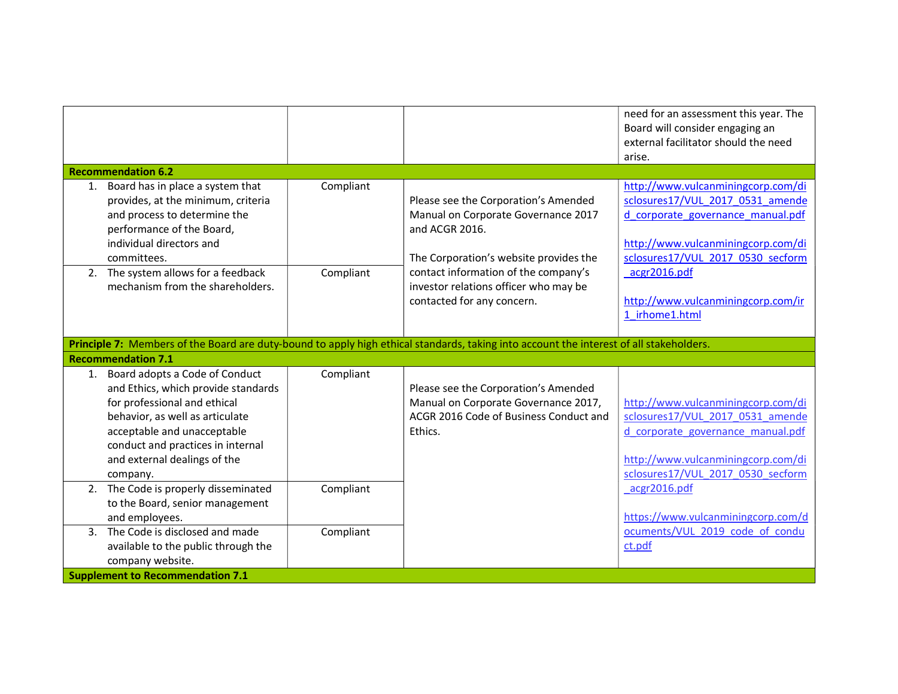|                                                                                                                                                                                                                                                                    |                                                                                                                                         |                                                                                                                                                                                                                          | need for an assessment this year. The<br>Board will consider engaging an                                                                                                                               |  |  |
|--------------------------------------------------------------------------------------------------------------------------------------------------------------------------------------------------------------------------------------------------------------------|-----------------------------------------------------------------------------------------------------------------------------------------|--------------------------------------------------------------------------------------------------------------------------------------------------------------------------------------------------------------------------|--------------------------------------------------------------------------------------------------------------------------------------------------------------------------------------------------------|--|--|
|                                                                                                                                                                                                                                                                    |                                                                                                                                         |                                                                                                                                                                                                                          | external facilitator should the need                                                                                                                                                                   |  |  |
|                                                                                                                                                                                                                                                                    |                                                                                                                                         |                                                                                                                                                                                                                          | arise.                                                                                                                                                                                                 |  |  |
| <b>Recommendation 6.2</b>                                                                                                                                                                                                                                          |                                                                                                                                         |                                                                                                                                                                                                                          |                                                                                                                                                                                                        |  |  |
| Board has in place a system that<br>1.<br>provides, at the minimum, criteria<br>and process to determine the<br>performance of the Board,<br>individual directors and<br>committees.<br>The system allows for a feedback<br>2.<br>mechanism from the shareholders. | Compliant<br>Compliant                                                                                                                  | Please see the Corporation's Amended<br>Manual on Corporate Governance 2017<br>and ACGR 2016.<br>The Corporation's website provides the<br>contact information of the company's<br>investor relations officer who may be | http://www.vulcanminingcorp.com/di<br>sclosures17/VUL 2017 0531 amende<br>d corporate governance manual.pdf<br>http://www.vulcanminingcorp.com/di<br>sclosures17/VUL 2017 0530 secform<br>acgr2016.pdf |  |  |
|                                                                                                                                                                                                                                                                    |                                                                                                                                         | contacted for any concern.                                                                                                                                                                                               | http://www.vulcanminingcorp.com/ir<br>1 irhome1.html                                                                                                                                                   |  |  |
|                                                                                                                                                                                                                                                                    | Principle 7: Members of the Board are duty-bound to apply high ethical standards, taking into account the interest of all stakeholders. |                                                                                                                                                                                                                          |                                                                                                                                                                                                        |  |  |
| <b>Recommendation 7.1</b>                                                                                                                                                                                                                                          |                                                                                                                                         |                                                                                                                                                                                                                          |                                                                                                                                                                                                        |  |  |
| Board adopts a Code of Conduct<br>1.<br>and Ethics, which provide standards                                                                                                                                                                                        | Compliant                                                                                                                               | Please see the Corporation's Amended                                                                                                                                                                                     |                                                                                                                                                                                                        |  |  |
| for professional and ethical                                                                                                                                                                                                                                       |                                                                                                                                         | Manual on Corporate Governance 2017,                                                                                                                                                                                     | http://www.vulcanminingcorp.com/di                                                                                                                                                                     |  |  |
| behavior, as well as articulate                                                                                                                                                                                                                                    |                                                                                                                                         | ACGR 2016 Code of Business Conduct and                                                                                                                                                                                   | sclosures17/VUL 2017 0531 amende                                                                                                                                                                       |  |  |
| acceptable and unacceptable                                                                                                                                                                                                                                        |                                                                                                                                         | Ethics.                                                                                                                                                                                                                  | d corporate governance manual.pdf                                                                                                                                                                      |  |  |
| conduct and practices in internal                                                                                                                                                                                                                                  |                                                                                                                                         |                                                                                                                                                                                                                          | http://www.vulcanminingcorp.com/di                                                                                                                                                                     |  |  |
| and external dealings of the<br>company.                                                                                                                                                                                                                           |                                                                                                                                         |                                                                                                                                                                                                                          | sclosures17/VUL 2017 0530 secform                                                                                                                                                                      |  |  |
| The Code is properly disseminated<br>2.<br>to the Board, senior management                                                                                                                                                                                         | Compliant                                                                                                                               |                                                                                                                                                                                                                          | acgr2016.pdf                                                                                                                                                                                           |  |  |
| and employees.                                                                                                                                                                                                                                                     |                                                                                                                                         |                                                                                                                                                                                                                          | https://www.vulcanminingcorp.com/d                                                                                                                                                                     |  |  |
| The Code is disclosed and made<br>3.<br>available to the public through the<br>company website.                                                                                                                                                                    | Compliant                                                                                                                               |                                                                                                                                                                                                                          | ocuments/VUL 2019 code of condu<br>ct.pdf                                                                                                                                                              |  |  |
| <b>Supplement to Recommendation 7.1</b>                                                                                                                                                                                                                            |                                                                                                                                         |                                                                                                                                                                                                                          |                                                                                                                                                                                                        |  |  |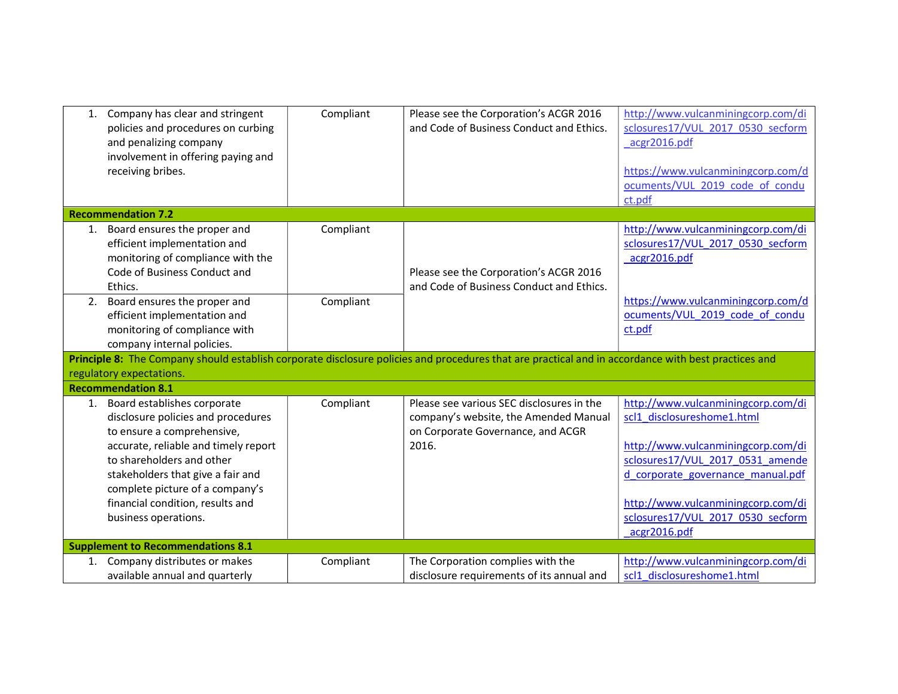| 1. Company has clear and stringent<br>policies and procedures on curbing<br>and penalizing company<br>involvement in offering paying and<br>receiving bribes.                                                                                                                                               | Compliant | Please see the Corporation's ACGR 2016<br>and Code of Business Conduct and Ethics.                                                                  | http://www.vulcanminingcorp.com/di<br>sclosures17/VUL 2017 0530 secform<br>acgr2016.pdf<br>https://www.vulcanminingcorp.com/d<br>ocuments/VUL 2019 code of condu<br>ct.pdf                                                                                                 |
|-------------------------------------------------------------------------------------------------------------------------------------------------------------------------------------------------------------------------------------------------------------------------------------------------------------|-----------|-----------------------------------------------------------------------------------------------------------------------------------------------------|----------------------------------------------------------------------------------------------------------------------------------------------------------------------------------------------------------------------------------------------------------------------------|
| <b>Recommendation 7.2</b>                                                                                                                                                                                                                                                                                   |           |                                                                                                                                                     |                                                                                                                                                                                                                                                                            |
| 1. Board ensures the proper and<br>efficient implementation and<br>monitoring of compliance with the<br>Code of Business Conduct and<br>Ethics.                                                                                                                                                             | Compliant | Please see the Corporation's ACGR 2016<br>and Code of Business Conduct and Ethics.                                                                  | http://www.vulcanminingcorp.com/di<br>sclosures17/VUL 2017 0530 secform<br>acgr2016.pdf                                                                                                                                                                                    |
| 2. Board ensures the proper and<br>efficient implementation and<br>monitoring of compliance with<br>company internal policies.                                                                                                                                                                              | Compliant |                                                                                                                                                     | https://www.vulcanminingcorp.com/d<br>ocuments/VUL 2019 code of condu<br>ct.pdf                                                                                                                                                                                            |
|                                                                                                                                                                                                                                                                                                             |           | Principle 8: The Company should establish corporate disclosure policies and procedures that are practical and in accordance with best practices and |                                                                                                                                                                                                                                                                            |
| regulatory expectations.                                                                                                                                                                                                                                                                                    |           |                                                                                                                                                     |                                                                                                                                                                                                                                                                            |
| <b>Recommendation 8.1</b>                                                                                                                                                                                                                                                                                   |           |                                                                                                                                                     |                                                                                                                                                                                                                                                                            |
| 1. Board establishes corporate<br>disclosure policies and procedures<br>to ensure a comprehensive,<br>accurate, reliable and timely report<br>to shareholders and other<br>stakeholders that give a fair and<br>complete picture of a company's<br>financial condition, results and<br>business operations. | Compliant | Please see various SEC disclosures in the<br>company's website, the Amended Manual<br>on Corporate Governance, and ACGR<br>2016.                    | http://www.vulcanminingcorp.com/di<br>scl1 disclosureshome1.html<br>http://www.vulcanminingcorp.com/di<br>sclosures17/VUL 2017 0531 amende<br>d corporate governance manual.pdf<br>http://www.vulcanminingcorp.com/di<br>sclosures17/VUL 2017 0530 secform<br>acgr2016.pdf |
| <b>Supplement to Recommendations 8.1</b>                                                                                                                                                                                                                                                                    |           |                                                                                                                                                     |                                                                                                                                                                                                                                                                            |
| 1. Company distributes or makes<br>available annual and quarterly                                                                                                                                                                                                                                           | Compliant | The Corporation complies with the<br>disclosure requirements of its annual and                                                                      | http://www.vulcanminingcorp.com/di<br>scl1 disclosureshome1.html                                                                                                                                                                                                           |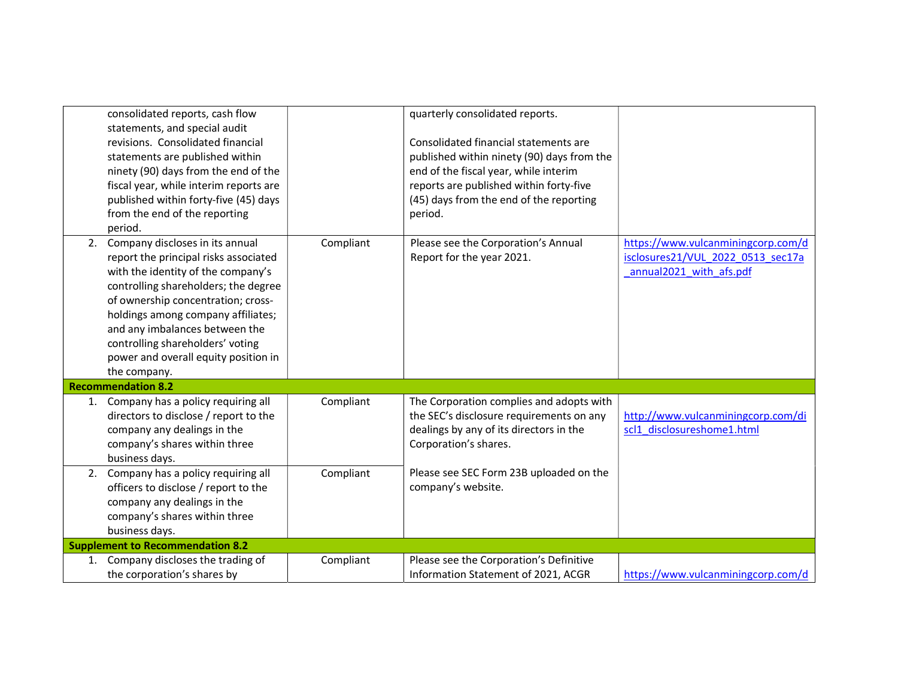| consolidated reports, cash flow<br>statements, and special audit<br>revisions. Consolidated financial<br>statements are published within<br>ninety (90) days from the end of the<br>fiscal year, while interim reports are<br>published within forty-five (45) days<br>from the end of the reporting<br>period.                                                        |           | quarterly consolidated reports.<br>Consolidated financial statements are<br>published within ninety (90) days from the<br>end of the fiscal year, while interim<br>reports are published within forty-five<br>(45) days from the end of the reporting<br>period. |                                                                                                    |
|------------------------------------------------------------------------------------------------------------------------------------------------------------------------------------------------------------------------------------------------------------------------------------------------------------------------------------------------------------------------|-----------|------------------------------------------------------------------------------------------------------------------------------------------------------------------------------------------------------------------------------------------------------------------|----------------------------------------------------------------------------------------------------|
| Company discloses in its annual<br>2.<br>report the principal risks associated<br>with the identity of the company's<br>controlling shareholders; the degree<br>of ownership concentration; cross-<br>holdings among company affiliates;<br>and any imbalances between the<br>controlling shareholders' voting<br>power and overall equity position in<br>the company. | Compliant | Please see the Corporation's Annual<br>Report for the year 2021.                                                                                                                                                                                                 | https://www.vulcanminingcorp.com/d<br>isclosures21/VUL 2022 0513 sec17a<br>annual2021 with afs.pdf |
| <b>Recommendation 8.2</b>                                                                                                                                                                                                                                                                                                                                              |           |                                                                                                                                                                                                                                                                  |                                                                                                    |
| 1. Company has a policy requiring all<br>directors to disclose / report to the<br>company any dealings in the<br>company's shares within three<br>business days.                                                                                                                                                                                                       | Compliant | The Corporation complies and adopts with<br>the SEC's disclosure requirements on any<br>dealings by any of its directors in the<br>Corporation's shares.                                                                                                         | http://www.vulcanminingcorp.com/di<br>scl1 disclosureshome1.html                                   |
| 2. Company has a policy requiring all<br>officers to disclose / report to the<br>company any dealings in the<br>company's shares within three<br>business days.                                                                                                                                                                                                        | Compliant | Please see SEC Form 23B uploaded on the<br>company's website.                                                                                                                                                                                                    |                                                                                                    |
| <b>Supplement to Recommendation 8.2</b>                                                                                                                                                                                                                                                                                                                                |           |                                                                                                                                                                                                                                                                  |                                                                                                    |
| Company discloses the trading of<br>1.<br>the corporation's shares by                                                                                                                                                                                                                                                                                                  | Compliant | Please see the Corporation's Definitive<br>Information Statement of 2021, ACGR                                                                                                                                                                                   | https://www.vulcanminingcorp.com/d                                                                 |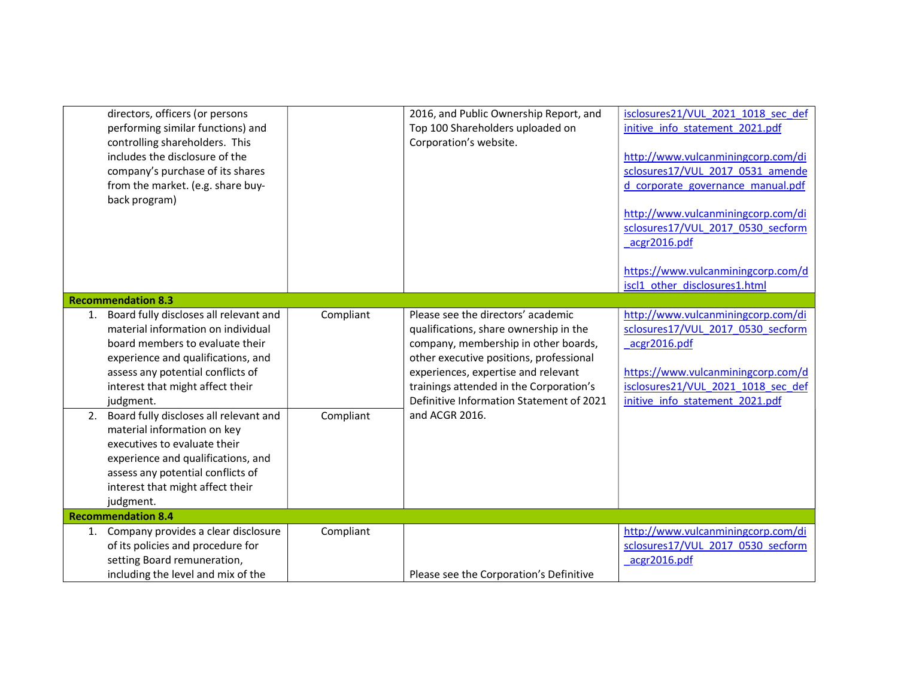| directors, officers (or persons<br>performing similar functions) and<br>controlling shareholders. This<br>includes the disclosure of the<br>company's purchase of its shares<br>from the market. (e.g. share buy-<br>back program) |           | 2016, and Public Ownership Report, and<br>Top 100 Shareholders uploaded on<br>Corporation's website. | isclosures21/VUL 2021 1018 sec def<br>initive info statement 2021.pdf<br>http://www.vulcanminingcorp.com/di<br>sclosures17/VUL 2017 0531 amende<br>d corporate governance manual.pdf<br>http://www.vulcanminingcorp.com/di<br>sclosures17/VUL 2017 0530 secform<br>acgr2016.pdf<br>https://www.vulcanminingcorp.com/d<br>iscl1 other disclosures1.html |
|------------------------------------------------------------------------------------------------------------------------------------------------------------------------------------------------------------------------------------|-----------|------------------------------------------------------------------------------------------------------|--------------------------------------------------------------------------------------------------------------------------------------------------------------------------------------------------------------------------------------------------------------------------------------------------------------------------------------------------------|
| <b>Recommendation 8.3</b><br>Board fully discloses all relevant and<br>1.                                                                                                                                                          | Compliant | Please see the directors' academic                                                                   | http://www.vulcanminingcorp.com/di                                                                                                                                                                                                                                                                                                                     |
| material information on individual                                                                                                                                                                                                 |           | qualifications, share ownership in the                                                               | sclosures17/VUL 2017 0530 secform                                                                                                                                                                                                                                                                                                                      |
| board members to evaluate their                                                                                                                                                                                                    |           | company, membership in other boards,                                                                 | acgr2016.pdf                                                                                                                                                                                                                                                                                                                                           |
| experience and qualifications, and<br>assess any potential conflicts of                                                                                                                                                            |           | other executive positions, professional<br>experiences, expertise and relevant                       | https://www.vulcanminingcorp.com/d                                                                                                                                                                                                                                                                                                                     |
| interest that might affect their                                                                                                                                                                                                   |           | trainings attended in the Corporation's                                                              | isclosures21/VUL 2021 1018 sec def                                                                                                                                                                                                                                                                                                                     |
| judgment.                                                                                                                                                                                                                          |           | Definitive Information Statement of 2021                                                             | initive info statement 2021.pdf                                                                                                                                                                                                                                                                                                                        |
| Board fully discloses all relevant and<br>2.<br>material information on key                                                                                                                                                        | Compliant | and ACGR 2016.                                                                                       |                                                                                                                                                                                                                                                                                                                                                        |
| executives to evaluate their                                                                                                                                                                                                       |           |                                                                                                      |                                                                                                                                                                                                                                                                                                                                                        |
| experience and qualifications, and                                                                                                                                                                                                 |           |                                                                                                      |                                                                                                                                                                                                                                                                                                                                                        |
| assess any potential conflicts of<br>interest that might affect their                                                                                                                                                              |           |                                                                                                      |                                                                                                                                                                                                                                                                                                                                                        |
| judgment.                                                                                                                                                                                                                          |           |                                                                                                      |                                                                                                                                                                                                                                                                                                                                                        |
| <b>Recommendation 8.4</b>                                                                                                                                                                                                          |           |                                                                                                      |                                                                                                                                                                                                                                                                                                                                                        |
| 1. Company provides a clear disclosure<br>of its policies and procedure for                                                                                                                                                        | Compliant |                                                                                                      | http://www.vulcanminingcorp.com/di<br>sclosures17/VUL 2017 0530 secform                                                                                                                                                                                                                                                                                |
| setting Board remuneration,                                                                                                                                                                                                        |           |                                                                                                      | acgr2016.pdf                                                                                                                                                                                                                                                                                                                                           |
| including the level and mix of the                                                                                                                                                                                                 |           | Please see the Corporation's Definitive                                                              |                                                                                                                                                                                                                                                                                                                                                        |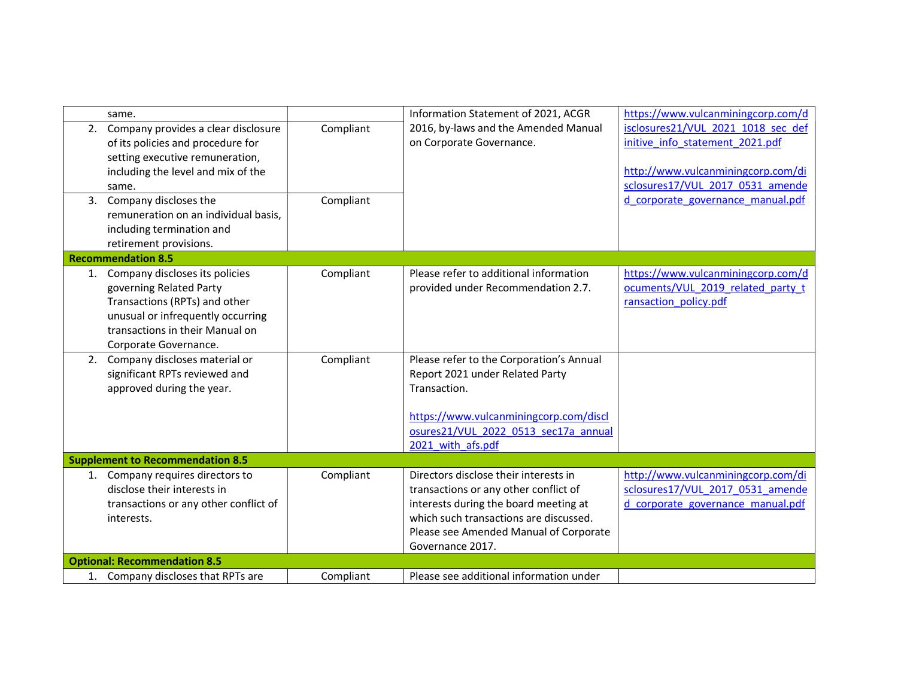|    | same.                                                                                                                                                                                       |           | Information Statement of 2021, ACGR                                                                                                                                                                                             | https://www.vulcanminingcorp.com/d                                                                                                              |
|----|---------------------------------------------------------------------------------------------------------------------------------------------------------------------------------------------|-----------|---------------------------------------------------------------------------------------------------------------------------------------------------------------------------------------------------------------------------------|-------------------------------------------------------------------------------------------------------------------------------------------------|
|    | 2. Company provides a clear disclosure<br>of its policies and procedure for<br>setting executive remuneration,<br>including the level and mix of the<br>same.                               | Compliant | 2016, by-laws and the Amended Manual<br>on Corporate Governance.                                                                                                                                                                | isclosures21/VUL 2021 1018 sec def<br>initive info statement 2021.pdf<br>http://www.vulcanminingcorp.com/di<br>sclosures17/VUL 2017 0531 amende |
| 3. | Company discloses the<br>remuneration on an individual basis,<br>including termination and<br>retirement provisions.                                                                        | Compliant |                                                                                                                                                                                                                                 | d corporate governance manual.pdf                                                                                                               |
|    | <b>Recommendation 8.5</b>                                                                                                                                                                   |           |                                                                                                                                                                                                                                 |                                                                                                                                                 |
| 1. | Company discloses its policies<br>governing Related Party<br>Transactions (RPTs) and other<br>unusual or infrequently occurring<br>transactions in their Manual on<br>Corporate Governance. | Compliant | Please refer to additional information<br>provided under Recommendation 2.7.                                                                                                                                                    | https://www.vulcanminingcorp.com/d<br>ocuments/VUL 2019 related party t<br>ransaction policy.pdf                                                |
|    | 2. Company discloses material or<br>significant RPTs reviewed and<br>approved during the year.                                                                                              | Compliant | Please refer to the Corporation's Annual<br>Report 2021 under Related Party<br>Transaction.<br>https://www.vulcanminingcorp.com/discl<br>osures21/VUL 2022 0513 sec17a annual<br>2021 with afs.pdf                              |                                                                                                                                                 |
|    | <b>Supplement to Recommendation 8.5</b>                                                                                                                                                     |           |                                                                                                                                                                                                                                 |                                                                                                                                                 |
|    | 1. Company requires directors to<br>disclose their interests in<br>transactions or any other conflict of<br>interests.                                                                      | Compliant | Directors disclose their interests in<br>transactions or any other conflict of<br>interests during the board meeting at<br>which such transactions are discussed.<br>Please see Amended Manual of Corporate<br>Governance 2017. | http://www.vulcanminingcorp.com/di<br>sclosures17/VUL 2017 0531 amende<br>d corporate governance manual.pdf                                     |
|    | <b>Optional: Recommendation 8.5</b>                                                                                                                                                         |           |                                                                                                                                                                                                                                 |                                                                                                                                                 |
|    | 1. Company discloses that RPTs are                                                                                                                                                          | Compliant | Please see additional information under                                                                                                                                                                                         |                                                                                                                                                 |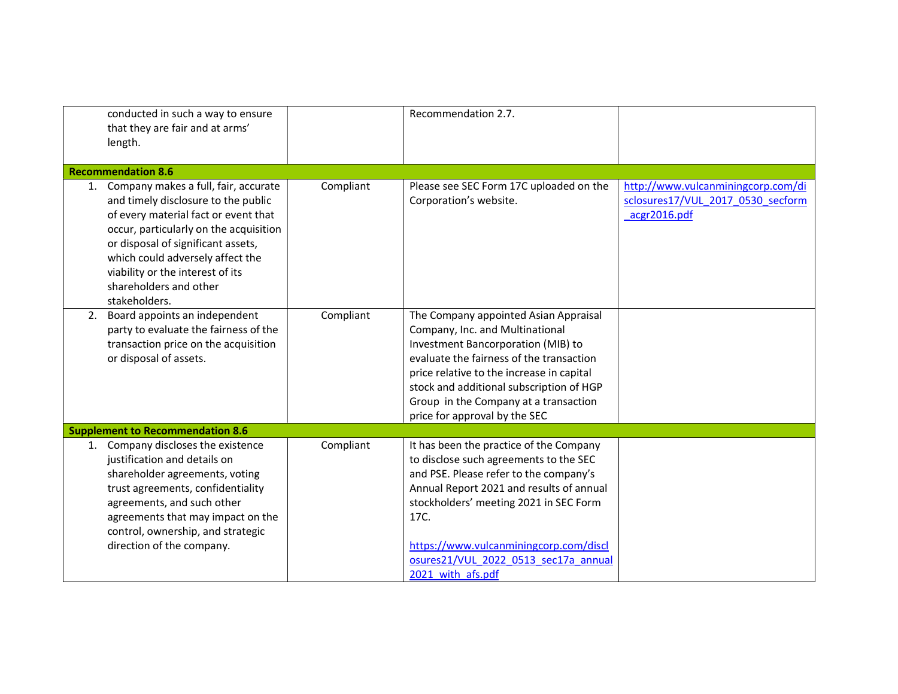|    | conducted in such a way to ensure<br>that they are fair and at arms'<br>length.                                                                                                                                                                                                                                        |           | Recommendation 2.7.                                                                                                                                                                                                                                                                                                              |                                                                                         |
|----|------------------------------------------------------------------------------------------------------------------------------------------------------------------------------------------------------------------------------------------------------------------------------------------------------------------------|-----------|----------------------------------------------------------------------------------------------------------------------------------------------------------------------------------------------------------------------------------------------------------------------------------------------------------------------------------|-----------------------------------------------------------------------------------------|
|    | <b>Recommendation 8.6</b>                                                                                                                                                                                                                                                                                              |           |                                                                                                                                                                                                                                                                                                                                  |                                                                                         |
| 1. | Company makes a full, fair, accurate<br>and timely disclosure to the public<br>of every material fact or event that<br>occur, particularly on the acquisition<br>or disposal of significant assets,<br>which could adversely affect the<br>viability or the interest of its<br>shareholders and other<br>stakeholders. | Compliant | Please see SEC Form 17C uploaded on the<br>Corporation's website.                                                                                                                                                                                                                                                                | http://www.vulcanminingcorp.com/di<br>sclosures17/VUL 2017 0530 secform<br>acgr2016.pdf |
| 2. | Board appoints an independent<br>party to evaluate the fairness of the<br>transaction price on the acquisition<br>or disposal of assets.                                                                                                                                                                               | Compliant | The Company appointed Asian Appraisal<br>Company, Inc. and Multinational<br>Investment Bancorporation (MIB) to<br>evaluate the fairness of the transaction<br>price relative to the increase in capital<br>stock and additional subscription of HGP<br>Group in the Company at a transaction<br>price for approval by the SEC    |                                                                                         |
|    | <b>Supplement to Recommendation 8.6</b>                                                                                                                                                                                                                                                                                |           |                                                                                                                                                                                                                                                                                                                                  |                                                                                         |
|    | 1. Company discloses the existence<br>justification and details on<br>shareholder agreements, voting<br>trust agreements, confidentiality<br>agreements, and such other<br>agreements that may impact on the<br>control, ownership, and strategic<br>direction of the company.                                         | Compliant | It has been the practice of the Company<br>to disclose such agreements to the SEC<br>and PSE. Please refer to the company's<br>Annual Report 2021 and results of annual<br>stockholders' meeting 2021 in SEC Form<br>17C.<br>https://www.vulcanminingcorp.com/discl<br>osures21/VUL 2022 0513 sec17a annual<br>2021 with afs.pdf |                                                                                         |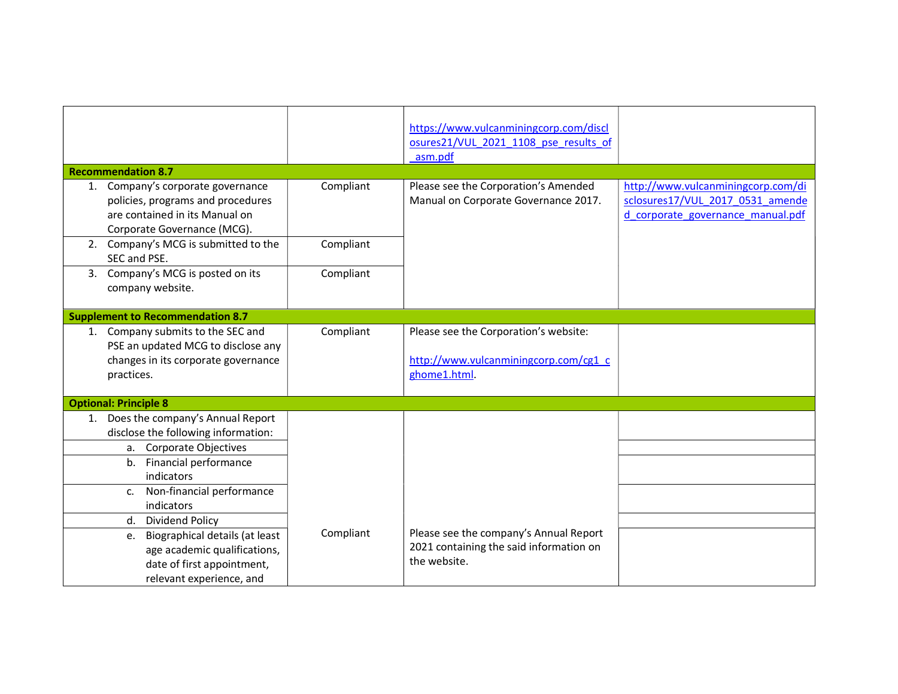|                                                   |           | https://www.vulcanminingcorp.com/discl                |                                    |
|---------------------------------------------------|-----------|-------------------------------------------------------|------------------------------------|
|                                                   |           | osures21/VUL 2021 1108 pse results of                 |                                    |
|                                                   |           | asm.pdf                                               |                                    |
| <b>Recommendation 8.7</b>                         |           |                                                       |                                    |
| 1. Company's corporate governance                 | Compliant | Please see the Corporation's Amended                  | http://www.vulcanminingcorp.com/di |
| policies, programs and procedures                 |           | Manual on Corporate Governance 2017.                  | sclosures17/VUL 2017 0531 amende   |
| are contained in its Manual on                    |           |                                                       | d corporate governance manual.pdf  |
| Corporate Governance (MCG).                       |           |                                                       |                                    |
| 2. Company's MCG is submitted to the              | Compliant |                                                       |                                    |
| SEC and PSE.                                      |           |                                                       |                                    |
| Company's MCG is posted on its<br>3.              | Compliant |                                                       |                                    |
| company website.                                  |           |                                                       |                                    |
|                                                   |           |                                                       |                                    |
| <b>Supplement to Recommendation 8.7</b>           |           |                                                       |                                    |
| 1. Company submits to the SEC and                 | Compliant | Please see the Corporation's website:                 |                                    |
| PSE an updated MCG to disclose any                |           |                                                       |                                    |
| changes in its corporate governance<br>practices. |           | http://www.vulcanminingcorp.com/cg1_c<br>ghome1.html. |                                    |
|                                                   |           |                                                       |                                    |
| <b>Optional: Principle 8</b>                      |           |                                                       |                                    |
| 1. Does the company's Annual Report               |           |                                                       |                                    |
| disclose the following information:               |           |                                                       |                                    |
| a. Corporate Objectives                           |           |                                                       |                                    |
| b. Financial performance                          |           |                                                       |                                    |
| indicators                                        |           |                                                       |                                    |
| Non-financial performance<br>c.                   |           |                                                       |                                    |
| indicators                                        |           |                                                       |                                    |
| d. Dividend Policy                                |           |                                                       |                                    |
| Biographical details (at least<br>e.              | Compliant | Please see the company's Annual Report                |                                    |
| age academic qualifications,                      |           | 2021 containing the said information on               |                                    |
| date of first appointment,                        |           | the website.                                          |                                    |
| relevant experience, and                          |           |                                                       |                                    |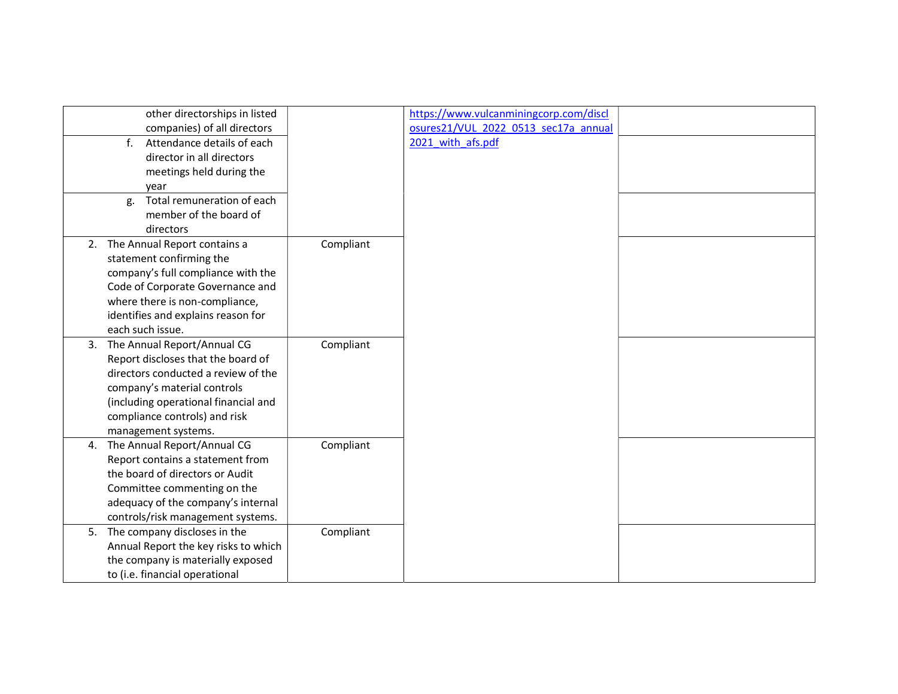|    | other directorships in listed<br>companies) of all directors |           | https://www.vulcanminingcorp.com/discl<br>osures21/VUL 2022 0513 sec17a annual |  |
|----|--------------------------------------------------------------|-----------|--------------------------------------------------------------------------------|--|
|    | f <sub>r</sub><br>Attendance details of each                 |           | 2021 with afs.pdf                                                              |  |
|    | director in all directors                                    |           |                                                                                |  |
|    | meetings held during the                                     |           |                                                                                |  |
|    | year                                                         |           |                                                                                |  |
|    | Total remuneration of each<br>g.                             |           |                                                                                |  |
|    | member of the board of                                       |           |                                                                                |  |
|    | directors                                                    |           |                                                                                |  |
|    | 2. The Annual Report contains a                              | Compliant |                                                                                |  |
|    | statement confirming the                                     |           |                                                                                |  |
|    | company's full compliance with the                           |           |                                                                                |  |
|    | Code of Corporate Governance and                             |           |                                                                                |  |
|    | where there is non-compliance,                               |           |                                                                                |  |
|    | identifies and explains reason for                           |           |                                                                                |  |
|    | each such issue.                                             |           |                                                                                |  |
|    | 3. The Annual Report/Annual CG                               | Compliant |                                                                                |  |
|    | Report discloses that the board of                           |           |                                                                                |  |
|    | directors conducted a review of the                          |           |                                                                                |  |
|    | company's material controls                                  |           |                                                                                |  |
|    | (including operational financial and                         |           |                                                                                |  |
|    | compliance controls) and risk                                |           |                                                                                |  |
|    | management systems.                                          |           |                                                                                |  |
| 4. | The Annual Report/Annual CG                                  | Compliant |                                                                                |  |
|    | Report contains a statement from                             |           |                                                                                |  |
|    | the board of directors or Audit                              |           |                                                                                |  |
|    | Committee commenting on the                                  |           |                                                                                |  |
|    | adequacy of the company's internal                           |           |                                                                                |  |
|    | controls/risk management systems.                            |           |                                                                                |  |
|    | 5. The company discloses in the                              | Compliant |                                                                                |  |
|    | Annual Report the key risks to which                         |           |                                                                                |  |
|    | the company is materially exposed                            |           |                                                                                |  |
|    | to (i.e. financial operational                               |           |                                                                                |  |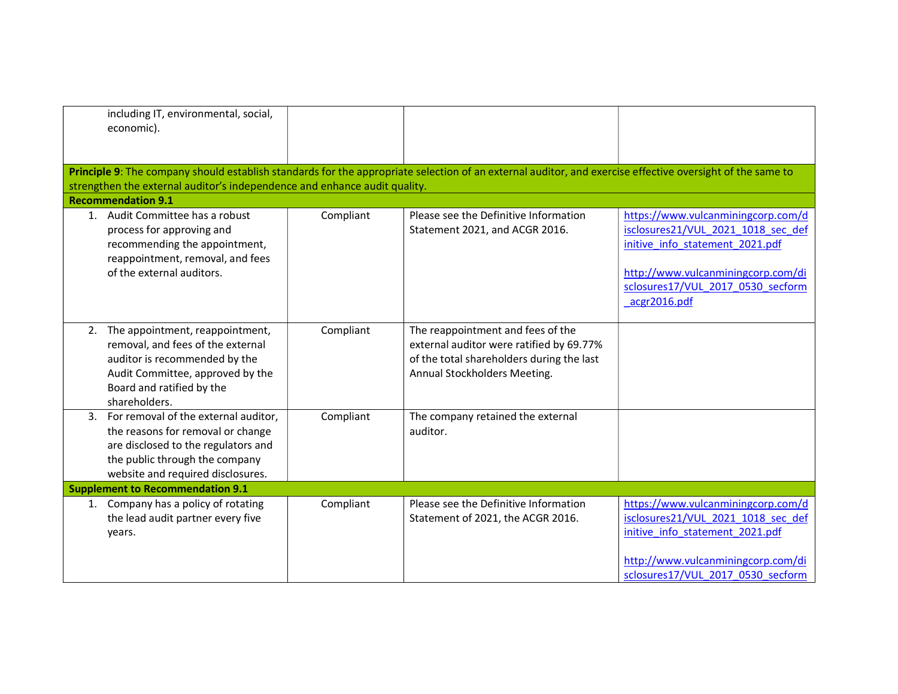|    | including IT, environmental, social,<br>economic).                                                                                                                                         |           |                                                                                                                                                            |                                                                                                                                                                                                        |
|----|--------------------------------------------------------------------------------------------------------------------------------------------------------------------------------------------|-----------|------------------------------------------------------------------------------------------------------------------------------------------------------------|--------------------------------------------------------------------------------------------------------------------------------------------------------------------------------------------------------|
|    |                                                                                                                                                                                            |           | Principle 9: The company should establish standards for the appropriate selection of an external auditor, and exercise effective oversight of the same to  |                                                                                                                                                                                                        |
|    | strengthen the external auditor's independence and enhance audit quality.<br><b>Recommendation 9.1</b>                                                                                     |           |                                                                                                                                                            |                                                                                                                                                                                                        |
|    | 1. Audit Committee has a robust<br>process for approving and<br>recommending the appointment,<br>reappointment, removal, and fees<br>of the external auditors.                             | Compliant | Please see the Definitive Information<br>Statement 2021, and ACGR 2016.                                                                                    | https://www.vulcanminingcorp.com/d<br>isclosures21/VUL 2021 1018 sec def<br>initive info statement 2021.pdf<br>http://www.vulcanminingcorp.com/di<br>sclosures17/VUL 2017 0530 secform<br>acgr2016.pdf |
|    | 2. The appointment, reappointment,<br>removal, and fees of the external<br>auditor is recommended by the<br>Audit Committee, approved by the<br>Board and ratified by the<br>shareholders. | Compliant | The reappointment and fees of the<br>external auditor were ratified by 69.77%<br>of the total shareholders during the last<br>Annual Stockholders Meeting. |                                                                                                                                                                                                        |
| 3. | For removal of the external auditor,<br>the reasons for removal or change<br>are disclosed to the regulators and<br>the public through the company<br>website and required disclosures.    | Compliant | The company retained the external<br>auditor.                                                                                                              |                                                                                                                                                                                                        |
|    | <b>Supplement to Recommendation 9.1</b>                                                                                                                                                    |           |                                                                                                                                                            |                                                                                                                                                                                                        |
|    | 1. Company has a policy of rotating<br>the lead audit partner every five<br>years.                                                                                                         | Compliant | Please see the Definitive Information<br>Statement of 2021, the ACGR 2016.                                                                                 | https://www.vulcanminingcorp.com/d<br>isclosures21/VUL 2021 1018 sec def<br>initive info statement 2021.pdf<br>http://www.vulcanminingcorp.com/di<br>sclosures17/VUL 2017 0530 secform                 |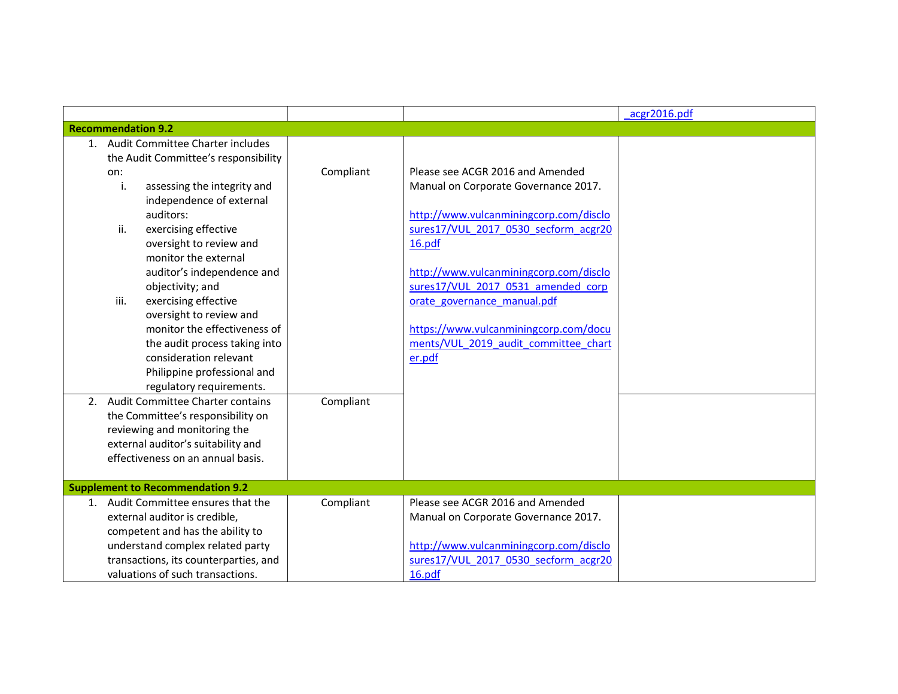|                                                                                                                                                                                                                                                                                                                                                                                                                                                                                                                                                                                                                                                                                                                 |                        |                                                                                                                                                                                                                                                                                                                                                                                | acgr2016.pdf |
|-----------------------------------------------------------------------------------------------------------------------------------------------------------------------------------------------------------------------------------------------------------------------------------------------------------------------------------------------------------------------------------------------------------------------------------------------------------------------------------------------------------------------------------------------------------------------------------------------------------------------------------------------------------------------------------------------------------------|------------------------|--------------------------------------------------------------------------------------------------------------------------------------------------------------------------------------------------------------------------------------------------------------------------------------------------------------------------------------------------------------------------------|--------------|
| <b>Recommendation 9.2</b>                                                                                                                                                                                                                                                                                                                                                                                                                                                                                                                                                                                                                                                                                       |                        |                                                                                                                                                                                                                                                                                                                                                                                |              |
| 1. Audit Committee Charter includes<br>the Audit Committee's responsibility<br>on:<br>assessing the integrity and<br>i.<br>independence of external<br>auditors:<br>ii.<br>exercising effective<br>oversight to review and<br>monitor the external<br>auditor's independence and<br>objectivity; and<br>exercising effective<br>iii.<br>oversight to review and<br>monitor the effectiveness of<br>the audit process taking into<br>consideration relevant<br>Philippine professional and<br>regulatory requirements.<br>Audit Committee Charter contains<br>2.<br>the Committee's responsibility on<br>reviewing and monitoring the<br>external auditor's suitability and<br>effectiveness on an annual basis. | Compliant<br>Compliant | Please see ACGR 2016 and Amended<br>Manual on Corporate Governance 2017.<br>http://www.vulcanminingcorp.com/disclo<br>sures17/VUL 2017 0530 secform acgr20<br>16.pdf<br>http://www.vulcanminingcorp.com/disclo<br>sures17/VUL 2017 0531 amended corp<br>orate governance manual.pdf<br>https://www.vulcanminingcorp.com/docu<br>ments/VUL 2019 audit committee chart<br>er.pdf |              |
| <b>Supplement to Recommendation 9.2</b>                                                                                                                                                                                                                                                                                                                                                                                                                                                                                                                                                                                                                                                                         |                        |                                                                                                                                                                                                                                                                                                                                                                                |              |
| 1. Audit Committee ensures that the<br>external auditor is credible,<br>competent and has the ability to<br>understand complex related party<br>transactions, its counterparties, and<br>valuations of such transactions.                                                                                                                                                                                                                                                                                                                                                                                                                                                                                       | Compliant              | Please see ACGR 2016 and Amended<br>Manual on Corporate Governance 2017.<br>http://www.vulcanminingcorp.com/disclo<br>sures17/VUL 2017 0530 secform acgr20<br>16.pdf                                                                                                                                                                                                           |              |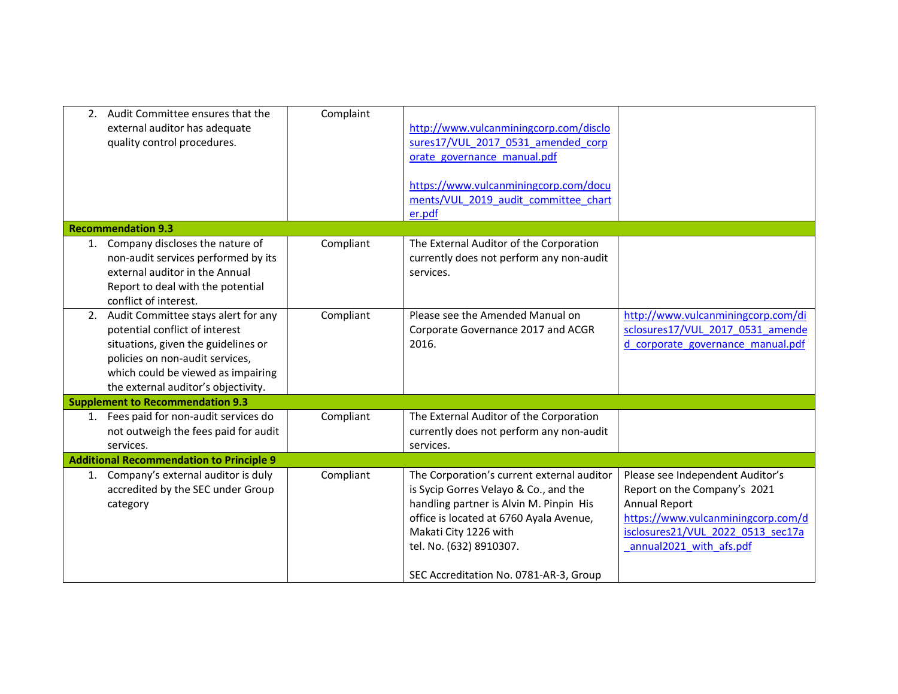| 2. | Audit Committee ensures that the<br>external auditor has adequate<br>quality control procedures.                                                                                                                             | Complaint | http://www.vulcanminingcorp.com/disclo<br>sures17/VUL 2017 0531 amended corp<br>orate governance manual.pdf<br>https://www.vulcanminingcorp.com/docu<br>ments/VUL 2019 audit committee chart<br>er.pdf                                                                  |                                                                                                                                                                                                |
|----|------------------------------------------------------------------------------------------------------------------------------------------------------------------------------------------------------------------------------|-----------|-------------------------------------------------------------------------------------------------------------------------------------------------------------------------------------------------------------------------------------------------------------------------|------------------------------------------------------------------------------------------------------------------------------------------------------------------------------------------------|
|    | <b>Recommendation 9.3</b>                                                                                                                                                                                                    |           |                                                                                                                                                                                                                                                                         |                                                                                                                                                                                                |
|    | 1. Company discloses the nature of<br>non-audit services performed by its<br>external auditor in the Annual<br>Report to deal with the potential<br>conflict of interest.                                                    | Compliant | The External Auditor of the Corporation<br>currently does not perform any non-audit<br>services.                                                                                                                                                                        |                                                                                                                                                                                                |
| 2. | Audit Committee stays alert for any<br>potential conflict of interest<br>situations, given the guidelines or<br>policies on non-audit services,<br>which could be viewed as impairing<br>the external auditor's objectivity. | Compliant | Please see the Amended Manual on<br>Corporate Governance 2017 and ACGR<br>2016.                                                                                                                                                                                         | http://www.vulcanminingcorp.com/di<br>sclosures17/VUL 2017 0531 amende<br>d corporate governance manual.pdf                                                                                    |
|    | <b>Supplement to Recommendation 9.3</b>                                                                                                                                                                                      |           |                                                                                                                                                                                                                                                                         |                                                                                                                                                                                                |
|    | 1. Fees paid for non-audit services do<br>not outweigh the fees paid for audit<br>services.                                                                                                                                  | Compliant | The External Auditor of the Corporation<br>currently does not perform any non-audit<br>services.                                                                                                                                                                        |                                                                                                                                                                                                |
|    | <b>Additional Recommendation to Principle 9</b>                                                                                                                                                                              |           |                                                                                                                                                                                                                                                                         |                                                                                                                                                                                                |
|    | 1. Company's external auditor is duly<br>accredited by the SEC under Group<br>category                                                                                                                                       | Compliant | The Corporation's current external auditor<br>is Sycip Gorres Velayo & Co., and the<br>handling partner is Alvin M. Pinpin His<br>office is located at 6760 Ayala Avenue,<br>Makati City 1226 with<br>tel. No. (632) 8910307.<br>SEC Accreditation No. 0781-AR-3, Group | Please see Independent Auditor's<br>Report on the Company's 2021<br><b>Annual Report</b><br>https://www.vulcanminingcorp.com/d<br>isclosures21/VUL 2022 0513 sec17a<br>annual2021 with afs.pdf |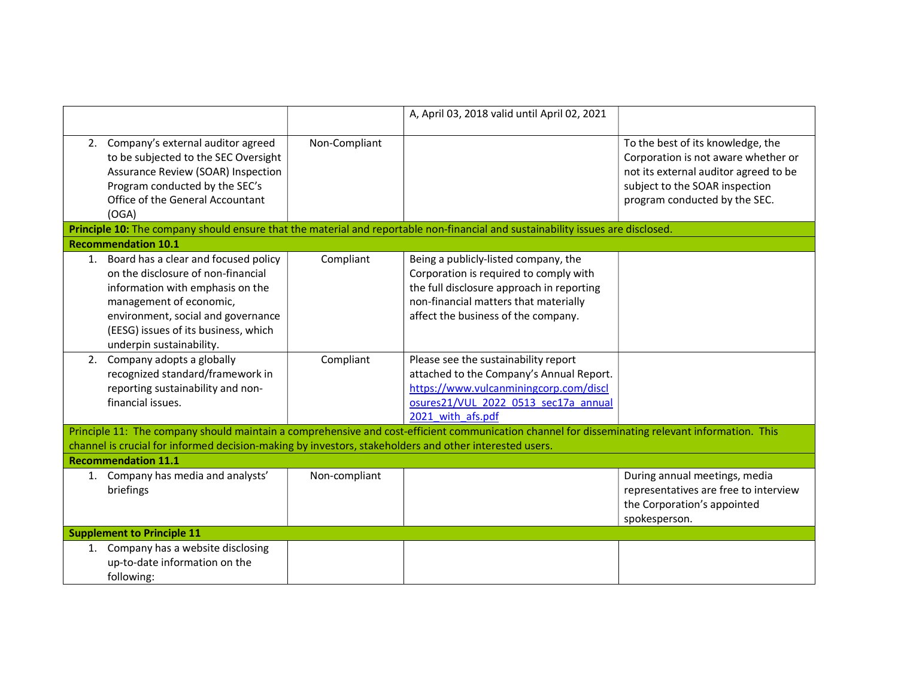|                                                                                                                                                                                                                                                           |               | A, April 03, 2018 valid until April 02, 2021                                                                                                                                                                |                                                                                                                                                                                      |
|-----------------------------------------------------------------------------------------------------------------------------------------------------------------------------------------------------------------------------------------------------------|---------------|-------------------------------------------------------------------------------------------------------------------------------------------------------------------------------------------------------------|--------------------------------------------------------------------------------------------------------------------------------------------------------------------------------------|
| Company's external auditor agreed<br>2.<br>to be subjected to the SEC Oversight<br>Assurance Review (SOAR) Inspection<br>Program conducted by the SEC's<br>Office of the General Accountant<br>(OGA)                                                      | Non-Compliant |                                                                                                                                                                                                             | To the best of its knowledge, the<br>Corporation is not aware whether or<br>not its external auditor agreed to be<br>subject to the SOAR inspection<br>program conducted by the SEC. |
| Principle 10: The company should ensure that the material and reportable non-financial and sustainability issues are disclosed.                                                                                                                           |               |                                                                                                                                                                                                             |                                                                                                                                                                                      |
| <b>Recommendation 10.1</b>                                                                                                                                                                                                                                |               |                                                                                                                                                                                                             |                                                                                                                                                                                      |
| Board has a clear and focused policy<br>1.<br>on the disclosure of non-financial<br>information with emphasis on the<br>management of economic,<br>environment, social and governance<br>(EESG) issues of its business, which<br>underpin sustainability. | Compliant     | Being a publicly-listed company, the<br>Corporation is required to comply with<br>the full disclosure approach in reporting<br>non-financial matters that materially<br>affect the business of the company. |                                                                                                                                                                                      |
| Company adopts a globally<br>2.<br>recognized standard/framework in<br>reporting sustainability and non-<br>financial issues.                                                                                                                             | Compliant     | Please see the sustainability report<br>attached to the Company's Annual Report.<br>https://www.vulcanminingcorp.com/discl<br>osures21/VUL 2022 0513 sec17a annual<br>2021 with afs.pdf                     |                                                                                                                                                                                      |
| Principle 11: The company should maintain a comprehensive and cost-efficient communication channel for disseminating relevant information. This<br>channel is crucial for informed decision-making by investors, stakeholders and other interested users. |               |                                                                                                                                                                                                             |                                                                                                                                                                                      |
| <b>Recommendation 11.1</b>                                                                                                                                                                                                                                |               |                                                                                                                                                                                                             |                                                                                                                                                                                      |
| 1. Company has media and analysts'<br>briefings                                                                                                                                                                                                           | Non-compliant |                                                                                                                                                                                                             | During annual meetings, media<br>representatives are free to interview<br>the Corporation's appointed<br>spokesperson.                                                               |
| <b>Supplement to Principle 11</b>                                                                                                                                                                                                                         |               |                                                                                                                                                                                                             |                                                                                                                                                                                      |
| 1. Company has a website disclosing<br>up-to-date information on the<br>following:                                                                                                                                                                        |               |                                                                                                                                                                                                             |                                                                                                                                                                                      |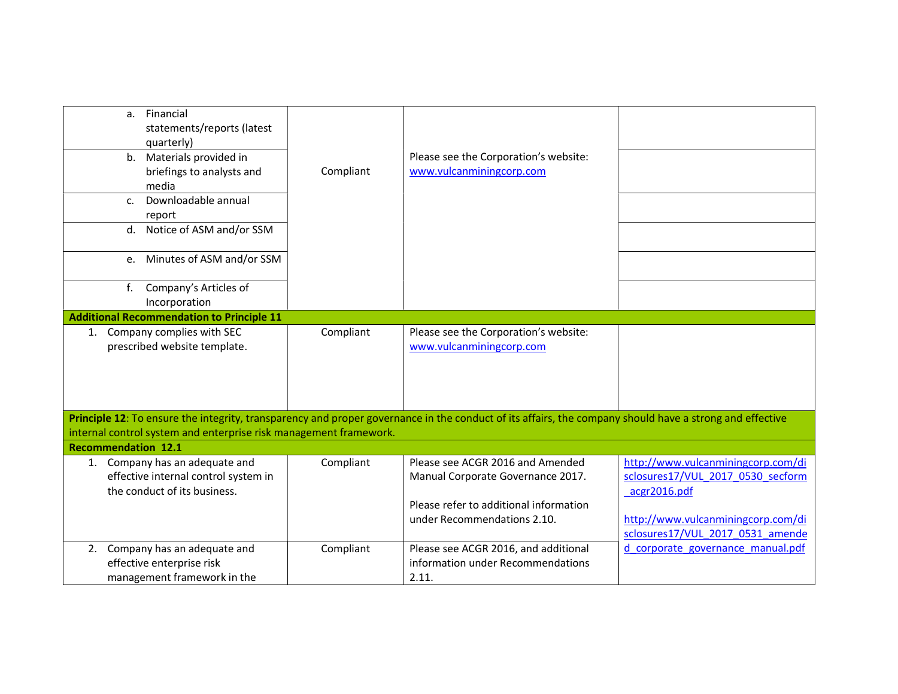| a. Financial<br>statements/reports (latest                                                                                                                                                                                   |                                    |
|------------------------------------------------------------------------------------------------------------------------------------------------------------------------------------------------------------------------------|------------------------------------|
| quarterly)                                                                                                                                                                                                                   |                                    |
| Materials provided in<br>Please see the Corporation's website:<br>b.                                                                                                                                                         |                                    |
| www.vulcanminingcorp.com<br>briefings to analysts and<br>Compliant                                                                                                                                                           |                                    |
| media                                                                                                                                                                                                                        |                                    |
| Downloadable annual<br>C <sub>1</sub>                                                                                                                                                                                        |                                    |
| report                                                                                                                                                                                                                       |                                    |
| d. Notice of ASM and/or SSM                                                                                                                                                                                                  |                                    |
| Minutes of ASM and/or SSM<br>e.                                                                                                                                                                                              |                                    |
|                                                                                                                                                                                                                              |                                    |
| Company's Articles of<br>f.                                                                                                                                                                                                  |                                    |
| Incorporation                                                                                                                                                                                                                |                                    |
| <b>Additional Recommendation to Principle 11</b>                                                                                                                                                                             |                                    |
| 1. Company complies with SEC<br>Please see the Corporation's website:<br>Compliant                                                                                                                                           |                                    |
| prescribed website template.<br>www.vulcanminingcorp.com                                                                                                                                                                     |                                    |
|                                                                                                                                                                                                                              |                                    |
|                                                                                                                                                                                                                              |                                    |
|                                                                                                                                                                                                                              |                                    |
|                                                                                                                                                                                                                              |                                    |
| Principle 12: To ensure the integrity, transparency and proper governance in the conduct of its affairs, the company should have a strong and effective<br>internal control system and enterprise risk management framework. |                                    |
| <b>Recommendation 12.1</b>                                                                                                                                                                                                   |                                    |
| Please see ACGR 2016 and Amended<br>Compliant                                                                                                                                                                                | http://www.vulcanminingcorp.com/di |
| 1. Company has an adequate and                                                                                                                                                                                               |                                    |
| effective internal control system in<br>Manual Corporate Governance 2017.<br>the conduct of its business.<br>acgr2016.pdf                                                                                                    | sclosures17/VUL 2017 0530 secform  |
| Please refer to additional information                                                                                                                                                                                       |                                    |
| under Recommendations 2.10.                                                                                                                                                                                                  | http://www.vulcanminingcorp.com/di |
|                                                                                                                                                                                                                              | sclosures17/VUL 2017 0531 amende   |
| Compliant<br>Please see ACGR 2016, and additional<br>Company has an adequate and<br>2.                                                                                                                                       |                                    |
|                                                                                                                                                                                                                              |                                    |
| effective enterprise risk<br>information under Recommendations                                                                                                                                                               | d corporate governance manual.pdf  |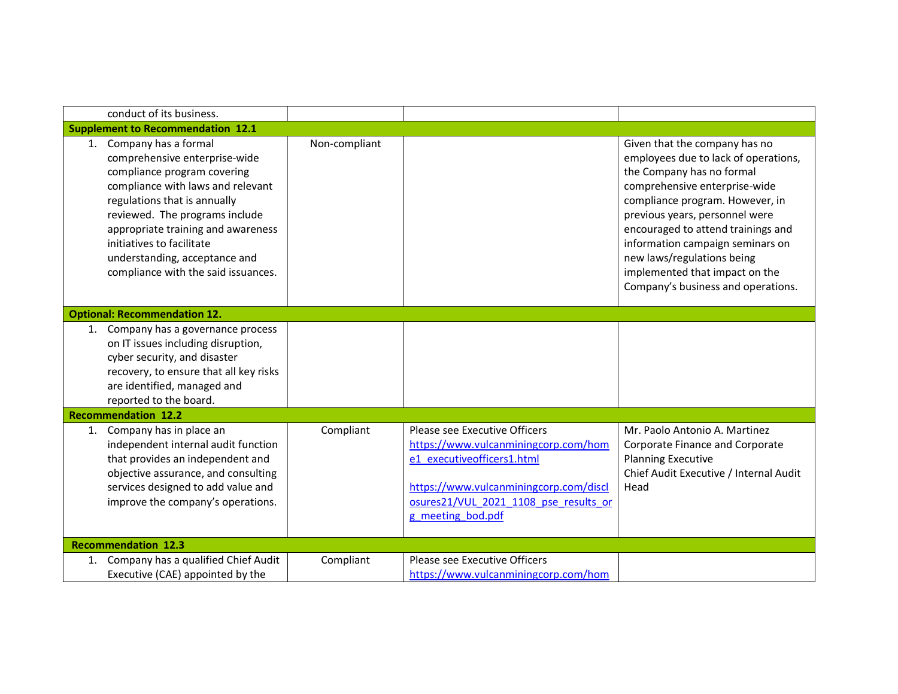| conduct of its business.                                                                                                                                                                                                                                                                                                                     |               |                                                                                                                                                                                                             |                                                                                                                                                                                                                                                                                                                                                                                          |
|----------------------------------------------------------------------------------------------------------------------------------------------------------------------------------------------------------------------------------------------------------------------------------------------------------------------------------------------|---------------|-------------------------------------------------------------------------------------------------------------------------------------------------------------------------------------------------------------|------------------------------------------------------------------------------------------------------------------------------------------------------------------------------------------------------------------------------------------------------------------------------------------------------------------------------------------------------------------------------------------|
| <b>Supplement to Recommendation 12.1</b>                                                                                                                                                                                                                                                                                                     |               |                                                                                                                                                                                                             |                                                                                                                                                                                                                                                                                                                                                                                          |
| Company has a formal<br>1.<br>comprehensive enterprise-wide<br>compliance program covering<br>compliance with laws and relevant<br>regulations that is annually<br>reviewed. The programs include<br>appropriate training and awareness<br>initiatives to facilitate<br>understanding, acceptance and<br>compliance with the said issuances. | Non-compliant |                                                                                                                                                                                                             | Given that the company has no<br>employees due to lack of operations,<br>the Company has no formal<br>comprehensive enterprise-wide<br>compliance program. However, in<br>previous years, personnel were<br>encouraged to attend trainings and<br>information campaign seminars on<br>new laws/regulations being<br>implemented that impact on the<br>Company's business and operations. |
| <b>Optional: Recommendation 12.</b>                                                                                                                                                                                                                                                                                                          |               |                                                                                                                                                                                                             |                                                                                                                                                                                                                                                                                                                                                                                          |
| 1. Company has a governance process<br>on IT issues including disruption,<br>cyber security, and disaster<br>recovery, to ensure that all key risks<br>are identified, managed and<br>reported to the board.                                                                                                                                 |               |                                                                                                                                                                                                             |                                                                                                                                                                                                                                                                                                                                                                                          |
| <b>Recommendation 12.2</b>                                                                                                                                                                                                                                                                                                                   |               |                                                                                                                                                                                                             |                                                                                                                                                                                                                                                                                                                                                                                          |
| Company has in place an<br>1.<br>independent internal audit function<br>that provides an independent and<br>objective assurance, and consulting<br>services designed to add value and<br>improve the company's operations.                                                                                                                   | Compliant     | Please see Executive Officers<br>https://www.vulcanminingcorp.com/hom<br>e1 executiveofficers1.html<br>https://www.vulcanminingcorp.com/discl<br>osures21/VUL 2021 1108 pse results or<br>g meeting bod.pdf | Mr. Paolo Antonio A. Martinez<br>Corporate Finance and Corporate<br><b>Planning Executive</b><br>Chief Audit Executive / Internal Audit<br>Head                                                                                                                                                                                                                                          |
| <b>Recommendation 12.3</b>                                                                                                                                                                                                                                                                                                                   |               |                                                                                                                                                                                                             |                                                                                                                                                                                                                                                                                                                                                                                          |
| Company has a qualified Chief Audit<br>1.<br>Executive (CAE) appointed by the                                                                                                                                                                                                                                                                | Compliant     | Please see Executive Officers<br>https://www.vulcanminingcorp.com/hom                                                                                                                                       |                                                                                                                                                                                                                                                                                                                                                                                          |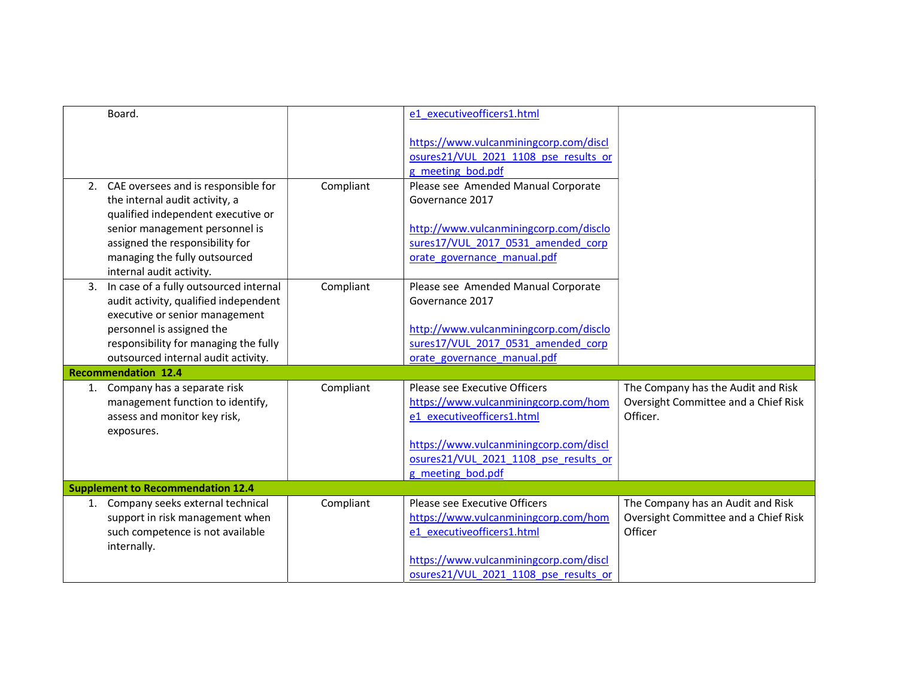| Board.                                    |           | e1 executiveofficers1.html             |                                      |
|-------------------------------------------|-----------|----------------------------------------|--------------------------------------|
|                                           |           | https://www.vulcanminingcorp.com/discl |                                      |
|                                           |           | osures21/VUL 2021 1108 pse results or  |                                      |
|                                           |           |                                        |                                      |
|                                           |           | g meeting bod.pdf                      |                                      |
| 2. CAE oversees and is responsible for    | Compliant | Please see Amended Manual Corporate    |                                      |
| the internal audit activity, a            |           | Governance 2017                        |                                      |
| qualified independent executive or        |           |                                        |                                      |
| senior management personnel is            |           | http://www.vulcanminingcorp.com/disclo |                                      |
| assigned the responsibility for           |           | sures17/VUL 2017 0531 amended corp     |                                      |
| managing the fully outsourced             |           | orate governance manual.pdf            |                                      |
| internal audit activity.                  |           |                                        |                                      |
| 3. In case of a fully outsourced internal | Compliant | Please see Amended Manual Corporate    |                                      |
| audit activity, qualified independent     |           | Governance 2017                        |                                      |
| executive or senior management            |           |                                        |                                      |
| personnel is assigned the                 |           | http://www.vulcanminingcorp.com/disclo |                                      |
| responsibility for managing the fully     |           | sures17/VUL 2017 0531 amended corp     |                                      |
| outsourced internal audit activity.       |           | orate governance manual.pdf            |                                      |
| <b>Recommendation 12.4</b>                |           |                                        |                                      |
| 1. Company has a separate risk            | Compliant | Please see Executive Officers          | The Company has the Audit and Risk   |
| management function to identify,          |           | https://www.vulcanminingcorp.com/hom   | Oversight Committee and a Chief Risk |
| assess and monitor key risk,              |           | e1 executiveofficers1.html             | Officer.                             |
| exposures.                                |           |                                        |                                      |
|                                           |           | https://www.vulcanminingcorp.com/discl |                                      |
|                                           |           | osures21/VUL 2021 1108 pse results or  |                                      |
|                                           |           | g meeting bod.pdf                      |                                      |
| <b>Supplement to Recommendation 12.4</b>  |           |                                        |                                      |
| 1. Company seeks external technical       | Compliant | Please see Executive Officers          | The Company has an Audit and Risk    |
| support in risk management when           |           | https://www.vulcanminingcorp.com/hom   | Oversight Committee and a Chief Risk |
| such competence is not available          |           | e1 executiveofficers1.html             | Officer                              |
| internally.                               |           |                                        |                                      |
|                                           |           | https://www.vulcanminingcorp.com/discl |                                      |
|                                           |           | osures21/VUL 2021 1108 pse results or  |                                      |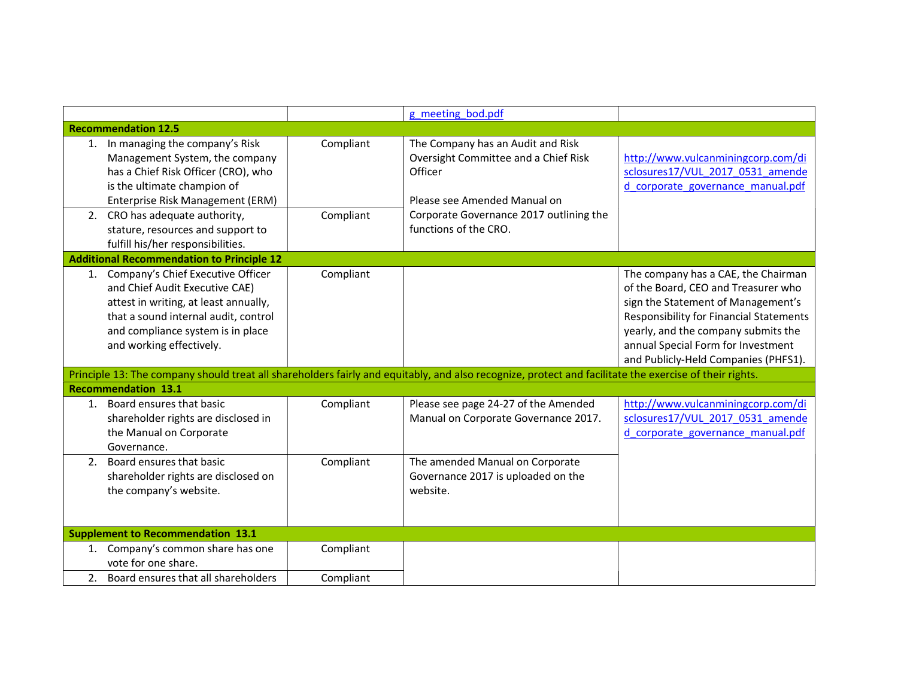|                                                                                                                                                                                                                             |           | g meeting bod.pdf                                                                                                    |                                                                                                                                                                                                                                                                                         |
|-----------------------------------------------------------------------------------------------------------------------------------------------------------------------------------------------------------------------------|-----------|----------------------------------------------------------------------------------------------------------------------|-----------------------------------------------------------------------------------------------------------------------------------------------------------------------------------------------------------------------------------------------------------------------------------------|
| <b>Recommendation 12.5</b>                                                                                                                                                                                                  |           |                                                                                                                      |                                                                                                                                                                                                                                                                                         |
| In managing the company's Risk<br>1.<br>Management System, the company<br>has a Chief Risk Officer (CRO), who<br>is the ultimate champion of<br>Enterprise Risk Management (ERM)                                            | Compliant | The Company has an Audit and Risk<br>Oversight Committee and a Chief Risk<br>Officer<br>Please see Amended Manual on | http://www.vulcanminingcorp.com/di<br>sclosures17/VUL 2017 0531 amende<br>d corporate governance manual.pdf                                                                                                                                                                             |
| 2. CRO has adequate authority,<br>stature, resources and support to<br>fulfill his/her responsibilities.                                                                                                                    | Compliant | Corporate Governance 2017 outlining the<br>functions of the CRO.                                                     |                                                                                                                                                                                                                                                                                         |
| <b>Additional Recommendation to Principle 12</b>                                                                                                                                                                            |           |                                                                                                                      |                                                                                                                                                                                                                                                                                         |
| Company's Chief Executive Officer<br>1.<br>and Chief Audit Executive CAE)<br>attest in writing, at least annually,<br>that a sound internal audit, control<br>and compliance system is in place<br>and working effectively. | Compliant |                                                                                                                      | The company has a CAE, the Chairman<br>of the Board, CEO and Treasurer who<br>sign the Statement of Management's<br><b>Responsibility for Financial Statements</b><br>yearly, and the company submits the<br>annual Special Form for Investment<br>and Publicly-Held Companies (PHFS1). |
| Principle 13: The company should treat all shareholders fairly and equitably, and also recognize, protect and facilitate the exercise of their rights.                                                                      |           |                                                                                                                      |                                                                                                                                                                                                                                                                                         |
| <b>Recommendation 13.1</b>                                                                                                                                                                                                  |           |                                                                                                                      |                                                                                                                                                                                                                                                                                         |
| 1. Board ensures that basic<br>shareholder rights are disclosed in<br>the Manual on Corporate<br>Governance.                                                                                                                | Compliant | Please see page 24-27 of the Amended<br>Manual on Corporate Governance 2017.                                         | http://www.vulcanminingcorp.com/di<br>sclosures17/VUL 2017 0531 amende<br>d corporate governance manual.pdf                                                                                                                                                                             |
| Board ensures that basic<br>2.<br>shareholder rights are disclosed on<br>the company's website.                                                                                                                             | Compliant | The amended Manual on Corporate<br>Governance 2017 is uploaded on the<br>website.                                    |                                                                                                                                                                                                                                                                                         |
| <b>Supplement to Recommendation 13.1</b>                                                                                                                                                                                    |           |                                                                                                                      |                                                                                                                                                                                                                                                                                         |
| 1. Company's common share has one<br>vote for one share.                                                                                                                                                                    | Compliant |                                                                                                                      |                                                                                                                                                                                                                                                                                         |
| 2. Board ensures that all shareholders                                                                                                                                                                                      | Compliant |                                                                                                                      |                                                                                                                                                                                                                                                                                         |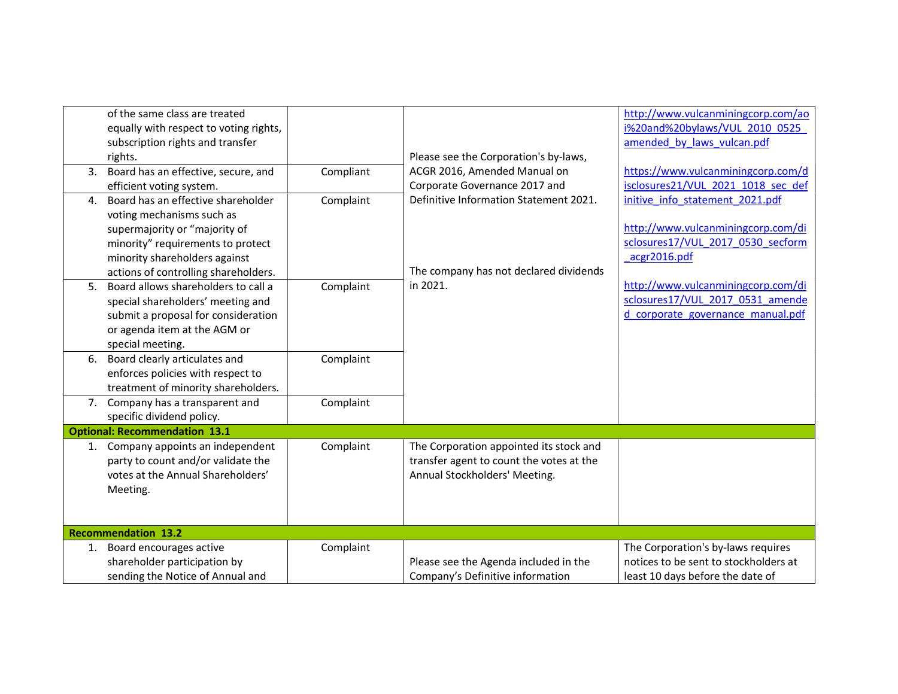|    | of the same class are treated<br>equally with respect to voting rights,<br>subscription rights and transfer<br>rights.                                                                                         |           | Please see the Corporation's by-laws,                                                                                | http://www.vulcanminingcorp.com/ao<br>i%20and%20bylaws/VUL 2010 0525<br>amended by laws vulcan.pdf                         |
|----|----------------------------------------------------------------------------------------------------------------------------------------------------------------------------------------------------------------|-----------|----------------------------------------------------------------------------------------------------------------------|----------------------------------------------------------------------------------------------------------------------------|
| 3. | Board has an effective, secure, and<br>efficient voting system.                                                                                                                                                | Compliant | ACGR 2016, Amended Manual on<br>Corporate Governance 2017 and                                                        | https://www.vulcanminingcorp.com/d<br>isclosures21/VUL 2021 1018 sec def                                                   |
| 4. | Board has an effective shareholder<br>voting mechanisms such as<br>supermajority or "majority of<br>minority" requirements to protect<br>minority shareholders against<br>actions of controlling shareholders. | Complaint | Definitive Information Statement 2021.<br>The company has not declared dividends                                     | initive info statement 2021.pdf<br>http://www.vulcanminingcorp.com/di<br>sclosures17/VUL 2017 0530 secform<br>acgr2016.pdf |
| 5. | Board allows shareholders to call a<br>special shareholders' meeting and<br>submit a proposal for consideration<br>or agenda item at the AGM or<br>special meeting.                                            | Complaint | in 2021.                                                                                                             | http://www.vulcanminingcorp.com/di<br>sclosures17/VUL 2017 0531 amende<br>d corporate governance manual.pdf                |
| 6. | Board clearly articulates and<br>enforces policies with respect to<br>treatment of minority shareholders.                                                                                                      | Complaint |                                                                                                                      |                                                                                                                            |
| 7. | Company has a transparent and<br>specific dividend policy.                                                                                                                                                     | Complaint |                                                                                                                      |                                                                                                                            |
|    | <b>Optional: Recommendation 13.1</b>                                                                                                                                                                           |           |                                                                                                                      |                                                                                                                            |
|    | 1. Company appoints an independent<br>party to count and/or validate the<br>votes at the Annual Shareholders'<br>Meeting.                                                                                      | Complaint | The Corporation appointed its stock and<br>transfer agent to count the votes at the<br>Annual Stockholders' Meeting. |                                                                                                                            |
|    | <b>Recommendation 13.2</b>                                                                                                                                                                                     |           |                                                                                                                      |                                                                                                                            |
| 1. | Board encourages active<br>shareholder participation by<br>sending the Notice of Annual and                                                                                                                    | Complaint | Please see the Agenda included in the<br>Company's Definitive information                                            | The Corporation's by-laws requires<br>notices to be sent to stockholders at<br>least 10 days before the date of            |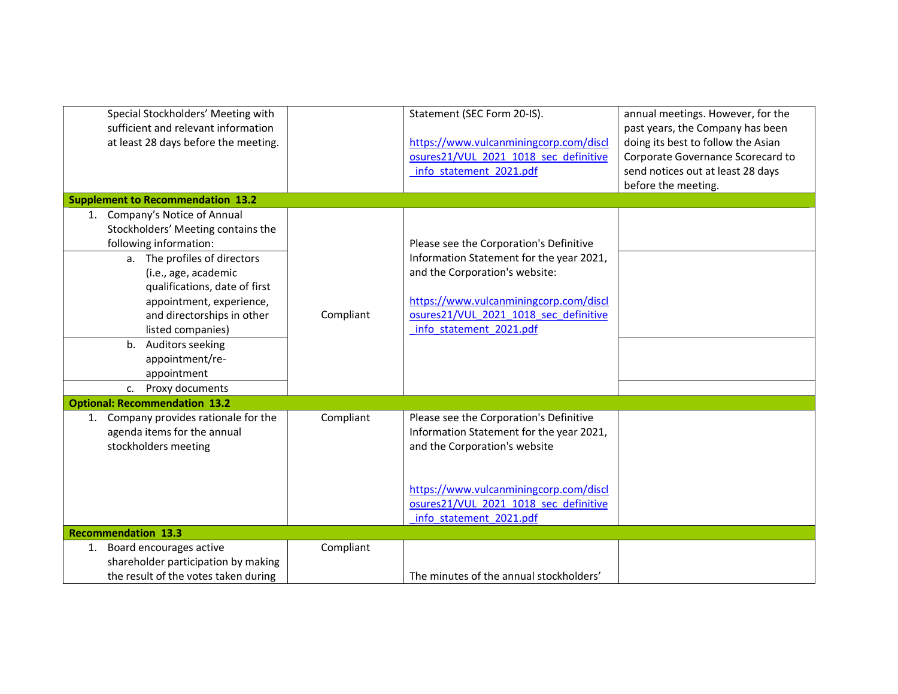| Special Stockholders' Meeting with<br>sufficient and relevant information<br>at least 28 days before the meeting.                                                                                                                                                                                                              |           | Statement (SEC Form 20-IS).<br>https://www.vulcanminingcorp.com/discl<br>osures21/VUL 2021 1018 sec definitive<br>info statement 2021.pdf                                                                                           | annual meetings. However, for the<br>past years, the Company has been<br>doing its best to follow the Asian<br>Corporate Governance Scorecard to<br>send notices out at least 28 days<br>before the meeting. |
|--------------------------------------------------------------------------------------------------------------------------------------------------------------------------------------------------------------------------------------------------------------------------------------------------------------------------------|-----------|-------------------------------------------------------------------------------------------------------------------------------------------------------------------------------------------------------------------------------------|--------------------------------------------------------------------------------------------------------------------------------------------------------------------------------------------------------------|
| <b>Supplement to Recommendation 13.2</b>                                                                                                                                                                                                                                                                                       |           |                                                                                                                                                                                                                                     |                                                                                                                                                                                                              |
| 1. Company's Notice of Annual<br>Stockholders' Meeting contains the<br>following information:<br>a. The profiles of directors<br>(i.e., age, academic<br>qualifications, date of first<br>appointment, experience,<br>and directorships in other<br>listed companies)<br>b. Auditors seeking<br>appointment/re-<br>appointment | Compliant | Please see the Corporation's Definitive<br>Information Statement for the year 2021,<br>and the Corporation's website:<br>https://www.vulcanminingcorp.com/discl<br>osures21/VUL 2021 1018 sec definitive<br>info statement 2021.pdf |                                                                                                                                                                                                              |
| c. Proxy documents                                                                                                                                                                                                                                                                                                             |           |                                                                                                                                                                                                                                     |                                                                                                                                                                                                              |
| <b>Optional: Recommendation 13.2</b>                                                                                                                                                                                                                                                                                           |           |                                                                                                                                                                                                                                     |                                                                                                                                                                                                              |
| 1. Company provides rationale for the<br>agenda items for the annual<br>stockholders meeting                                                                                                                                                                                                                                   | Compliant | Please see the Corporation's Definitive<br>Information Statement for the year 2021,<br>and the Corporation's website                                                                                                                |                                                                                                                                                                                                              |
|                                                                                                                                                                                                                                                                                                                                |           | https://www.vulcanminingcorp.com/discl<br>osures21/VUL 2021 1018 sec definitive<br>info statement 2021.pdf                                                                                                                          |                                                                                                                                                                                                              |
| <b>Recommendation 13.3</b>                                                                                                                                                                                                                                                                                                     |           |                                                                                                                                                                                                                                     |                                                                                                                                                                                                              |
| Board encourages active<br>1.<br>shareholder participation by making<br>the result of the votes taken during                                                                                                                                                                                                                   | Compliant | The minutes of the annual stockholders'                                                                                                                                                                                             |                                                                                                                                                                                                              |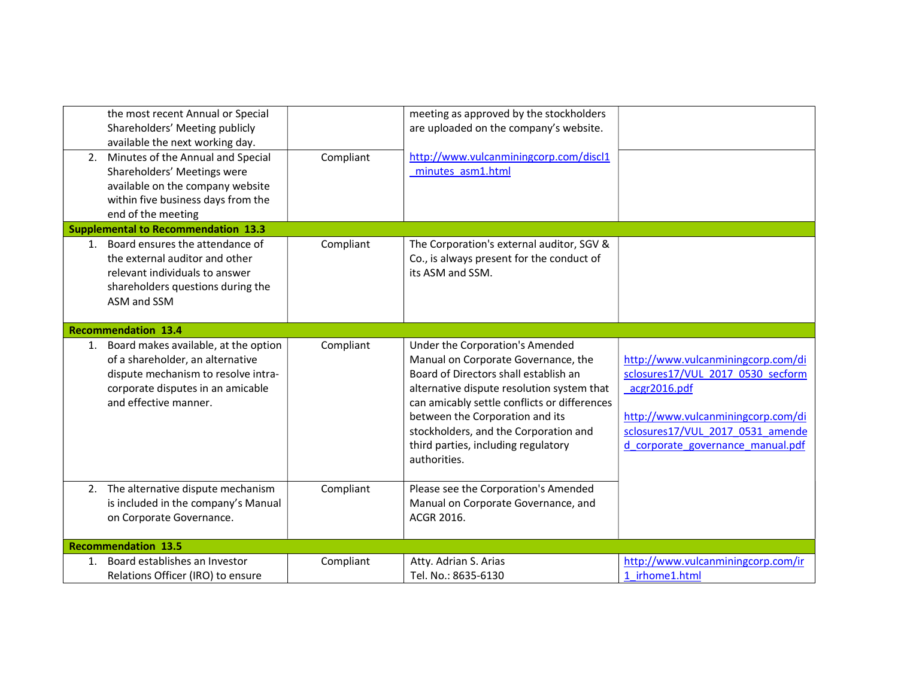|             | the most recent Annual or Special<br>Shareholders' Meeting publicly<br>available the next working day.                                                                           |           | meeting as approved by the stockholders<br>are uploaded on the company's website.                                                                                                                                                                                                                                                                |                                                                                                                                                                                                        |
|-------------|----------------------------------------------------------------------------------------------------------------------------------------------------------------------------------|-----------|--------------------------------------------------------------------------------------------------------------------------------------------------------------------------------------------------------------------------------------------------------------------------------------------------------------------------------------------------|--------------------------------------------------------------------------------------------------------------------------------------------------------------------------------------------------------|
| 2.          | Minutes of the Annual and Special<br>Shareholders' Meetings were<br>available on the company website<br>within five business days from the<br>end of the meeting                 | Compliant | http://www.vulcanminingcorp.com/discl1<br>minutes asm1.html                                                                                                                                                                                                                                                                                      |                                                                                                                                                                                                        |
|             | <b>Supplemental to Recommendation 13.3</b>                                                                                                                                       |           |                                                                                                                                                                                                                                                                                                                                                  |                                                                                                                                                                                                        |
| $1_{\cdot}$ | Board ensures the attendance of<br>the external auditor and other<br>relevant individuals to answer<br>shareholders questions during the<br>ASM and SSM                          | Compliant | The Corporation's external auditor, SGV &<br>Co., is always present for the conduct of<br>its ASM and SSM.                                                                                                                                                                                                                                       |                                                                                                                                                                                                        |
|             | <b>Recommendation 13.4</b>                                                                                                                                                       |           |                                                                                                                                                                                                                                                                                                                                                  |                                                                                                                                                                                                        |
|             | 1. Board makes available, at the option<br>of a shareholder, an alternative<br>dispute mechanism to resolve intra-<br>corporate disputes in an amicable<br>and effective manner. | Compliant | Under the Corporation's Amended<br>Manual on Corporate Governance, the<br>Board of Directors shall establish an<br>alternative dispute resolution system that<br>can amicably settle conflicts or differences<br>between the Corporation and its<br>stockholders, and the Corporation and<br>third parties, including regulatory<br>authorities. | http://www.vulcanminingcorp.com/di<br>sclosures17/VUL 2017 0530 secform<br>acgr2016.pdf<br>http://www.vulcanminingcorp.com/di<br>sclosures17/VUL 2017 0531 amende<br>d corporate governance manual.pdf |
|             | 2. The alternative dispute mechanism<br>is included in the company's Manual<br>on Corporate Governance.                                                                          | Compliant | Please see the Corporation's Amended<br>Manual on Corporate Governance, and<br>ACGR 2016.                                                                                                                                                                                                                                                        |                                                                                                                                                                                                        |
|             | <b>Recommendation 13.5</b>                                                                                                                                                       |           |                                                                                                                                                                                                                                                                                                                                                  |                                                                                                                                                                                                        |
| $1_{-}$     | Board establishes an Investor<br>Relations Officer (IRO) to ensure                                                                                                               | Compliant | Atty. Adrian S. Arias<br>Tel. No.: 8635-6130                                                                                                                                                                                                                                                                                                     | http://www.vulcanminingcorp.com/ir<br>1 irhome1.html                                                                                                                                                   |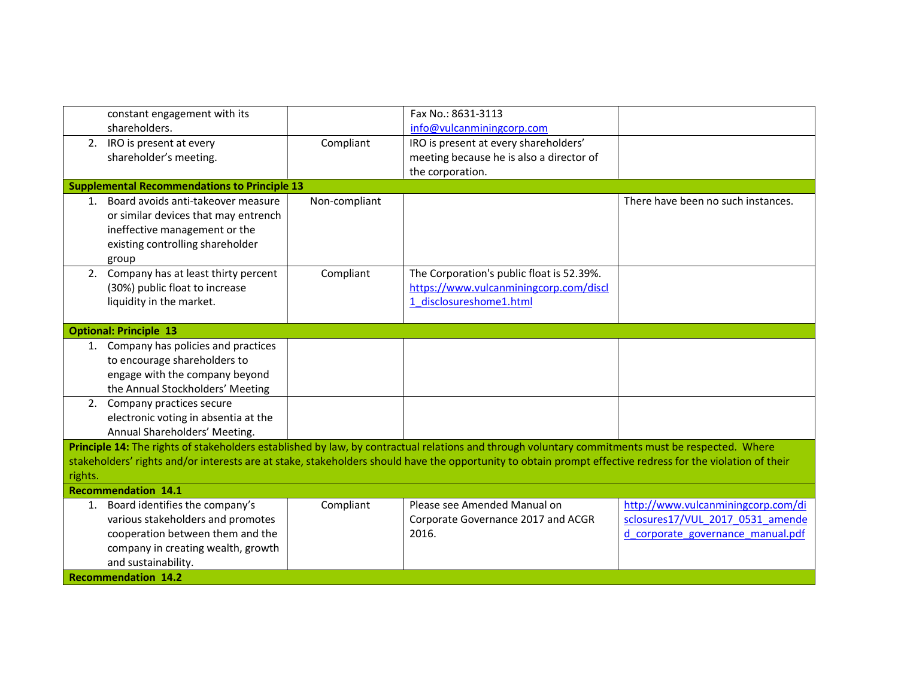| constant engagement with its                                                                                                                               |               | Fax No.: 8631-3113                        |                                    |
|------------------------------------------------------------------------------------------------------------------------------------------------------------|---------------|-------------------------------------------|------------------------------------|
| shareholders.                                                                                                                                              |               | info@vulcanminingcorp.com                 |                                    |
| 2. IRO is present at every                                                                                                                                 | Compliant     | IRO is present at every shareholders'     |                                    |
| shareholder's meeting.                                                                                                                                     |               | meeting because he is also a director of  |                                    |
|                                                                                                                                                            |               | the corporation.                          |                                    |
| <b>Supplemental Recommendations to Principle 13</b>                                                                                                        |               |                                           |                                    |
| 1. Board avoids anti-takeover measure                                                                                                                      | Non-compliant |                                           | There have been no such instances. |
| or similar devices that may entrench                                                                                                                       |               |                                           |                                    |
| ineffective management or the                                                                                                                              |               |                                           |                                    |
| existing controlling shareholder                                                                                                                           |               |                                           |                                    |
| group                                                                                                                                                      |               |                                           |                                    |
| Company has at least thirty percent<br>2.                                                                                                                  | Compliant     | The Corporation's public float is 52.39%. |                                    |
| (30%) public float to increase                                                                                                                             |               | https://www.vulcanminingcorp.com/discl    |                                    |
| liquidity in the market.                                                                                                                                   |               | 1 disclosureshome1.html                   |                                    |
|                                                                                                                                                            |               |                                           |                                    |
| <b>Optional: Principle 13</b>                                                                                                                              |               |                                           |                                    |
| 1. Company has policies and practices                                                                                                                      |               |                                           |                                    |
| to encourage shareholders to                                                                                                                               |               |                                           |                                    |
| engage with the company beyond                                                                                                                             |               |                                           |                                    |
| the Annual Stockholders' Meeting                                                                                                                           |               |                                           |                                    |
| 2. Company practices secure                                                                                                                                |               |                                           |                                    |
| electronic voting in absentia at the                                                                                                                       |               |                                           |                                    |
| Annual Shareholders' Meeting.                                                                                                                              |               |                                           |                                    |
| Principle 14: The rights of stakeholders established by law, by contractual relations and through voluntary commitments must be respected. Where           |               |                                           |                                    |
| stakeholders' rights and/or interests are at stake, stakeholders should have the opportunity to obtain prompt effective redress for the violation of their |               |                                           |                                    |
| rights.                                                                                                                                                    |               |                                           |                                    |
| <b>Recommendation 14.1</b>                                                                                                                                 |               |                                           |                                    |
| 1. Board identifies the company's                                                                                                                          | Compliant     | Please see Amended Manual on              | http://www.vulcanminingcorp.com/di |
| various stakeholders and promotes                                                                                                                          |               | Corporate Governance 2017 and ACGR        | sclosures17/VUL 2017 0531 amende   |
| cooperation between them and the                                                                                                                           |               | 2016.                                     | d corporate governance manual.pdf  |
| company in creating wealth, growth                                                                                                                         |               |                                           |                                    |
| and sustainability.                                                                                                                                        |               |                                           |                                    |
| <b>Recommendation 14.2</b>                                                                                                                                 |               |                                           |                                    |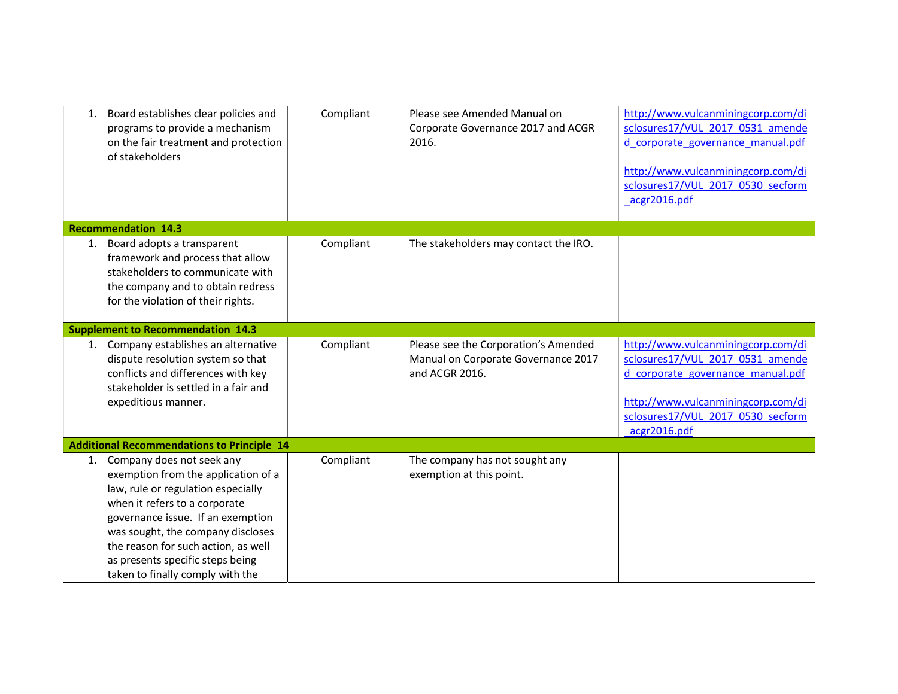| Board establishes clear policies and<br>1.<br>programs to provide a mechanism<br>on the fair treatment and protection<br>of stakeholders                                                                                                                                                                                               | Compliant | Please see Amended Manual on<br>Corporate Governance 2017 and ACGR<br>2016.                   | http://www.vulcanminingcorp.com/di<br>sclosures17/VUL 2017 0531 amende<br>d corporate governance manual.pdf<br>http://www.vulcanminingcorp.com/di<br>sclosures17/VUL 2017 0530 secform<br>acgr2016.pdf |
|----------------------------------------------------------------------------------------------------------------------------------------------------------------------------------------------------------------------------------------------------------------------------------------------------------------------------------------|-----------|-----------------------------------------------------------------------------------------------|--------------------------------------------------------------------------------------------------------------------------------------------------------------------------------------------------------|
| <b>Recommendation 14.3</b>                                                                                                                                                                                                                                                                                                             |           |                                                                                               |                                                                                                                                                                                                        |
| Board adopts a transparent<br>1.<br>framework and process that allow<br>stakeholders to communicate with<br>the company and to obtain redress<br>for the violation of their rights.                                                                                                                                                    | Compliant | The stakeholders may contact the IRO.                                                         |                                                                                                                                                                                                        |
| <b>Supplement to Recommendation 14.3</b>                                                                                                                                                                                                                                                                                               |           |                                                                                               |                                                                                                                                                                                                        |
| 1. Company establishes an alternative<br>dispute resolution system so that<br>conflicts and differences with key<br>stakeholder is settled in a fair and<br>expeditious manner.                                                                                                                                                        | Compliant | Please see the Corporation's Amended<br>Manual on Corporate Governance 2017<br>and ACGR 2016. | http://www.vulcanminingcorp.com/di<br>sclosures17/VUL 2017 0531 amende<br>d corporate governance manual.pdf<br>http://www.vulcanminingcorp.com/di<br>sclosures17/VUL 2017 0530 secform<br>acgr2016.pdf |
| <b>Additional Recommendations to Principle 14</b>                                                                                                                                                                                                                                                                                      |           |                                                                                               |                                                                                                                                                                                                        |
| Company does not seek any<br>1.<br>exemption from the application of a<br>law, rule or regulation especially<br>when it refers to a corporate<br>governance issue. If an exemption<br>was sought, the company discloses<br>the reason for such action, as well<br>as presents specific steps being<br>taken to finally comply with the | Compliant | The company has not sought any<br>exemption at this point.                                    |                                                                                                                                                                                                        |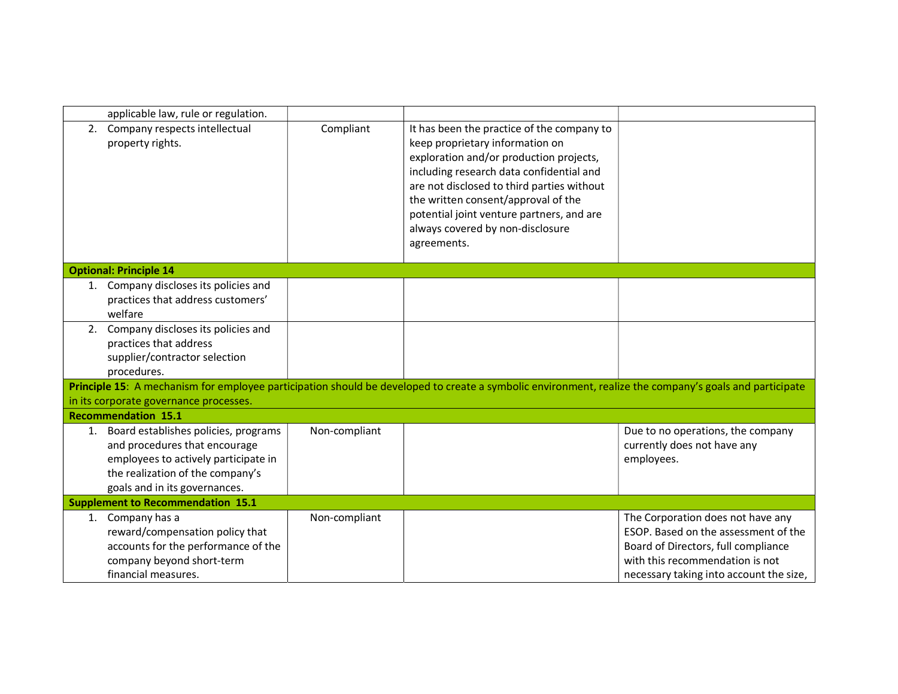|    | applicable law, rule or regulation.                                                                                                                                                   |               |                                                                                                                                                                                                                                                                                                                                                           |                                                                                                                                                                                                |
|----|---------------------------------------------------------------------------------------------------------------------------------------------------------------------------------------|---------------|-----------------------------------------------------------------------------------------------------------------------------------------------------------------------------------------------------------------------------------------------------------------------------------------------------------------------------------------------------------|------------------------------------------------------------------------------------------------------------------------------------------------------------------------------------------------|
|    | 2. Company respects intellectual<br>property rights.                                                                                                                                  | Compliant     | It has been the practice of the company to<br>keep proprietary information on<br>exploration and/or production projects,<br>including research data confidential and<br>are not disclosed to third parties without<br>the written consent/approval of the<br>potential joint venture partners, and are<br>always covered by non-disclosure<br>agreements. |                                                                                                                                                                                                |
|    | <b>Optional: Principle 14</b>                                                                                                                                                         |               |                                                                                                                                                                                                                                                                                                                                                           |                                                                                                                                                                                                |
|    | 1. Company discloses its policies and<br>practices that address customers'<br>welfare                                                                                                 |               |                                                                                                                                                                                                                                                                                                                                                           |                                                                                                                                                                                                |
| 2. | Company discloses its policies and<br>practices that address<br>supplier/contractor selection<br>procedures.                                                                          |               |                                                                                                                                                                                                                                                                                                                                                           |                                                                                                                                                                                                |
|    |                                                                                                                                                                                       |               | Principle 15: A mechanism for employee participation should be developed to create a symbolic environment, realize the company's goals and participate                                                                                                                                                                                                    |                                                                                                                                                                                                |
|    | in its corporate governance processes.                                                                                                                                                |               |                                                                                                                                                                                                                                                                                                                                                           |                                                                                                                                                                                                |
|    | <b>Recommendation 15.1</b>                                                                                                                                                            |               |                                                                                                                                                                                                                                                                                                                                                           |                                                                                                                                                                                                |
|    | 1. Board establishes policies, programs<br>and procedures that encourage<br>employees to actively participate in<br>the realization of the company's<br>goals and in its governances. | Non-compliant |                                                                                                                                                                                                                                                                                                                                                           | Due to no operations, the company<br>currently does not have any<br>employees.                                                                                                                 |
|    | <b>Supplement to Recommendation 15.1</b>                                                                                                                                              |               |                                                                                                                                                                                                                                                                                                                                                           |                                                                                                                                                                                                |
|    | 1. Company has a<br>reward/compensation policy that<br>accounts for the performance of the<br>company beyond short-term<br>financial measures.                                        | Non-compliant |                                                                                                                                                                                                                                                                                                                                                           | The Corporation does not have any<br>ESOP. Based on the assessment of the<br>Board of Directors, full compliance<br>with this recommendation is not<br>necessary taking into account the size, |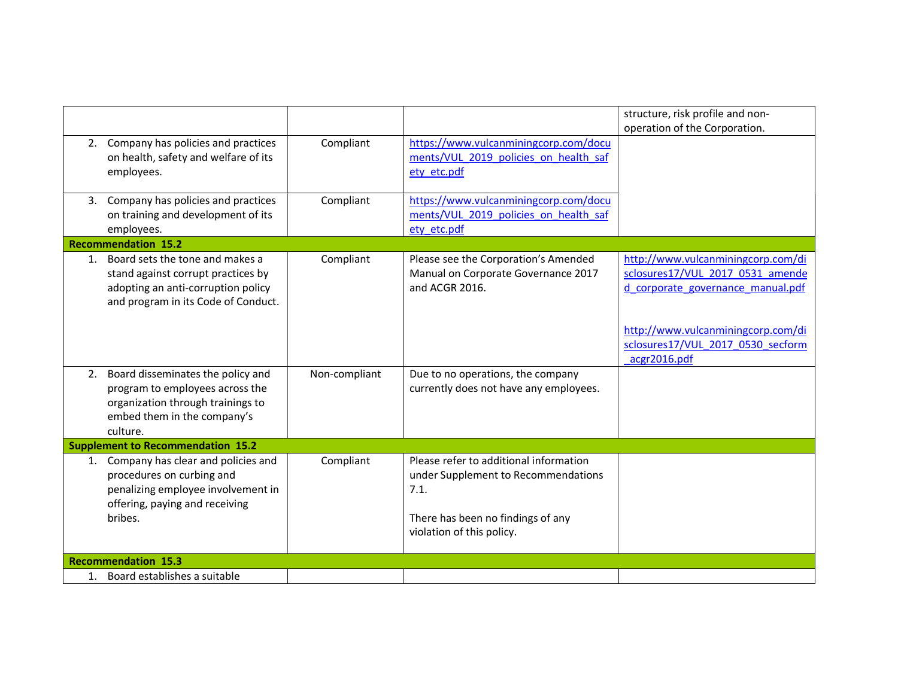|             |                                                                                                                                                      |               |                                                                                                                                                         | structure, risk profile and non-<br>operation of the Corporation.                                                                                                                                      |
|-------------|------------------------------------------------------------------------------------------------------------------------------------------------------|---------------|---------------------------------------------------------------------------------------------------------------------------------------------------------|--------------------------------------------------------------------------------------------------------------------------------------------------------------------------------------------------------|
|             | 2. Company has policies and practices<br>on health, safety and welfare of its<br>employees.                                                          | Compliant     | https://www.vulcanminingcorp.com/docu<br>ments/VUL 2019 policies on health saf<br>ety etc.pdf                                                           |                                                                                                                                                                                                        |
| 3.          | Company has policies and practices<br>on training and development of its<br>employees.                                                               | Compliant     | https://www.vulcanminingcorp.com/docu<br>ments/VUL 2019 policies on health saf<br>ety etc.pdf                                                           |                                                                                                                                                                                                        |
|             | <b>Recommendation 15.2</b>                                                                                                                           |               |                                                                                                                                                         |                                                                                                                                                                                                        |
| $1_{\cdot}$ | Board sets the tone and makes a<br>stand against corrupt practices by<br>adopting an anti-corruption policy<br>and program in its Code of Conduct.   | Compliant     | Please see the Corporation's Amended<br>Manual on Corporate Governance 2017<br>and ACGR 2016.                                                           | http://www.vulcanminingcorp.com/di<br>sclosures17/VUL 2017 0531 amende<br>d corporate governance manual.pdf<br>http://www.vulcanminingcorp.com/di<br>sclosures17/VUL 2017 0530 secform<br>acgr2016.pdf |
| 2.          | Board disseminates the policy and<br>program to employees across the<br>organization through trainings to<br>embed them in the company's<br>culture. | Non-compliant | Due to no operations, the company<br>currently does not have any employees.                                                                             |                                                                                                                                                                                                        |
|             | <b>Supplement to Recommendation 15.2</b>                                                                                                             |               |                                                                                                                                                         |                                                                                                                                                                                                        |
| 1.          | Company has clear and policies and<br>procedures on curbing and<br>penalizing employee involvement in<br>offering, paying and receiving<br>bribes.   | Compliant     | Please refer to additional information<br>under Supplement to Recommendations<br>7.1.<br>There has been no findings of any<br>violation of this policy. |                                                                                                                                                                                                        |
|             | <b>Recommendation 15.3</b>                                                                                                                           |               |                                                                                                                                                         |                                                                                                                                                                                                        |
|             | 1. Board establishes a suitable                                                                                                                      |               |                                                                                                                                                         |                                                                                                                                                                                                        |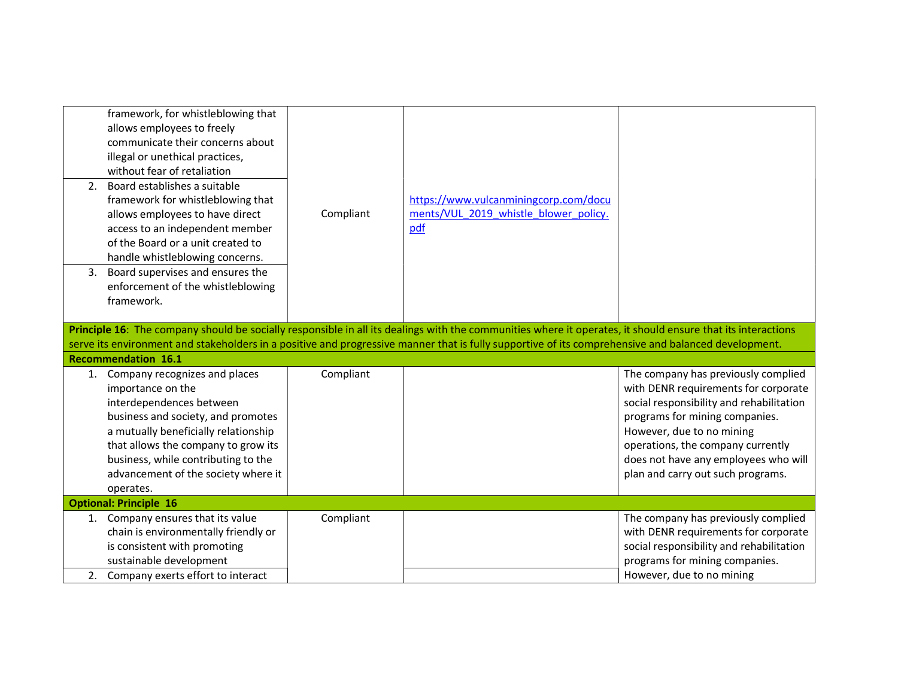| 2. | framework, for whistleblowing that<br>allows employees to freely<br>communicate their concerns about<br>illegal or unethical practices,<br>without fear of retaliation<br>Board establishes a suitable<br>framework for whistleblowing that<br>allows employees to have direct | Compliant | https://www.vulcanminingcorp.com/docu<br>ments/VUL 2019 whistle blower policy.                                                                      |                                                             |  |
|----|--------------------------------------------------------------------------------------------------------------------------------------------------------------------------------------------------------------------------------------------------------------------------------|-----------|-----------------------------------------------------------------------------------------------------------------------------------------------------|-------------------------------------------------------------|--|
|    | access to an independent member<br>of the Board or a unit created to                                                                                                                                                                                                           |           | pdf                                                                                                                                                 |                                                             |  |
|    | handle whistleblowing concerns.                                                                                                                                                                                                                                                |           |                                                                                                                                                     |                                                             |  |
| 3. | Board supervises and ensures the                                                                                                                                                                                                                                               |           |                                                                                                                                                     |                                                             |  |
|    | enforcement of the whistleblowing<br>framework.                                                                                                                                                                                                                                |           |                                                                                                                                                     |                                                             |  |
|    |                                                                                                                                                                                                                                                                                |           |                                                                                                                                                     |                                                             |  |
|    | Principle 16: The company should be socially responsible in all its dealings with the communities where it operates, it should ensure that its interactions                                                                                                                    |           |                                                                                                                                                     |                                                             |  |
|    |                                                                                                                                                                                                                                                                                |           | serve its environment and stakeholders in a positive and progressive manner that is fully supportive of its comprehensive and balanced development. |                                                             |  |
|    | <b>Recommendation 16.1</b>                                                                                                                                                                                                                                                     |           |                                                                                                                                                     |                                                             |  |
| 1. | Company recognizes and places                                                                                                                                                                                                                                                  | Compliant |                                                                                                                                                     | The company has previously complied                         |  |
|    | importance on the                                                                                                                                                                                                                                                              |           |                                                                                                                                                     | with DENR requirements for corporate                        |  |
|    | interdependences between                                                                                                                                                                                                                                                       |           |                                                                                                                                                     | social responsibility and rehabilitation                    |  |
|    | business and society, and promotes<br>a mutually beneficially relationship                                                                                                                                                                                                     |           |                                                                                                                                                     | programs for mining companies.<br>However, due to no mining |  |
|    | that allows the company to grow its                                                                                                                                                                                                                                            |           |                                                                                                                                                     | operations, the company currently                           |  |
|    | business, while contributing to the                                                                                                                                                                                                                                            |           |                                                                                                                                                     | does not have any employees who will                        |  |
|    | advancement of the society where it                                                                                                                                                                                                                                            |           |                                                                                                                                                     | plan and carry out such programs.                           |  |
|    | operates.                                                                                                                                                                                                                                                                      |           |                                                                                                                                                     |                                                             |  |
|    | <b>Optional: Principle 16</b>                                                                                                                                                                                                                                                  |           |                                                                                                                                                     |                                                             |  |
|    | 1. Company ensures that its value                                                                                                                                                                                                                                              | Compliant |                                                                                                                                                     | The company has previously complied                         |  |
|    | chain is environmentally friendly or                                                                                                                                                                                                                                           |           |                                                                                                                                                     | with DENR requirements for corporate                        |  |
|    | is consistent with promoting                                                                                                                                                                                                                                                   |           |                                                                                                                                                     | social responsibility and rehabilitation                    |  |
|    | sustainable development                                                                                                                                                                                                                                                        |           |                                                                                                                                                     | programs for mining companies.                              |  |
|    | 2. Company exerts effort to interact                                                                                                                                                                                                                                           |           |                                                                                                                                                     | However, due to no mining                                   |  |